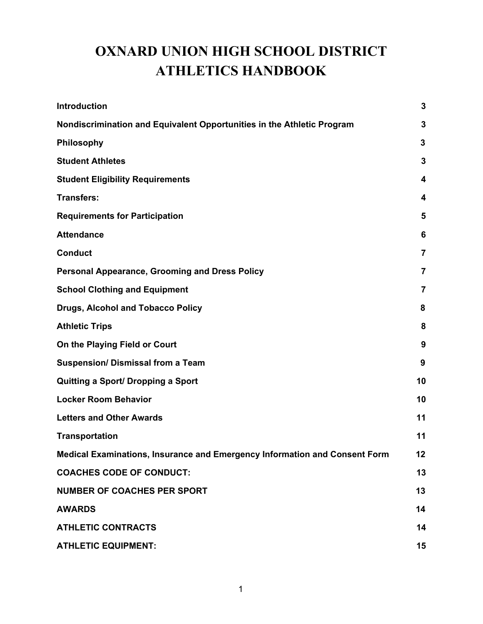# **OXNARD UNION HIGH SCHOOL DISTRICT ATHLETICS HANDBOOK**

| <b>Introduction</b>                                                        | $\mathbf{3}$   |
|----------------------------------------------------------------------------|----------------|
| Nondiscrimination and Equivalent Opportunities in the Athletic Program     | 3              |
| Philosophy                                                                 | 3              |
| <b>Student Athletes</b>                                                    | 3              |
| <b>Student Eligibility Requirements</b>                                    | 4              |
| <b>Transfers:</b>                                                          | 4              |
| <b>Requirements for Participation</b>                                      | 5              |
| <b>Attendance</b>                                                          | 6              |
| <b>Conduct</b>                                                             | $\overline{7}$ |
| <b>Personal Appearance, Grooming and Dress Policy</b>                      | $\overline{7}$ |
| <b>School Clothing and Equipment</b>                                       | $\overline{7}$ |
| <b>Drugs, Alcohol and Tobacco Policy</b>                                   | 8              |
| <b>Athletic Trips</b>                                                      | 8              |
| On the Playing Field or Court                                              | 9              |
| <b>Suspension/ Dismissal from a Team</b>                                   | 9              |
| Quitting a Sport/ Dropping a Sport                                         | 10             |
| <b>Locker Room Behavior</b>                                                | 10             |
| <b>Letters and Other Awards</b>                                            | 11             |
| <b>Transportation</b>                                                      | 11             |
| Medical Examinations, Insurance and Emergency Information and Consent Form | 12             |
| <b>COACHES CODE OF CONDUCT:</b>                                            | 13             |
| <b>NUMBER OF COACHES PER SPORT</b>                                         | 13             |
| <b>AWARDS</b>                                                              | 14             |
| <b>ATHLETIC CONTRACTS</b>                                                  | 14             |
| <b>ATHLETIC EQUIPMENT:</b>                                                 | 15             |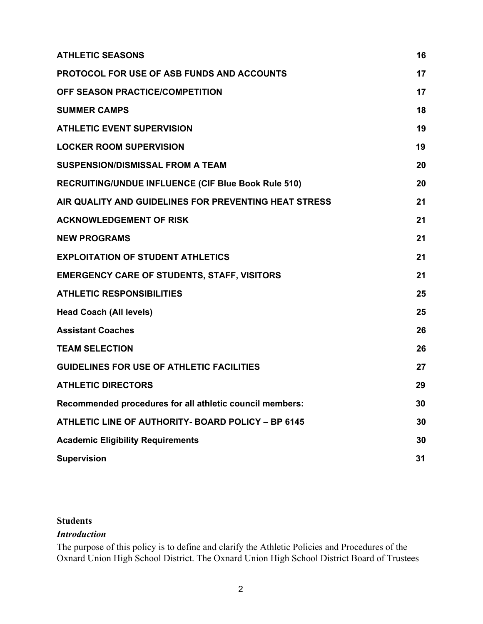| <b>ATHLETIC SEASONS</b>                                  | 16 |
|----------------------------------------------------------|----|
| <b>PROTOCOL FOR USE OF ASB FUNDS AND ACCOUNTS</b>        | 17 |
| OFF SEASON PRACTICE/COMPETITION                          | 17 |
| <b>SUMMER CAMPS</b>                                      | 18 |
| <b>ATHLETIC EVENT SUPERVISION</b>                        | 19 |
| <b>LOCKER ROOM SUPERVISION</b>                           | 19 |
| <b>SUSPENSION/DISMISSAL FROM A TEAM</b>                  | 20 |
| RECRUITING/UNDUE INFLUENCE (CIF Blue Book Rule 510)      | 20 |
| AIR QUALITY AND GUIDELINES FOR PREVENTING HEAT STRESS    | 21 |
| <b>ACKNOWLEDGEMENT OF RISK</b>                           | 21 |
| <b>NEW PROGRAMS</b>                                      | 21 |
| <b>EXPLOITATION OF STUDENT ATHLETICS</b>                 | 21 |
| <b>EMERGENCY CARE OF STUDENTS, STAFF, VISITORS</b>       | 21 |
| <b>ATHLETIC RESPONSIBILITIES</b>                         | 25 |
| <b>Head Coach (All levels)</b>                           | 25 |
| <b>Assistant Coaches</b>                                 | 26 |
| <b>TEAM SELECTION</b>                                    | 26 |
| <b>GUIDELINES FOR USE OF ATHLETIC FACILITIES</b>         | 27 |
| <b>ATHLETIC DIRECTORS</b>                                | 29 |
| Recommended procedures for all athletic council members: | 30 |
| ATHLETIC LINE OF AUTHORITY- BOARD POLICY - BP 6145       | 30 |
| <b>Academic Eligibility Requirements</b>                 | 30 |
| <b>Supervision</b>                                       | 31 |

## <span id="page-1-0"></span>**Students**

## *Introduction*

The purpose of this policy is to define and clarify the Athletic Policies and Procedures of the Oxnard Union High School District. The Oxnard Union High School District Board of Trustees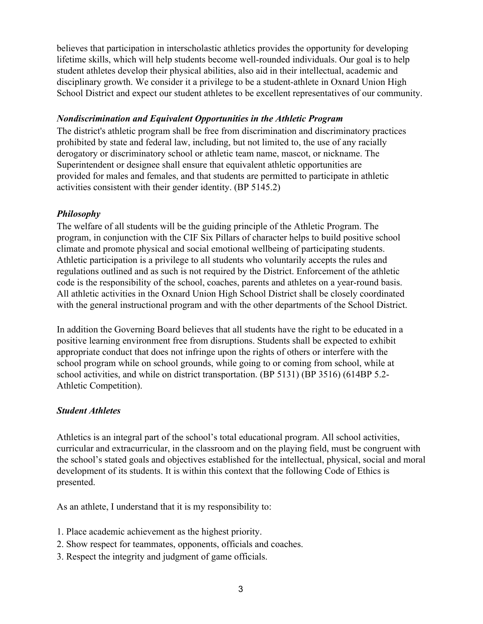believes that participation in interscholastic athletics provides the opportunity for developing lifetime skills, which will help students become well-rounded individuals. Our goal is to help student athletes develop their physical abilities, also aid in their intellectual, academic and disciplinary growth. We consider it a privilege to be a student-athlete in Oxnard Union High School District and expect our student athletes to be excellent representatives of our community.

## <span id="page-2-0"></span>*Nondiscrimination and Equivalent Opportunities in the Athletic Program*

The district's athletic program shall be free from discrimination and discriminatory practices prohibited by state and federal law, including, but not limited to, the use of any racially derogatory or discriminatory school or athletic team name, mascot, or nickname. The Superintendent or designee shall ensure that equivalent athletic opportunities are provided for males and females, and that students are permitted to participate in athletic activities consistent with their gender identity. (BP 5145.2)

## <span id="page-2-1"></span>*Philosophy*

The welfare of all students will be the guiding principle of the Athletic Program. The program, in conjunction with the CIF Six Pillars of character helps to build positive school climate and promote physical and social emotional wellbeing of participating students. Athletic participation is a privilege to all students who voluntarily accepts the rules and regulations outlined and as such is not required by the District. Enforcement of the athletic code is the responsibility of the school, coaches, parents and athletes on a year-round basis. All athletic activities in the Oxnard Union High School District shall be closely coordinated with the general instructional program and with the other departments of the School District.

In addition the Governing Board believes that all students have the right to be educated in a positive learning environment free from disruptions. Students shall be expected to exhibit appropriate conduct that does not infringe upon the rights of others or interfere with the school program while on school grounds, while going to or coming from school, while at school activities, and while on district transportation. (BP 5131) (BP 3516) (614BP 5.2- Athletic Competition).

## <span id="page-2-2"></span>*Student Athletes*

Athletics is an integral part of the school's total educational program. All school activities, curricular and extracurricular, in the classroom and on the playing field, must be congruent with the school's stated goals and objectives established for the intellectual, physical, social and moral development of its students. It is within this context that the following Code of Ethics is presented.

As an athlete, I understand that it is my responsibility to:

- 1. Place academic achievement as the highest priority.
- 2. Show respect for teammates, opponents, officials and coaches.
- 3. Respect the integrity and judgment of game officials.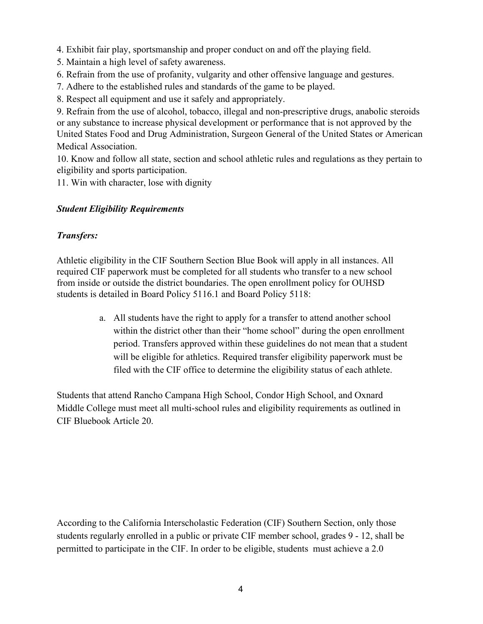4. Exhibit fair play, sportsmanship and proper conduct on and off the playing field.

- 5. Maintain a high level of safety awareness.
- 6. Refrain from the use of profanity, vulgarity and other offensive language and gestures.
- 7. Adhere to the established rules and standards of the game to be played.
- 8. Respect all equipment and use it safely and appropriately.

9. Refrain from the use of alcohol, tobacco, illegal and non-prescriptive drugs, anabolic steroids or any substance to increase physical development or performance that is not approved by the United States Food and Drug Administration, Surgeon General of the United States or American Medical Association.

10. Know and follow all state, section and school athletic rules and regulations as they pertain to eligibility and sports participation.

11. Win with character, lose with dignity

## <span id="page-3-0"></span>*Student Eligibility Requirements*

## <span id="page-3-1"></span>*Transfers:*

Athletic eligibility in the CIF Southern Section Blue Book will apply in all instances. All required CIF paperwork must be completed for all students who transfer to a new school from inside or outside the district boundaries. The open enrollment policy for OUHSD students is detailed in Board Policy 5116.1 and Board Policy 5118:

> a. All students have the right to apply for a transfer to attend another school within the district other than their "home school" during the open enrollment period. Transfers approved within these guidelines do not mean that a student will be eligible for athletics. Required transfer eligibility paperwork must be filed with the CIF office to determine the eligibility status of each athlete.

Students that attend Rancho Campana High School, Condor High School, and Oxnard Middle College must meet all multi-school rules and eligibility requirements as outlined in CIF Bluebook Article 20.

According to the California Interscholastic Federation (CIF) Southern Section, only those students regularly enrolled in a public or private CIF member school, grades 9 - 12, shall be permitted to participate in the CIF. In order to be eligible, students must achieve a 2.0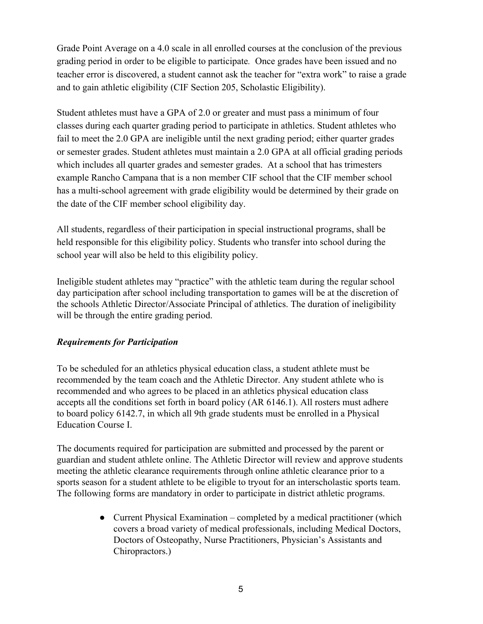Grade Point Average on a 4.0 scale in all enrolled courses at the conclusion of the previous grading period in order to be eligible to participate*.* Once grades have been issued and no teacher error is discovered, a student cannot ask the teacher for "extra work" to raise a grade and to gain athletic eligibility (CIF Section 205, Scholastic Eligibility).

Student athletes must have a GPA of 2.0 or greater and must pass a minimum of four classes during each quarter grading period to participate in athletics. Student athletes who fail to meet the 2.0 GPA are ineligible until the next grading period; either quarter grades or semester grades. Student athletes must maintain a 2.0 GPA at all official grading periods which includes all quarter grades and semester grades. At a school that has trimesters example Rancho Campana that is a non member CIF school that the CIF member school has a multi-school agreement with grade eligibility would be determined by their grade on the date of the CIF member school eligibility day.

All students, regardless of their participation in special instructional programs, shall be held responsible for this eligibility policy. Students who transfer into school during the school year will also be held to this eligibility policy.

Ineligible student athletes may "practice" with the athletic team during the regular school day participation after school including transportation to games will be at the discretion of the schools Athletic Director/Associate Principal of athletics. The duration of ineligibility will be through the entire grading period.

## <span id="page-4-0"></span>*Requirements for Participation*

To be scheduled for an athletics physical education class, a student athlete must be recommended by the team coach and the Athletic Director. Any student athlete who is recommended and who agrees to be placed in an athletics physical education class accepts all the conditions set forth in board policy (AR 6146.1). All rosters must adhere to board policy 6142.7, in which all 9th grade students must be enrolled in a Physical Education Course I.

The documents required for participation are submitted and processed by the parent or guardian and student athlete online. The Athletic Director will review and approve students meeting the athletic clearance requirements through online athletic clearance prior to a sports season for a student athlete to be eligible to tryout for an interscholastic sports team. The following forms are mandatory in order to participate in district athletic programs.

> • Current Physical Examination – completed by a medical practitioner (which covers a broad variety of medical professionals, including Medical Doctors, Doctors of Osteopathy, Nurse Practitioners, Physician's Assistants and Chiropractors.)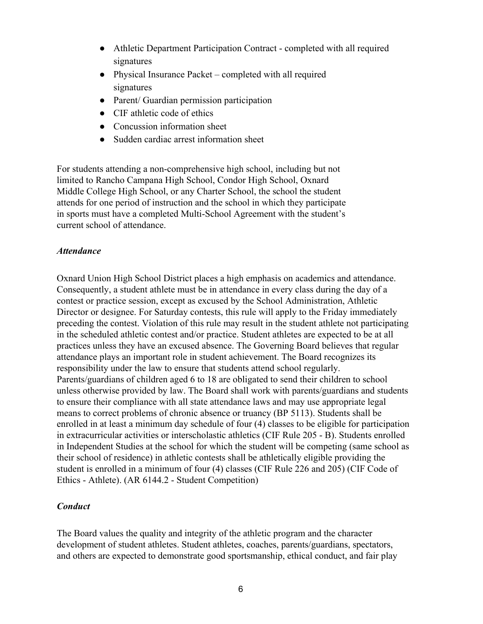- Athletic Department Participation Contract completed with all required signatures
- Physical Insurance Packet completed with all required signatures
- Parent/ Guardian permission participation
- CIF athletic code of ethics
- Concussion information sheet
- Sudden cardiac arrest information sheet

For students attending a non-comprehensive high school, including but not limited to Rancho Campana High School, Condor High School, Oxnard Middle College High School, or any Charter School, the school the student attends for one period of instruction and the school in which they participate in sports must have a completed Multi-School Agreement with the student's current school of attendance.

#### <span id="page-5-0"></span>*Attendance*

Oxnard Union High School District places a high emphasis on academics and attendance. Consequently, a student athlete must be in attendance in every class during the day of a contest or practice session, except as excused by the School Administration, Athletic Director or designee. For Saturday contests, this rule will apply to the Friday immediately preceding the contest. Violation of this rule may result in the student athlete not participating in the scheduled athletic contest and/or practice. Student athletes are expected to be at all practices unless they have an excused absence. The Governing Board believes that regular attendance plays an important role in student achievement. The Board recognizes its responsibility under the law to ensure that students attend school regularly. Parents/guardians of children aged 6 to 18 are obligated to send their children to school unless otherwise provided by law. The Board shall work with parents/guardians and students to ensure their compliance with all state attendance laws and may use appropriate legal means to correct problems of chronic absence or truancy (BP 5113). Students shall be enrolled in at least a minimum day schedule of four (4) classes to be eligible for participation in extracurricular activities or interscholastic athletics (CIF Rule 205 - B). Students enrolled in Independent Studies at the school for which the student will be competing (same school as their school of residence) in athletic contests shall be athletically eligible providing the student is enrolled in a minimum of four (4) classes (CIF Rule 226 and 205) (CIF Code of Ethics - Athlete). (AR 6144.2 - Student Competition)

## <span id="page-5-1"></span>*Conduct*

The Board values the quality and integrity of the athletic program and the character development of student athletes. Student athletes, coaches, parents/guardians, spectators, and others are expected to demonstrate good sportsmanship, ethical conduct, and fair play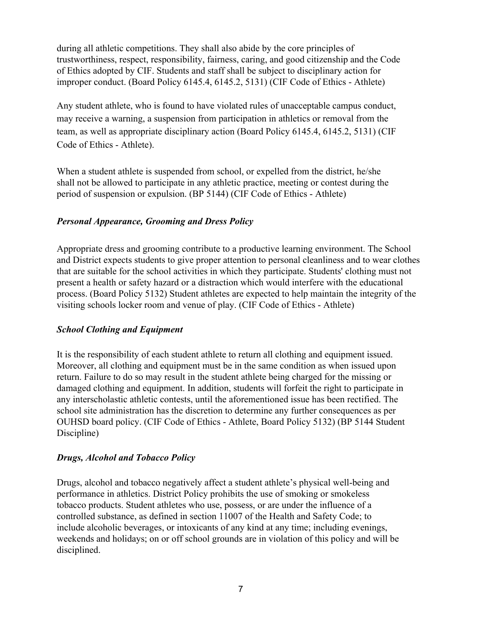during all athletic competitions. They shall also abide by the core principles of trustworthiness, respect, responsibility, fairness, caring, and good citizenship and the Code of Ethics adopted by CIF. Students and staff shall be subject to disciplinary action for improper conduct. (Board Policy 6145.4, 6145.2, 5131) (CIF Code of Ethics - Athlete)

Any student athlete, who is found to have violated rules of unacceptable campus conduct, may receive a warning, a suspension from participation in athletics or removal from the team, as well as appropriate disciplinary action (Board Policy 6145.4, 6145.2, 5131) (CIF Code of Ethics - Athlete).

When a student athlete is suspended from school, or expelled from the district, he/she shall not be allowed to participate in any athletic practice, meeting or contest during the period of suspension or expulsion. (BP 5144) (CIF Code of Ethics - Athlete)

## <span id="page-6-0"></span>*Personal Appearance, Grooming and Dress Policy*

Appropriate dress and grooming contribute to a productive learning environment. The School and District expects students to give proper attention to personal cleanliness and to wear clothes that are suitable for the school activities in which they participate. Students' clothing must not present a health or safety hazard or a distraction which would interfere with the educational process. (Board Policy 5132) Student athletes are expected to help maintain the integrity of the visiting schools locker room and venue of play. (CIF Code of Ethics - Athlete)

## *School Clothing and Equipment*

It is the responsibility of each student athlete to return all clothing and equipment issued. Moreover, all clothing and equipment must be in the same condition as when issued upon return. Failure to do so may result in the student athlete being charged for the missing or damaged clothing and equipment. In addition, students will forfeit the right to participate in any interscholastic athletic contests, until the aforementioned issue has been rectified. The school site administration has the discretion to determine any further consequences as per OUHSD board policy. (CIF Code of Ethics - Athlete, Board Policy 5132) (BP 5144 Student Discipline)

## *Drugs, Alcohol and Tobacco Policy*

Drugs, alcohol and tobacco negatively affect a student athlete's physical well-being and performance in athletics. District Policy prohibits the use of smoking or smokeless tobacco products. Student athletes who use, possess, or are under the influence of a controlled substance, as defined in section 11007 of the Health and Safety Code; to include alcoholic beverages, or intoxicants of any kind at any time; including evenings, weekends and holidays; on or off school grounds are in violation of this policy and will be disciplined.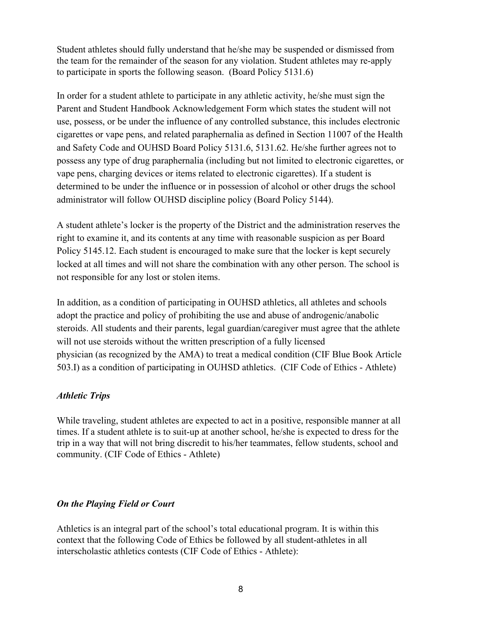Student athletes should fully understand that he/she may be suspended or dismissed from the team for the remainder of the season for any violation. Student athletes may re-apply to participate in sports the following season. (Board Policy 5131.6)

In order for a student athlete to participate in any athletic activity, he/she must sign the Parent and Student Handbook Acknowledgement Form which states the student will not use, possess, or be under the influence of any controlled substance, this includes electronic cigarettes or vape pens, and related paraphernalia as defined in Section 11007 of the Health and Safety Code and OUHSD Board Policy 5131.6, 5131.62. He/she further agrees not to possess any type of drug paraphernalia (including but not limited to electronic cigarettes, or vape pens, charging devices or items related to electronic cigarettes). If a student is determined to be under the influence or in possession of alcohol or other drugs the school administrator will follow OUHSD discipline policy (Board Policy 5144).

A student athlete's locker is the property of the District and the administration reserves the right to examine it, and its contents at any time with reasonable suspicion as per Board Policy 5145.12. Each student is encouraged to make sure that the locker is kept securely locked at all times and will not share the combination with any other person. The school is not responsible for any lost or stolen items.

In addition, as a condition of participating in OUHSD athletics, all athletes and schools adopt the practice and policy of prohibiting the use and abuse of androgenic/anabolic steroids. All students and their parents, legal guardian/caregiver must agree that the athlete will not use steroids without the written prescription of a fully licensed physician (as recognized by the AMA) to treat a medical condition (CIF Blue Book Article 503.I) as a condition of participating in OUHSD athletics. (CIF Code of Ethics - Athlete)

## <span id="page-7-0"></span>*Athletic Trips*

While traveling, student athletes are expected to act in a positive, responsible manner at all times. If a student athlete is to suit-up at another school, he/she is expected to dress for the trip in a way that will not bring discredit to his/her teammates, fellow students, school and community. (CIF Code of Ethics - Athlete)

#### <span id="page-7-1"></span>*On the Playing Field or Court*

Athletics is an integral part of the school's total educational program. It is within this context that the following Code of Ethics be followed by all student-athletes in all interscholastic athletics contests (CIF Code of Ethics - Athlete):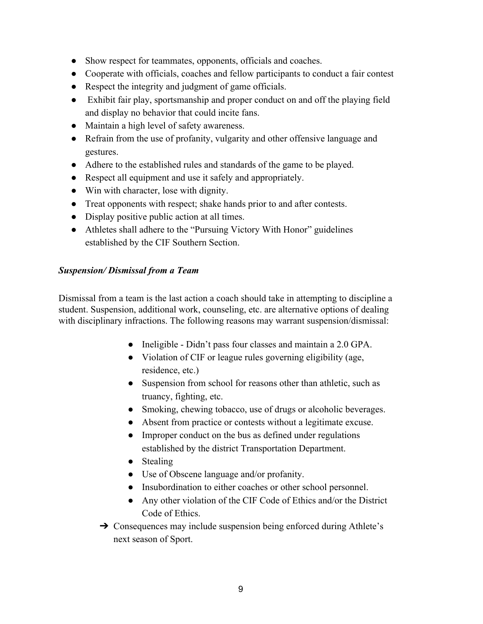- Show respect for teammates, opponents, officials and coaches.
- Cooperate with officials, coaches and fellow participants to conduct a fair contest
- Respect the integrity and judgment of game officials.
- Exhibit fair play, sportsmanship and proper conduct on and off the playing field and display no behavior that could incite fans.
- Maintain a high level of safety awareness.
- Refrain from the use of profanity, vulgarity and other offensive language and gestures.
- Adhere to the established rules and standards of the game to be played.
- Respect all equipment and use it safely and appropriately.
- Win with character, lose with dignity.
- Treat opponents with respect; shake hands prior to and after contests.
- Display positive public action at all times.
- Athletes shall adhere to the "Pursuing Victory With Honor" guidelines established by the CIF Southern Section.

#### <span id="page-8-0"></span>*Suspension/ Dismissal from a Team*

Dismissal from a team is the last action a coach should take in attempting to discipline a student. Suspension, additional work, counseling, etc. are alternative options of dealing with disciplinary infractions. The following reasons may warrant suspension/dismissal:

- Ineligible Didn't pass four classes and maintain a 2.0 GPA.
- Violation of CIF or league rules governing eligibility (age, residence, etc.)
- Suspension from school for reasons other than athletic, such as truancy, fighting, etc.
- Smoking, chewing tobacco, use of drugs or alcoholic beverages.
- Absent from practice or contests without a legitimate excuse.
- Improper conduct on the bus as defined under regulations established by the district Transportation Department.
- Stealing
- Use of Obscene language and/or profanity.
- Insubordination to either coaches or other school personnel.
- Any other violation of the CIF Code of Ethics and/or the District Code of Ethics.
- **→** Consequences may include suspension being enforced during Athlete's next season of Sport.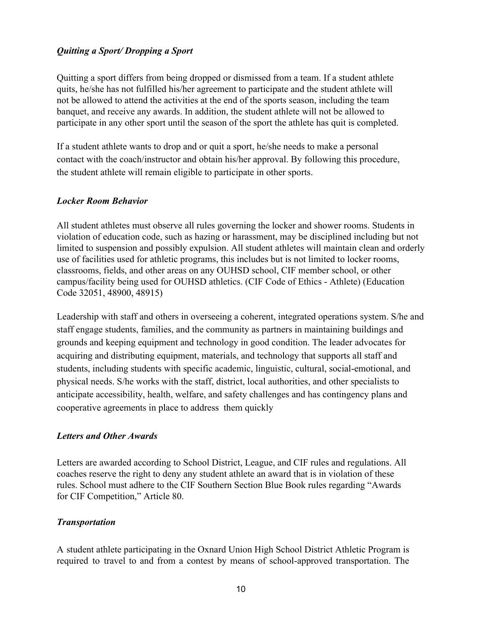## <span id="page-9-0"></span>*Quitting a Sport/ Dropping a Sport*

Quitting a sport differs from being dropped or dismissed from a team. If a student athlete quits, he/she has not fulfilled his/her agreement to participate and the student athlete will not be allowed to attend the activities at the end of the sports season, including the team banquet, and receive any awards. In addition, the student athlete will not be allowed to participate in any other sport until the season of the sport the athlete has quit is completed.

If a student athlete wants to drop and or quit a sport, he/she needs to make a personal contact with the coach/instructor and obtain his/her approval. By following this procedure, the student athlete will remain eligible to participate in other sports.

#### <span id="page-9-1"></span>*Locker Room Behavior*

All student athletes must observe all rules governing the locker and shower rooms. Students in violation of education code, such as hazing or harassment, may be disciplined including but not limited to suspension and possibly expulsion. All student athletes will maintain clean and orderly use of facilities used for athletic programs, this includes but is not limited to locker rooms, classrooms, fields, and other areas on any OUHSD school, CIF member school, or other campus/facility being used for OUHSD athletics. (CIF Code of Ethics - Athlete) (Education Code 32051, 48900, 48915)

Leadership with staff and others in overseeing a coherent, integrated operations system. S/he and staff engage students, families, and the community as partners in maintaining buildings and grounds and keeping equipment and technology in good condition. The leader advocates for acquiring and distributing equipment, materials, and technology that supports all staff and students, including students with specific academic, linguistic, cultural, social-emotional, and physical needs. S/he works with the staff, district, local authorities, and other specialists to anticipate accessibility, health, welfare, and safety challenges and has contingency plans and cooperative agreements in place to address them quickly

## *Letters and Other Awards*

Letters are awarded according to School District, League, and CIF rules and regulations. All coaches reserve the right to deny any student athlete an award that is in violation of these rules. School must adhere to the CIF Southern Section Blue Book rules regarding "Awards for CIF Competition," Article 80.

## *Transportation*

A student athlete participating in the Oxnard Union High School District Athletic Program is required to travel to and from a contest by means of school-approved transportation. The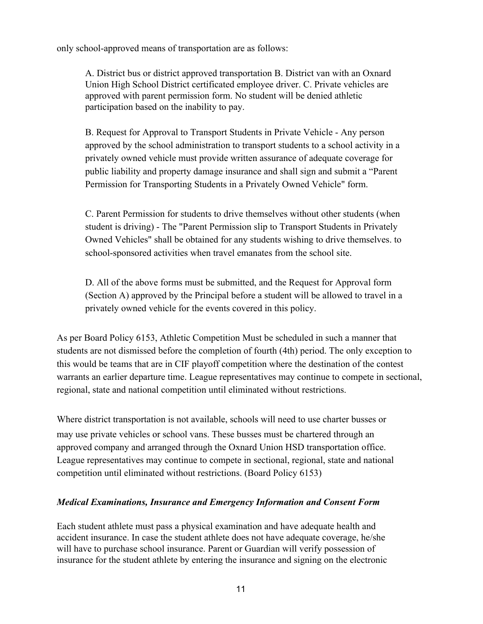only school-approved means of transportation are as follows:

A. District bus or district approved transportation B. District van with an Oxnard Union High School District certificated employee driver. C. Private vehicles are approved with parent permission form. No student will be denied athletic participation based on the inability to pay.

B. Request for Approval to Transport Students in Private Vehicle - Any person approved by the school administration to transport students to a school activity in a privately owned vehicle must provide written assurance of adequate coverage for public liability and property damage insurance and shall sign and submit a "Parent Permission for Transporting Students in a Privately Owned Vehicle" form.

C. Parent Permission for students to drive themselves without other students (when student is driving) - The "Parent Permission slip to Transport Students in Privately Owned Vehicles" shall be obtained for any students wishing to drive themselves. to school-sponsored activities when travel emanates from the school site.

D. All of the above forms must be submitted, and the Request for Approval form (Section A) approved by the Principal before a student will be allowed to travel in a privately owned vehicle for the events covered in this policy.

As per Board Policy 6153, Athletic Competition Must be scheduled in such a manner that students are not dismissed before the completion of fourth (4th) period. The only exception to this would be teams that are in CIF playoff competition where the destination of the contest warrants an earlier departure time. League representatives may continue to compete in sectional, regional, state and national competition until eliminated without restrictions.

Where district transportation is not available, schools will need to use charter busses or may use private vehicles or school vans. These busses must be chartered through an approved company and arranged through the Oxnard Union HSD transportation office. League representatives may continue to compete in sectional, regional, state and national competition until eliminated without restrictions. (Board Policy 6153)

## <span id="page-10-0"></span>*Medical Examinations, Insurance and Emergency Information and Consent Form*

Each student athlete must pass a physical examination and have adequate health and accident insurance. In case the student athlete does not have adequate coverage, he/she will have to purchase school insurance. Parent or Guardian will verify possession of insurance for the student athlete by entering the insurance and signing on the electronic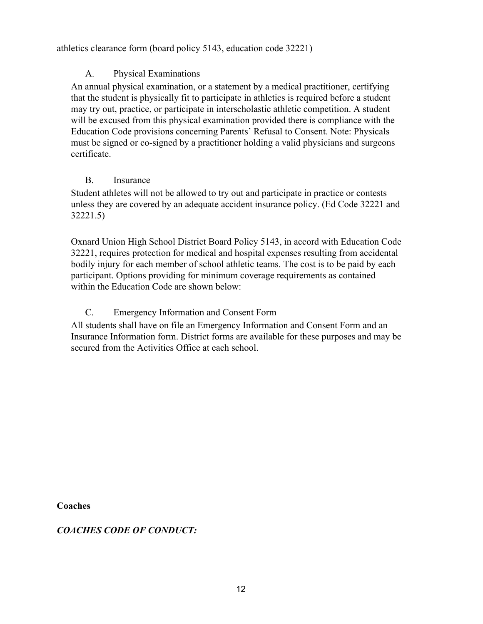athletics clearance form (board policy 5143, education code 32221)

## A. Physical Examinations

An annual physical examination, or a statement by a medical practitioner, certifying that the student is physically fit to participate in athletics is required before a student may try out, practice, or participate in interscholastic athletic competition. A student will be excused from this physical examination provided there is compliance with the Education Code provisions concerning Parents' Refusal to Consent. Note: Physicals must be signed or co-signed by a practitioner holding a valid physicians and surgeons certificate.

## B. Insurance

Student athletes will not be allowed to try out and participate in practice or contests unless they are covered by an adequate accident insurance policy. (Ed Code 32221 and 32221.5)

Oxnard Union High School District Board Policy 5143, in accord with Education Code 32221, requires protection for medical and hospital expenses resulting from accidental bodily injury for each member of school athletic teams. The cost is to be paid by each participant. Options providing for minimum coverage requirements as contained within the Education Code are shown below:

## C. Emergency Information and Consent Form

All students shall have on file an Emergency Information and Consent Form and an Insurance Information form. District forms are available for these purposes and may be secured from the Activities Office at each school.

**Coaches**

<span id="page-11-0"></span>*COACHES CODE OF CONDUCT:*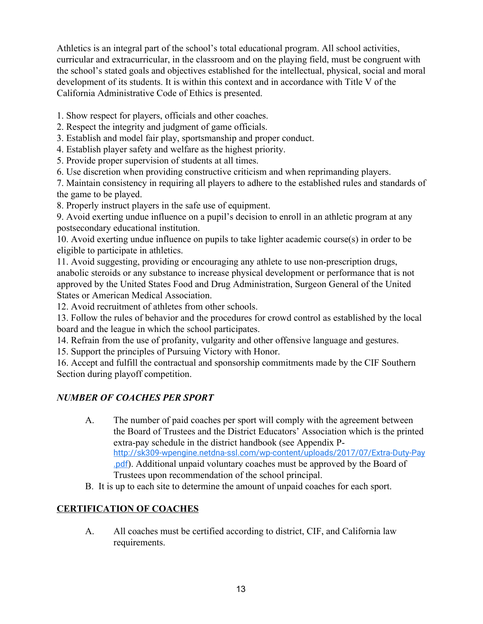Athletics is an integral part of the school's total educational program. All school activities, curricular and extracurricular, in the classroom and on the playing field, must be congruent with the school's stated goals and objectives established for the intellectual, physical, social and moral development of its students. It is within this context and in accordance with Title V of the California Administrative Code of Ethics is presented.

1. Show respect for players, officials and other coaches.

- 2. Respect the integrity and judgment of game officials.
- 3. Establish and model fair play, sportsmanship and proper conduct.
- 4. Establish player safety and welfare as the highest priority.
- 5. Provide proper supervision of students at all times.
- 6. Use discretion when providing constructive criticism and when reprimanding players.

7. Maintain consistency in requiring all players to adhere to the established rules and standards of the game to be played.

8. Properly instruct players in the safe use of equipment.

9. Avoid exerting undue influence on a pupil's decision to enroll in an athletic program at any postsecondary educational institution.

10. Avoid exerting undue influence on pupils to take lighter academic course(s) in order to be eligible to participate in athletics.

11. Avoid suggesting, providing or encouraging any athlete to use non-prescription drugs, anabolic steroids or any substance to increase physical development or performance that is not approved by the United States Food and Drug Administration, Surgeon General of the United States or American Medical Association.

12. Avoid recruitment of athletes from other schools.

13. Follow the rules of behavior and the procedures for crowd control as established by the local board and the league in which the school participates.

14. Refrain from the use of profanity, vulgarity and other offensive language and gestures.

15. Support the principles of Pursuing Victory with Honor.

16. Accept and fulfill the contractual and sponsorship commitments made by the CIF Southern Section during playoff competition.

## <span id="page-12-0"></span>*NUMBER OF COACHES PER SPORT*

- A. The number of paid coaches per sport will comply with the agreement between the Board of Trustees and the District Educators' Association which is the printed extra-pay schedule in the district handbook (see Appendix P[http://sk309-wpengine.netdna-ssl.com/wp-content/uploads/2017/07/Extra-Duty-Pay](http://sk309-wpengine.netdna-ssl.com/wp-content/uploads/2017/07/Extra-Duty-Pay.pdf) [.pdf](http://sk309-wpengine.netdna-ssl.com/wp-content/uploads/2017/07/Extra-Duty-Pay.pdf)). Additional unpaid voluntary coaches must be approved by the Board of Trustees upon recommendation of the school principal.
- B. It is up to each site to determine the amount of unpaid coaches for each sport.

## **CERTIFICATION OF COACHES**

A. All coaches must be certified according to district, CIF, and California law requirements.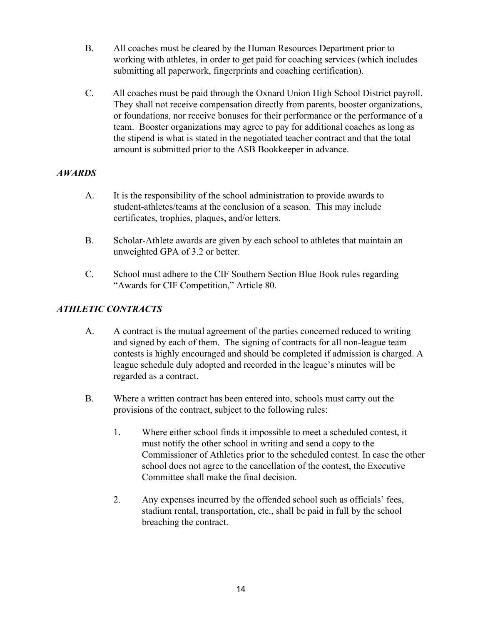- B. All coaches must be cleared by the Human Resources Department prior to working with athletes, in order to get paid for coaching services (which includes submitting all paperwork, fingerprints and coaching certification).
- C. All coaches must be paid through the Oxnard Union High School District payroll. They shall not receive compensation directly from parents, booster organizations, or foundations, nor receive bonuses for their performance or the performance of a team. Booster organizations may agree to pay for additional coaches as long as the stipend is what is stated in the negotiated teacher contract and that the total amount is submitted prior to the ASB Bookkeeper in advance.

## <span id="page-13-0"></span>*AWARDS*

- A. It is the responsibility of the school administration to provide awards to student-athletes/teams at the conclusion of a season. This may include certificates, trophies, plaques, and/or letters.
- B. Scholar-Athlete awards are given by each school to athletes that maintain an unweighted GPA of 3.2 or better.
- C. School must adhere to the CIF Southern Section Blue Book rules regarding "Awards for CIF Competition," Article 80.

## <span id="page-13-1"></span>*ATHLETIC CONTRACTS*

- A. A contract is the mutual agreement of the parties concerned reduced to writing and signed by each of them. The signing of contracts for all non-league team contests is highly encouraged and should be completed if admission is charged. A league schedule duly adopted and recorded in the league's minutes will be regarded as a contract.
- B. Where a written contract has been entered into, schools must carry out the provisions of the contract, subject to the following rules:
	- 1. Where either school finds it impossible to meet a scheduled contest, it must notify the other school in writing and send a copy to the Commissioner of Athletics prior to the scheduled contest. In case the other school does not agree to the cancellation of the contest, the Executive Committee shall make the final decision.
	- 2. Any expenses incurred by the offended school such as officials' fees, stadium rental, transportation, etc., shall be paid in full by the school breaching the contract.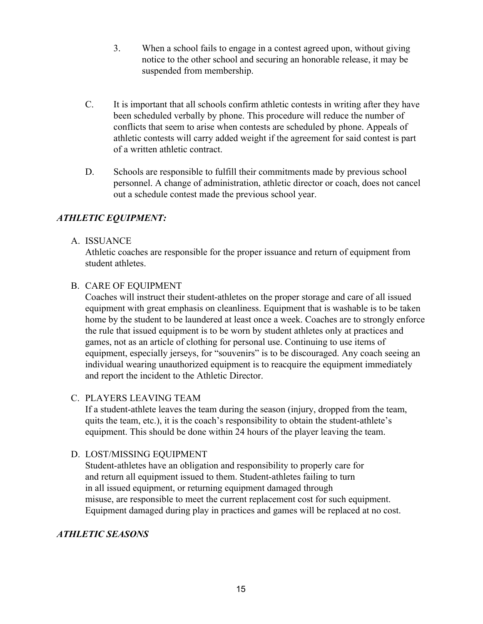- 3. When a school fails to engage in a contest agreed upon, without giving notice to the other school and securing an honorable release, it may be suspended from membership.
- C. It is important that all schools confirm athletic contests in writing after they have been scheduled verbally by phone. This procedure will reduce the number of conflicts that seem to arise when contests are scheduled by phone. Appeals of athletic contests will carry added weight if the agreement for said contest is part of a written athletic contract.
- D. Schools are responsible to fulfill their commitments made by previous school personnel. A change of administration, athletic director or coach, does not cancel out a schedule contest made the previous school year.

## <span id="page-14-0"></span>*ATHLETIC EQUIPMENT:*

## A. ISSUANCE

Athletic coaches are responsible for the proper issuance and return of equipment from student athletes.

## B. CARE OF EQUIPMENT

Coaches will instruct their student-athletes on the proper storage and care of all issued equipment with great emphasis on cleanliness. Equipment that is washable is to be taken home by the student to be laundered at least once a week. Coaches are to strongly enforce the rule that issued equipment is to be worn by student athletes only at practices and games, not as an article of clothing for personal use. Continuing to use items of equipment, especially jerseys, for "souvenirs" is to be discouraged. Any coach seeing an individual wearing unauthorized equipment is to reacquire the equipment immediately and report the incident to the Athletic Director.

## C. PLAYERS LEAVING TEAM

If a student-athlete leaves the team during the season (injury, dropped from the team, quits the team, etc.), it is the coach's responsibility to obtain the student-athlete's equipment. This should be done within 24 hours of the player leaving the team.

## D. LOST/MISSING EQUIPMENT

Student-athletes have an obligation and responsibility to properly care for and return all equipment issued to them. Student-athletes failing to turn in all issued equipment, or returning equipment damaged through misuse, are responsible to meet the current replacement cost for such equipment. Equipment damaged during play in practices and games will be replaced at no cost.

## <span id="page-14-1"></span>*ATHLETIC SEASONS*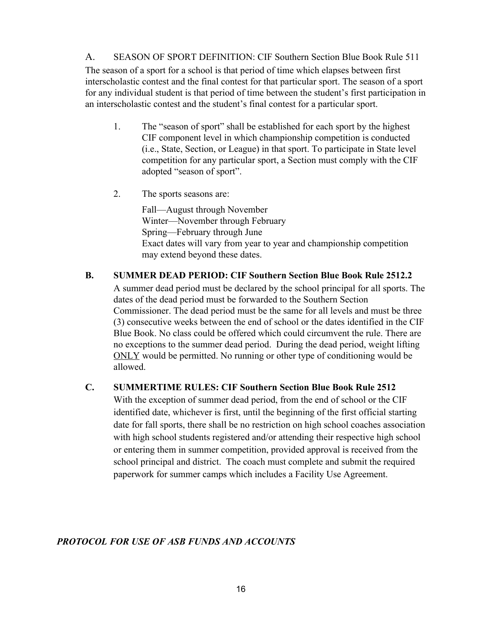A. SEASON OF SPORT DEFINITION: CIF Southern Section Blue Book Rule 511 The season of a sport for a school is that period of time which elapses between first interscholastic contest and the final contest for that particular sport. The season of a sport for any individual student is that period of time between the student's first participation in an interscholastic contest and the student's final contest for a particular sport.

- 1. The "season of sport" shall be established for each sport by the highest CIF component level in which championship competition is conducted (i.e., State, Section, or League) in that sport. To participate in State level competition for any particular sport, a Section must comply with the CIF adopted "season of sport".
- 2. The sports seasons are:

Fall—August through November Winter—November through February Spring—February through June Exact dates will vary from year to year and championship competition may extend beyond these dates.

## **B. SUMMER DEAD PERIOD: CIF Southern Section Blue Book Rule 2512.2**

A summer dead period must be declared by the school principal for all sports. The dates of the dead period must be forwarded to the Southern Section Commissioner. The dead period must be the same for all levels and must be three (3) consecutive weeks between the end of school or the dates identified in the CIF Blue Book. No class could be offered which could circumvent the rule. There are no exceptions to the summer dead period. During the dead period, weight lifting ONLY would be permitted. No running or other type of conditioning would be allowed.

## **C. SUMMERTIME RULES: CIF Southern Section Blue Book Rule 2512**

With the exception of summer dead period, from the end of school or the CIF identified date, whichever is first, until the beginning of the first official starting date for fall sports, there shall be no restriction on high school coaches association with high school students registered and/or attending their respective high school or entering them in summer competition, provided approval is received from the school principal and district. The coach must complete and submit the required paperwork for summer camps which includes a Facility Use Agreement.

## <span id="page-15-0"></span>*PROTOCOL FOR USE OF ASB FUNDS AND ACCOUNTS*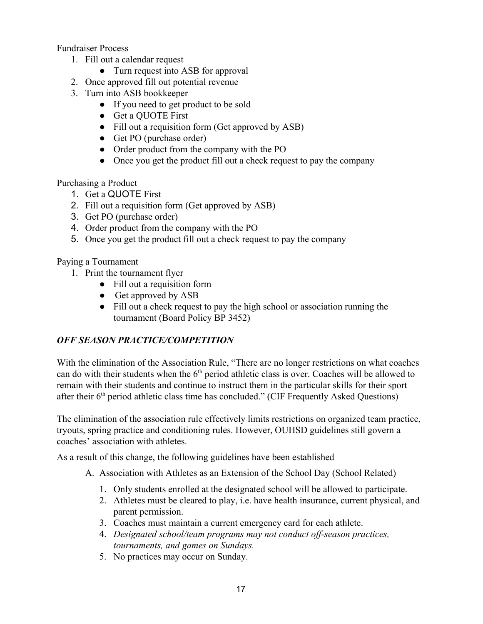Fundraiser Process

- 1. Fill out a calendar request
	- Turn request into ASB for approval
- 2. Once approved fill out potential revenue
- 3. Turn into ASB bookkeeper
	- If you need to get product to be sold
	- Get a QUOTE First
	- Fill out a requisition form (Get approved by ASB)
	- Get PO (purchase order)
	- Order product from the company with the PO
	- Once you get the product fill out a check request to pay the company

Purchasing a Product

- 1. Get a QUOTE First
- 2. Fill out a requisition form (Get approved by ASB)
- 3. Get PO (purchase order)
- 4. Order product from the company with the PO
- 5. Once you get the product fill out a check request to pay the company

Paying a Tournament

- 1. Print the tournament flyer
	- Fill out a requisition form
	- Get approved by ASB
	- Fill out a check request to pay the high school or association running the tournament (Board Policy BP 3452)

## <span id="page-16-0"></span>*OFF SEASON PRACTICE/COMPETITION*

With the elimination of the Association Rule, "There are no longer restrictions on what coaches can do with their students when the  $6<sup>th</sup>$  period athletic class is over. Coaches will be allowed to remain with their students and continue to instruct them in the particular skills for their sport after their 6<sup>th</sup> period athletic class time has concluded." (CIF Frequently Asked Questions)

The elimination of the association rule effectively limits restrictions on organized team practice, tryouts, spring practice and conditioning rules. However, OUHSD guidelines still govern a coaches' association with athletes.

As a result of this change, the following guidelines have been established

- A. Association with Athletes as an Extension of the School Day (School Related)
	- 1. Only students enrolled at the designated school will be allowed to participate.
	- 2. Athletes must be cleared to play, i.e. have health insurance, current physical, and parent permission.
	- 3. Coaches must maintain a current emergency card for each athlete.
	- 4. *Designated school/team programs may not conduct off-season practices, tournaments, and games on Sundays.*
	- 5. No practices may occur on Sunday.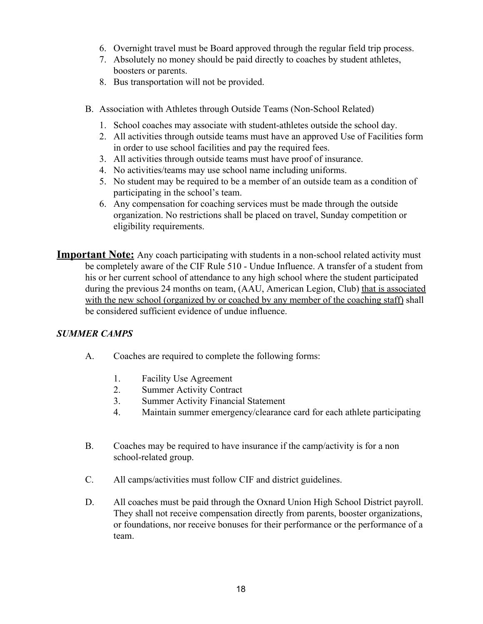- 6. Overnight travel must be Board approved through the regular field trip process.
- 7. Absolutely no money should be paid directly to coaches by student athletes, boosters or parents.
- 8. Bus transportation will not be provided.
- B. Association with Athletes through Outside Teams (Non-School Related)
	- 1. School coaches may associate with student-athletes outside the school day.
	- 2. All activities through outside teams must have an approved Use of Facilities form in order to use school facilities and pay the required fees.
	- 3. All activities through outside teams must have proof of insurance.
	- 4. No activities/teams may use school name including uniforms.
	- 5. No student may be required to be a member of an outside team as a condition of participating in the school's team.
	- 6. Any compensation for coaching services must be made through the outside organization. No restrictions shall be placed on travel, Sunday competition or eligibility requirements.

**Important Note:** Any coach participating with students in a non-school related activity must be completely aware of the CIF Rule 510 - Undue Influence. A transfer of a student from his or her current school of attendance to any high school where the student participated during the previous 24 months on team, (AAU, American Legion, Club) that is associated with the new school (organized by or coached by any member of the coaching staff) shall be considered sufficient evidence of undue influence.

## <span id="page-17-0"></span>*SUMMER CAMPS*

- A. Coaches are required to complete the following forms:
	- 1. Facility Use Agreement
	- 2. Summer Activity Contract
	- 3. Summer Activity Financial Statement
	- 4. Maintain summer emergency/clearance card for each athlete participating
- B. Coaches may be required to have insurance if the camp/activity is for a non school-related group.
- C. All camps/activities must follow CIF and district guidelines.
- D. All coaches must be paid through the Oxnard Union High School District payroll. They shall not receive compensation directly from parents, booster organizations, or foundations, nor receive bonuses for their performance or the performance of a team.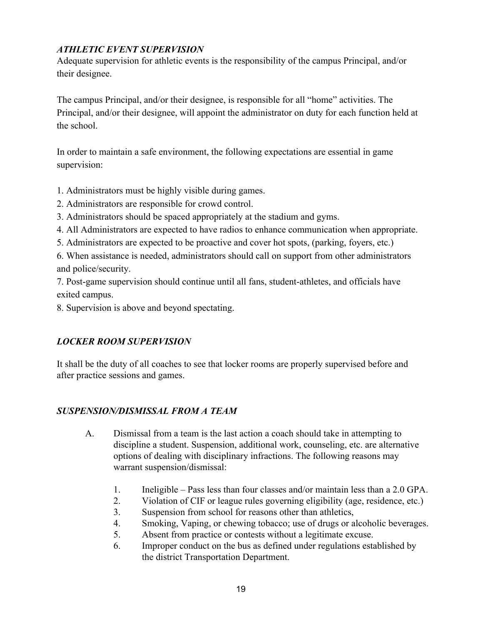## *ATHLETIC EVENT SUPERVISION*

Adequate supervision for athletic events is the responsibility of the campus Principal, and/or their designee.

The campus Principal, and/or their designee, is responsible for all "home" activities. The Principal, and/or their designee, will appoint the administrator on duty for each function held at the school.

In order to maintain a safe environment, the following expectations are essential in game supervision:

1. Administrators must be highly visible during games.

- 2. Administrators are responsible for crowd control.
- 3. Administrators should be spaced appropriately at the stadium and gyms.
- 4. All Administrators are expected to have radios to enhance communication when appropriate.
- 5. Administrators are expected to be proactive and cover hot spots, (parking, foyers, etc.)

6. When assistance is needed, administrators should call on support from other administrators and police/security.

7. Post-game supervision should continue until all fans, student-athletes, and officials have exited campus.

<span id="page-18-0"></span>8. Supervision is above and beyond spectating.

## *LOCKER ROOM SUPERVISION*

It shall be the duty of all coaches to see that locker rooms are properly supervised before and after practice sessions and games.

## *SUSPENSION/DISMISSAL FROM A TEAM*

- A. Dismissal from a team is the last action a coach should take in attempting to discipline a student. Suspension, additional work, counseling, etc. are alternative options of dealing with disciplinary infractions. The following reasons may warrant suspension/dismissal:
	- 1. Ineligible Pass less than four classes and/or maintain less than a 2.0 GPA.
	- 2. Violation of CIF or league rules governing eligibility (age, residence, etc.)
	- 3. Suspension from school for reasons other than athletics,
	- 4. Smoking, Vaping, or chewing tobacco; use of drugs or alcoholic beverages.
	- 5. Absent from practice or contests without a legitimate excuse.
	- 6. Improper conduct on the bus as defined under regulations established by the district Transportation Department.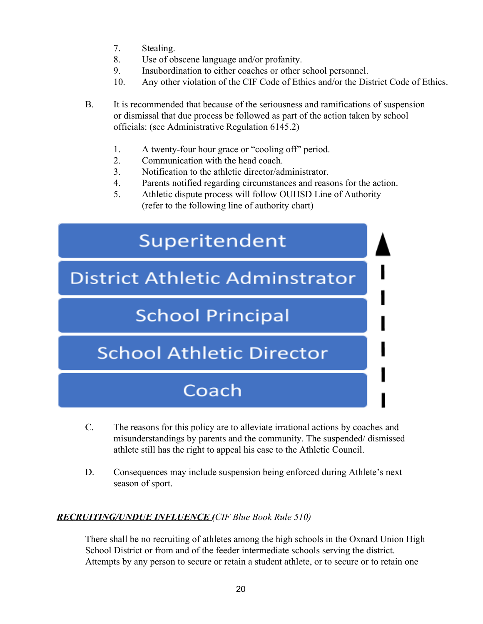- 7. Stealing.
- 8. Use of obscene language and/or profanity.
- 9. Insubordination to either coaches or other school personnel.
- 10. Any other violation of the CIF Code of Ethics and/or the District Code of Ethics.

- 1. A twenty-four hour grace or "cooling off" period.
- 2. Communication with the head coach.
- 3. Notification to the athletic director/administrator.
- 4. Parents notified regarding circumstances and reasons for the action.
- 5. Athletic dispute process will follow OUHSD Line of Authority (refer to the following line of authority chart)



- C. The reasons for this policy are to alleviate irrational actions by coaches and misunderstandings by parents and the community. The suspended/ dismissed athlete still has the right to appeal his case to the Athletic Council.
- D. Consequences may include suspension being enforced during Athlete's next season of sport.

## <span id="page-19-0"></span>*RECRUITING/UNDUE INFLUENCE (CIF Blue Book Rule 510)*

There shall be no recruiting of athletes among the high schools in the Oxnard Union High School District or from and of the feeder intermediate schools serving the district. Attempts by any person to secure or retain a student athlete, or to secure or to retain one

B. It is recommended that because of the seriousness and ramifications of suspension or dismissal that due process be followed as part of the action taken by school officials: (see Administrative Regulation 6145.2)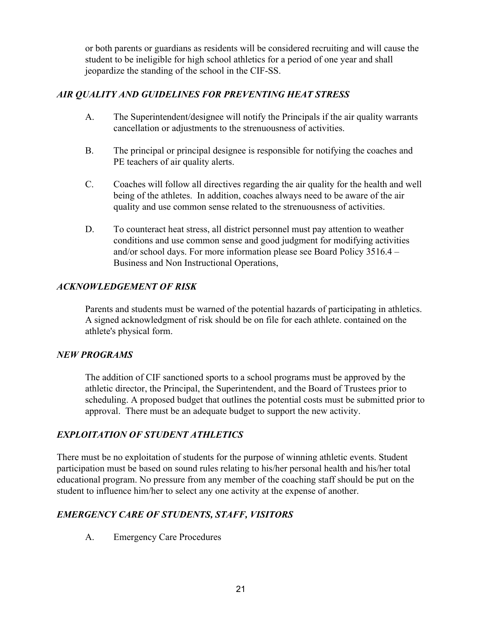or both parents or guardians as residents will be considered recruiting and will cause the student to be ineligible for high school athletics for a period of one year and shall jeopardize the standing of the school in the CIF-SS.

## <span id="page-20-0"></span>*AIR QUALITY AND GUIDELINES FOR PREVENTING HEAT STRESS*

- A. The Superintendent/designee will notify the Principals if the air quality warrants cancellation or adjustments to the strenuousness of activities.
- B. The principal or principal designee is responsible for notifying the coaches and PE teachers of air quality alerts.
- C. Coaches will follow all directives regarding the air quality for the health and well being of the athletes. In addition, coaches always need to be aware of the air quality and use common sense related to the strenuousness of activities.
- D. To counteract heat stress, all district personnel must pay attention to weather conditions and use common sense and good judgment for modifying activities and/or school days. For more information please see Board Policy 3516.4 – Business and Non Instructional Operations,

## <span id="page-20-1"></span>*ACKNOWLEDGEMENT OF RISK*

Parents and students must be warned of the potential hazards of participating in athletics. A signed acknowledgment of risk should be on file for each athlete. contained on the athlete's physical form.

## <span id="page-20-2"></span>*NEW PROGRAMS*

 The addition of CIF sanctioned sports to a school programs must be approved by the athletic director, the Principal, the Superintendent, and the Board of Trustees prior to scheduling. A proposed budget that outlines the potential costs must be submitted prior to approval. There must be an adequate budget to support the new activity.

## <span id="page-20-3"></span>*EXPLOITATION OF STUDENT ATHLETICS*

There must be no exploitation of students for the purpose of winning athletic events. Student participation must be based on sound rules relating to his/her personal health and his/her total educational program. No pressure from any member of the coaching staff should be put on the student to influence him/her to select any one activity at the expense of another.

## <span id="page-20-4"></span>*EMERGENCY CARE OF STUDENTS, STAFF, VISITORS*

A. Emergency Care Procedures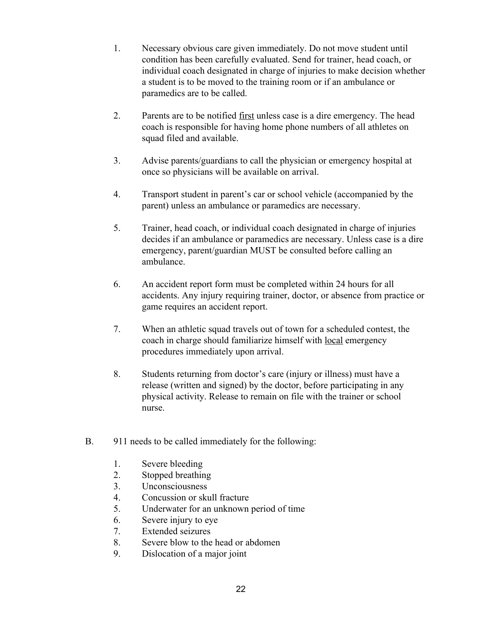- 1. Necessary obvious care given immediately. Do not move student until condition has been carefully evaluated. Send for trainer, head coach, or individual coach designated in charge of injuries to make decision whether a student is to be moved to the training room or if an ambulance or paramedics are to be called.
- 2. Parents are to be notified first unless case is a dire emergency. The head coach is responsible for having home phone numbers of all athletes on squad filed and available.
- 3. Advise parents/guardians to call the physician or emergency hospital at once so physicians will be available on arrival.
- 4. Transport student in parent's car or school vehicle (accompanied by the parent) unless an ambulance or paramedics are necessary.
- 5. Trainer, head coach, or individual coach designated in charge of injuries decides if an ambulance or paramedics are necessary. Unless case is a dire emergency, parent/guardian MUST be consulted before calling an ambulance.
- 6. An accident report form must be completed within 24 hours for all accidents. Any injury requiring trainer, doctor, or absence from practice or game requires an accident report.
- 7. When an athletic squad travels out of town for a scheduled contest, the coach in charge should familiarize himself with local emergency procedures immediately upon arrival.
- 8. Students returning from doctor's care (injury or illness) must have a release (written and signed) by the doctor, before participating in any physical activity. Release to remain on file with the trainer or school nurse.
- B. 911 needs to be called immediately for the following:
	- 1. Severe bleeding
	- 2. Stopped breathing
	- 3. Unconsciousness
	- 4. Concussion or skull fracture
	- 5. Underwater for an unknown period of time
	- 6. Severe injury to eye
	- 7. Extended seizures
	- 8. Severe blow to the head or abdomen
	- 9. Dislocation of a major joint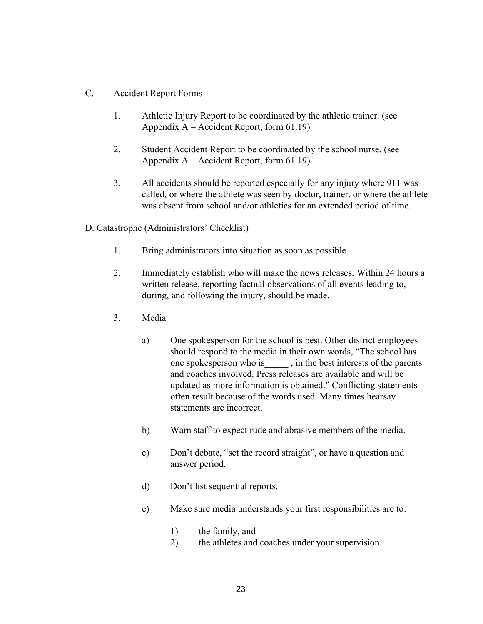- C. Accident Report Forms
	- 1. Athletic Injury Report to be coordinated by the athletic trainer. (see Appendix A – Accident Report, form 61.19)
	- 2. Student Accident Report to be coordinated by the school nurse. (see Appendix A – Accident Report, form 61.19)
	- 3. All accidents should be reported especially for any injury where 911 was called, or where the athlete was seen by doctor, trainer, or where the athlete was absent from school and/or athletics for an extended period of time.
- D. Catastrophe (Administrators' Checklist)
	- 1. Bring administrators into situation as soon as possible.
	- 2. Immediately establish who will make the news releases. Within 24 hours a written release, reporting factual observations of all events leading to, during, and following the injury, should be made.
	- 3. Media
		- a) One spokesperson for the school is best. Other district employees should respond to the media in their own words, "The school has one spokesperson who is , in the best interests of the parents and coaches involved. Press releases are available and will be updated as more information is obtained." Conflicting statements often result because of the words used. Many times hearsay statements are incorrect.
		- b) Warn staff to expect rude and abrasive members of the media.
		- c) Don't debate, "set the record straight", or have a question and answer period.
		- d) Don't list sequential reports.
		- e) Make sure media understands your first responsibilities are to:
			- 1) the family, and
			- 2) the athletes and coaches under your supervision.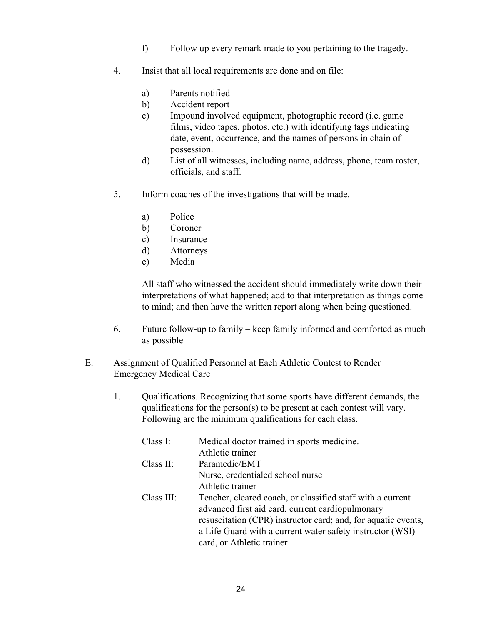- f) Follow up every remark made to you pertaining to the tragedy.
- 4. Insist that all local requirements are done and on file:
	- a) Parents notified
	- b) Accident report
	- c) Impound involved equipment, photographic record (i.e. game films, video tapes, photos, etc.) with identifying tags indicating date, event, occurrence, and the names of persons in chain of possession.
	- d) List of all witnesses, including name, address, phone, team roster, officials, and staff.
- 5. Inform coaches of the investigations that will be made.
	- a) Police
	- b) Coroner
	- c) Insurance
	- d) Attorneys
	- e) Media

All staff who witnessed the accident should immediately write down their interpretations of what happened; add to that interpretation as things come to mind; and then have the written report along when being questioned.

- 6. Future follow-up to family keep family informed and comforted as much as possible
- E. Assignment of Qualified Personnel at Each Athletic Contest to Render Emergency Medical Care
	- 1. Qualifications. Recognizing that some sports have different demands, the qualifications for the person(s) to be present at each contest will vary. Following are the minimum qualifications for each class.

| Class I:   | Medical doctor trained in sports medicine.                    |
|------------|---------------------------------------------------------------|
|            | Athletic trainer                                              |
| Class II:  | Paramedic/EMT                                                 |
|            | Nurse, credentialed school nurse                              |
|            | Athletic trainer                                              |
| Class III: | Teacher, cleared coach, or classified staff with a current    |
|            | advanced first aid card, current cardiopulmonary              |
|            | resuscitation (CPR) instructor card; and, for aquatic events, |
|            | a Life Guard with a current water safety instructor (WSI)     |
|            | card, or Athletic trainer                                     |
|            |                                                               |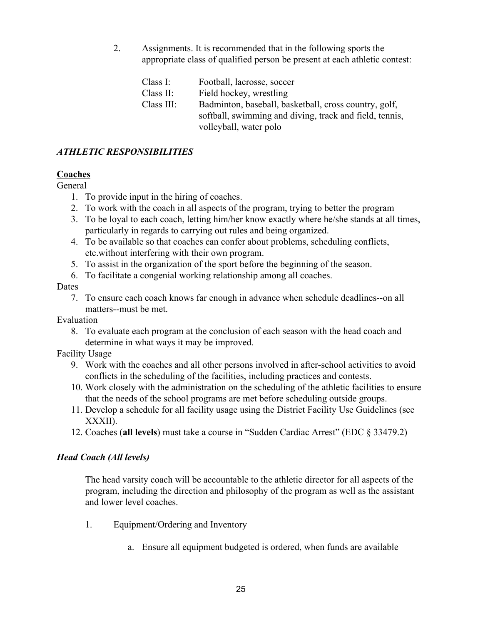2. Assignments. It is recommended that in the following sports the appropriate class of qualified person be present at each athletic contest:

| Class I:   | Football, lacrosse, soccer                                                                                       |
|------------|------------------------------------------------------------------------------------------------------------------|
| Class II:  | Field hockey, wrestling                                                                                          |
| Class III: | Badminton, baseball, basketball, cross country, golf,<br>softball, swimming and diving, track and field, tennis, |
|            | volleyball, water polo                                                                                           |

## <span id="page-24-0"></span>*ATHLETIC RESPONSIBILITIES*

## **Coaches**

General

- 1. To provide input in the hiring of coaches.
- 2. To work with the coach in all aspects of the program, trying to better the program
- 3. To be loyal to each coach, letting him/her know exactly where he/she stands at all times, particularly in regards to carrying out rules and being organized.
- 4. To be available so that coaches can confer about problems, scheduling conflicts, etc.without interfering with their own program.
- 5. To assist in the organization of the sport before the beginning of the season.
- 6. To facilitate a congenial working relationship among all coaches.

#### Dates

7. To ensure each coach knows far enough in advance when schedule deadlines--on all matters--must be met.

Evaluation

8. To evaluate each program at the conclusion of each season with the head coach and determine in what ways it may be improved.

Facility Usage

- 9. Work with the coaches and all other persons involved in after-school activities to avoid conflicts in the scheduling of the facilities, including practices and contests.
- 10. Work closely with the administration on the scheduling of the athletic facilities to ensure that the needs of the school programs are met before scheduling outside groups.
- 11. Develop a schedule for all facility usage using the District Facility Use Guidelines (see XXXII).
- 12. Coaches (**all levels**) must take a course in "Sudden Cardiac Arrest" (EDC § 33479.2)

#### <span id="page-24-1"></span>*Head Coach (All levels)*

The head varsity coach will be accountable to the athletic director for all aspects of the program, including the direction and philosophy of the program as well as the assistant and lower level coaches.

- 1. Equipment/Ordering and Inventory
	- a. Ensure all equipment budgeted is ordered, when funds are available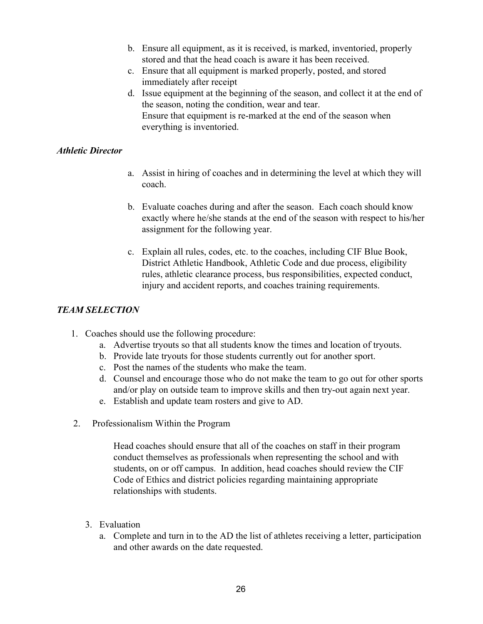- b. Ensure all equipment, as it is received, is marked, inventoried, properly stored and that the head coach is aware it has been received.
- c. Ensure that all equipment is marked properly, posted, and stored immediately after receipt
- d. Issue equipment at the beginning of the season, and collect it at the end of the season, noting the condition, wear and tear. Ensure that equipment is re-marked at the end of the season when everything is inventoried.

#### <span id="page-25-0"></span>*Athletic Director*

- a. Assist in hiring of coaches and in determining the level at which they will coach.
- b. Evaluate coaches during and after the season. Each coach should know exactly where he/she stands at the end of the season with respect to his/her assignment for the following year.
- c. Explain all rules, codes, etc. to the coaches, including CIF Blue Book, District Athletic Handbook, Athletic Code and due process, eligibility rules, athletic clearance process, bus responsibilities, expected conduct, injury and accident reports, and coaches training requirements.

#### <span id="page-25-1"></span>*TEAM SELECTION*

- 1. Coaches should use the following procedure:
	- a. Advertise tryouts so that all students know the times and location of tryouts.
	- b. Provide late tryouts for those students currently out for another sport.
	- c. Post the names of the students who make the team.
	- d. Counsel and encourage those who do not make the team to go out for other sports and/or play on outside team to improve skills and then try-out again next year.
	- e. Establish and update team rosters and give to AD.
- 2. Professionalism Within the Program

Head coaches should ensure that all of the coaches on staff in their program conduct themselves as professionals when representing the school and with students, on or off campus. In addition, head coaches should review the CIF Code of Ethics and district policies regarding maintaining appropriate relationships with students.

- 3. Evaluation
	- a. Complete and turn in to the AD the list of athletes receiving a letter, participation and other awards on the date requested.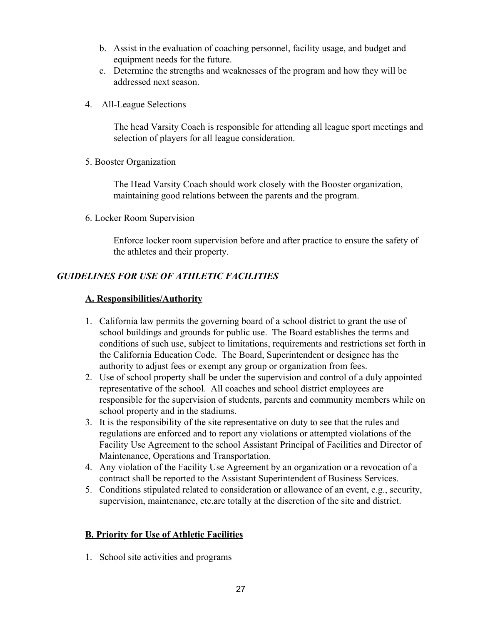- b. Assist in the evaluation of coaching personnel, facility usage, and budget and equipment needs for the future.
- c. Determine the strengths and weaknesses of the program and how they will be addressed next season.
- 4. All-League Selections

The head Varsity Coach is responsible for attending all league sport meetings and selection of players for all league consideration.

5. Booster Organization

The Head Varsity Coach should work closely with the Booster organization, maintaining good relations between the parents and the program.

6. Locker Room Supervision

Enforce locker room supervision before and after practice to ensure the safety of the athletes and their property.

## <span id="page-26-0"></span>*GUIDELINES FOR USE OF ATHLETIC FACILITIES*

#### **A. Responsibilities/Authority**

- 1. California law permits the governing board of a school district to grant the use of school buildings and grounds for public use. The Board establishes the terms and conditions of such use, subject to limitations, requirements and restrictions set forth in the California Education Code. The Board, Superintendent or designee has the authority to adjust fees or exempt any group or organization from fees.
- 2. Use of school property shall be under the supervision and control of a duly appointed representative of the school. All coaches and school district employees are responsible for the supervision of students, parents and community members while on school property and in the stadiums.
- 3. It is the responsibility of the site representative on duty to see that the rules and regulations are enforced and to report any violations or attempted violations of the Facility Use Agreement to the school Assistant Principal of Facilities and Director of Maintenance, Operations and Transportation.
- 4. Any violation of the Facility Use Agreement by an organization or a revocation of a contract shall be reported to the Assistant Superintendent of Business Services.
- 5. Conditions stipulated related to consideration or allowance of an event, e.g., security, supervision, maintenance, etc.are totally at the discretion of the site and district.

## **B. Priority for Use of Athletic Facilities**

1. School site activities and programs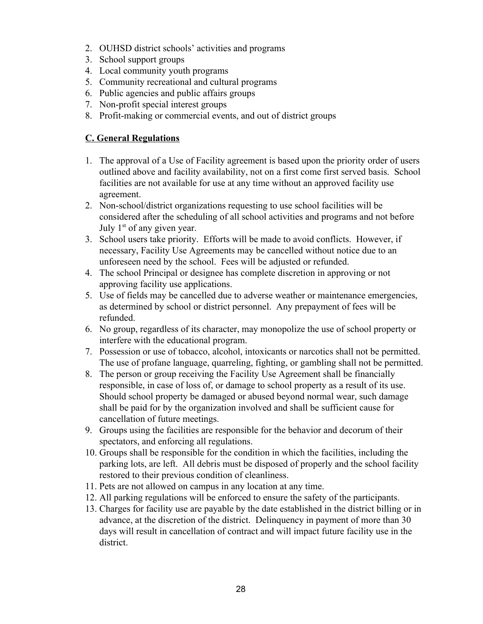- 2. OUHSD district schools' activities and programs
- 3. School support groups
- 4. Local community youth programs
- 5. Community recreational and cultural programs
- 6. Public agencies and public affairs groups
- 7. Non-profit special interest groups
- 8. Profit-making or commercial events, and out of district groups

## **C. General Regulations**

- 1. The approval of a Use of Facility agreement is based upon the priority order of users outlined above and facility availability, not on a first come first served basis. School facilities are not available for use at any time without an approved facility use agreement.
- 2. Non-school/district organizations requesting to use school facilities will be considered after the scheduling of all school activities and programs and not before July 1<sup>st</sup> of any given year.
- 3. School users take priority. Efforts will be made to avoid conflicts. However, if necessary, Facility Use Agreements may be cancelled without notice due to an unforeseen need by the school. Fees will be adjusted or refunded.
- 4. The school Principal or designee has complete discretion in approving or not approving facility use applications.
- 5. Use of fields may be cancelled due to adverse weather or maintenance emergencies, as determined by school or district personnel. Any prepayment of fees will be refunded.
- 6. No group, regardless of its character, may monopolize the use of school property or interfere with the educational program.
- 7. Possession or use of tobacco, alcohol, intoxicants or narcotics shall not be permitted. The use of profane language, quarreling, fighting, or gambling shall not be permitted.
- 8. The person or group receiving the Facility Use Agreement shall be financially responsible, in case of loss of, or damage to school property as a result of its use. Should school property be damaged or abused beyond normal wear, such damage shall be paid for by the organization involved and shall be sufficient cause for cancellation of future meetings.
- 9. Groups using the facilities are responsible for the behavior and decorum of their spectators, and enforcing all regulations.
- 10. Groups shall be responsible for the condition in which the facilities, including the parking lots, are left. All debris must be disposed of properly and the school facility restored to their previous condition of cleanliness.
- 11. Pets are not allowed on campus in any location at any time.
- 12. All parking regulations will be enforced to ensure the safety of the participants.
- 13. Charges for facility use are payable by the date established in the district billing or in advance, at the discretion of the district. Delinquency in payment of more than 30 days will result in cancellation of contract and will impact future facility use in the district.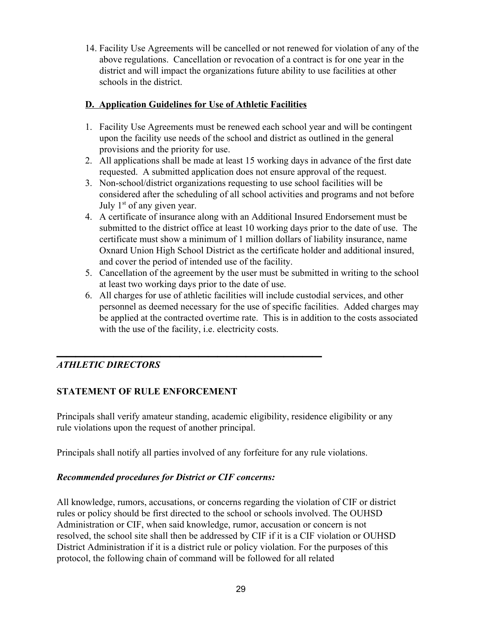14. Facility Use Agreements will be cancelled or not renewed for violation of any of the above regulations. Cancellation or revocation of a contract is for one year in the district and will impact the organizations future ability to use facilities at other schools in the district.

## **D. Application Guidelines for Use of Athletic Facilities**

- 1. Facility Use Agreements must be renewed each school year and will be contingent upon the facility use needs of the school and district as outlined in the general provisions and the priority for use.
- 2. All applications shall be made at least 15 working days in advance of the first date requested. A submitted application does not ensure approval of the request.
- 3. Non-school/district organizations requesting to use school facilities will be considered after the scheduling of all school activities and programs and not before July 1<sup>st</sup> of any given year.
- 4. A certificate of insurance along with an Additional Insured Endorsement must be submitted to the district office at least 10 working days prior to the date of use. The certificate must show a minimum of 1 million dollars of liability insurance, name Oxnard Union High School District as the certificate holder and additional insured, and cover the period of intended use of the facility.
- 5. Cancellation of the agreement by the user must be submitted in writing to the school at least two working days prior to the date of use.
- 6. All charges for use of athletic facilities will include custodial services, and other personnel as deemed necessary for the use of specific facilities. Added charges may be applied at the contracted overtime rate. This is in addition to the costs associated with the use of the facility, i.e. electricity costs.

## <span id="page-28-0"></span>*ATHLETIC DIRECTORS*

## **STATEMENT OF RULE ENFORCEMENT**

Principals shall verify amateur standing, academic eligibility, residence eligibility or any rule violations upon the request of another principal.

Principals shall notify all parties involved of any forfeiture for any rule violations.

**\_\_\_\_\_\_\_\_\_\_\_\_\_\_\_\_\_\_\_\_\_\_\_\_\_\_\_\_**

## <span id="page-28-1"></span>*Recommended procedures for District or CIF concerns:*

All knowledge, rumors, accusations, or concerns regarding the violation of CIF or district rules or policy should be first directed to the school or schools involved. The OUHSD Administration or CIF, when said knowledge, rumor, accusation or concern is not resolved, the school site shall then be addressed by CIF if it is a CIF violation or OUHSD District Administration if it is a district rule or policy violation. For the purposes of this protocol, the following chain of command will be followed for all related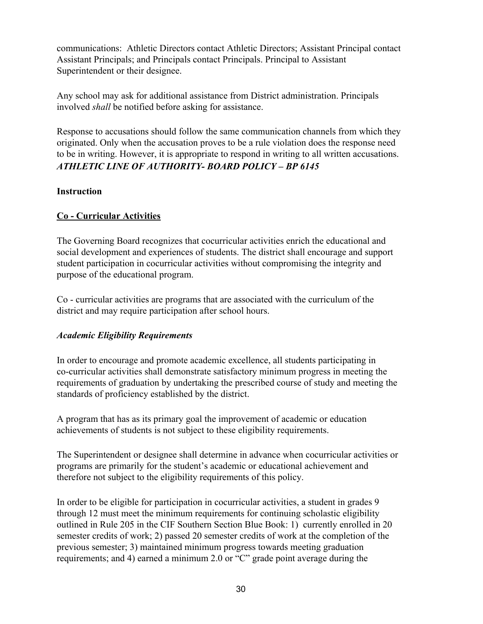communications: Athletic Directors contact Athletic Directors; Assistant Principal contact Assistant Principals; and Principals contact Principals. Principal to Assistant Superintendent or their designee.

Any school may ask for additional assistance from District administration. Principals involved *shall* be notified before asking for assistance.

Response to accusations should follow the same communication channels from which they originated. Only when the accusation proves to be a rule violation does the response need to be in writing. However, it is appropriate to respond in writing to all written accusations. *ATHLETIC LINE OF AUTHORITY- BOARD POLICY – BP 6145*

## <span id="page-29-0"></span>**Instruction**

## **Co - Curricular Activities**

The Governing Board recognizes that cocurricular activities enrich the educational and social development and experiences of students. The district shall encourage and support student participation in cocurricular activities without compromising the integrity and purpose of the educational program.

Co - curricular activities are programs that are associated with the curriculum of the district and may require participation after school hours.

## <span id="page-29-1"></span>*Academic Eligibility Requirements*

In order to encourage and promote academic excellence, all students participating in co-curricular activities shall demonstrate satisfactory minimum progress in meeting the requirements of graduation by undertaking the prescribed course of study and meeting the standards of proficiency established by the district.

A program that has as its primary goal the improvement of academic or education achievements of students is not subject to these eligibility requirements.

The Superintendent or designee shall determine in advance when cocurricular activities or programs are primarily for the student's academic or educational achievement and therefore not subject to the eligibility requirements of this policy.

In order to be eligible for participation in cocurricular activities, a student in grades 9 through 12 must meet the minimum requirements for continuing scholastic eligibility outlined in Rule 205 in the CIF Southern Section Blue Book: 1) currently enrolled in 20 semester credits of work; 2) passed 20 semester credits of work at the completion of the previous semester; 3) maintained minimum progress towards meeting graduation requirements; and 4) earned a minimum 2.0 or "C" grade point average during the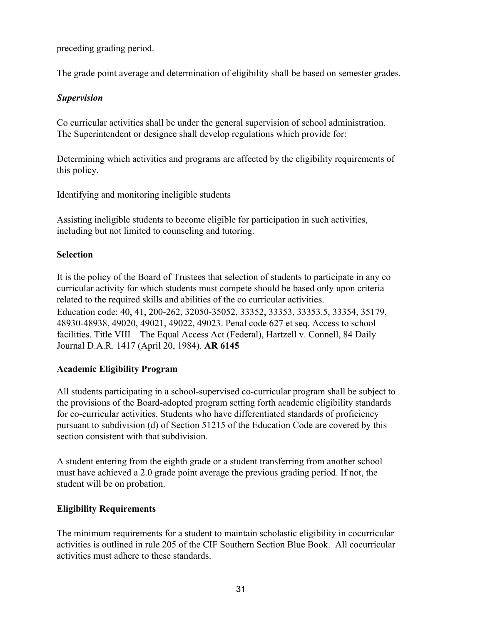preceding grading period.

The grade point average and determination of eligibility shall be based on semester grades.

## <span id="page-30-0"></span>*Supervision*

Co curricular activities shall be under the general supervision of school administration. The Superintendent or designee shall develop regulations which provide for:

Determining which activities and programs are affected by the eligibility requirements of this policy.

Identifying and monitoring ineligible students

Assisting ineligible students to become eligible for participation in such activities, including but not limited to counseling and tutoring.

## **Selection**

It is the policy of the Board of Trustees that selection of students to participate in any co curricular activity for which students must compete should be based only upon criteria related to the required skills and abilities of the co curricular activities. Education code: 40, 41, 200-262, 32050-35052, 33352, 33353, 33353.5, 33354, 35179, 48930-48938, 49020, 49021, 49022, 49023. Penal code 627 et seq. Access to school facilities. Title VIII – The Equal Access Act (Federal), Hartzell v. Connell, 84 Daily Journal D.A.R. 1417 (April 20, 1984). **AR 6145**

## **Academic Eligibility Program**

All students participating in a school-supervised co-curricular program shall be subject to the provisions of the Board-adopted program setting forth academic eligibility standards for co-curricular activities. Students who have differentiated standards of proficiency pursuant to subdivision (d) of Section 51215 of the Education Code are covered by this section consistent with that subdivision.

A student entering from the eighth grade or a student transferring from another school must have achieved a 2.0 grade point average the previous grading period. If not, the student will be on probation.

## **Eligibility Requirements**

The minimum requirements for a student to maintain scholastic eligibility in cocurricular activities is outlined in rule 205 of the CIF Southern Section Blue Book. All cocurricular activities must adhere to these standards.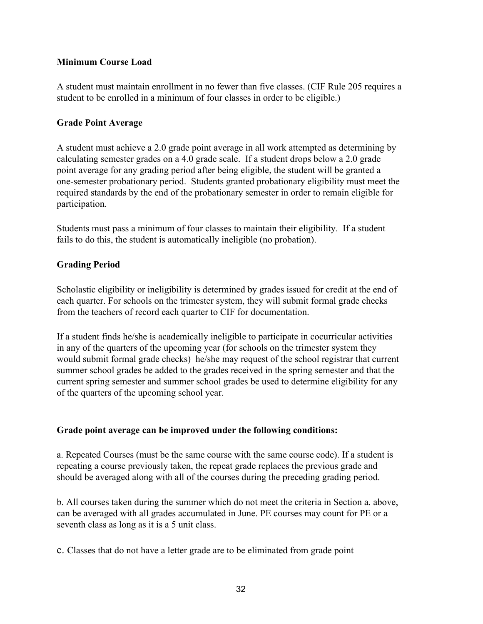#### **Minimum Course Load**

A student must maintain enrollment in no fewer than five classes. (CIF Rule 205 requires a student to be enrolled in a minimum of four classes in order to be eligible.)

#### **Grade Point Average**

A student must achieve a 2.0 grade point average in all work attempted as determining by calculating semester grades on a 4.0 grade scale. If a student drops below a 2.0 grade point average for any grading period after being eligible, the student will be granted a one-semester probationary period. Students granted probationary eligibility must meet the required standards by the end of the probationary semester in order to remain eligible for participation.

Students must pass a minimum of four classes to maintain their eligibility. If a student fails to do this, the student is automatically ineligible (no probation).

## **Grading Period**

Scholastic eligibility or ineligibility is determined by grades issued for credit at the end of each quarter. For schools on the trimester system, they will submit formal grade checks from the teachers of record each quarter to CIF for documentation.

If a student finds he/she is academically ineligible to participate in cocurricular activities in any of the quarters of the upcoming year (for schools on the trimester system they would submit formal grade checks) he/she may request of the school registrar that current summer school grades be added to the grades received in the spring semester and that the current spring semester and summer school grades be used to determine eligibility for any of the quarters of the upcoming school year.

## **Grade point average can be improved under the following conditions:**

a. Repeated Courses (must be the same course with the same course code). If a student is repeating a course previously taken, the repeat grade replaces the previous grade and should be averaged along with all of the courses during the preceding grading period.

b. All courses taken during the summer which do not meet the criteria in Section a. above, can be averaged with all grades accumulated in June. PE courses may count for PE or a seventh class as long as it is a 5 unit class.

c. Classes that do not have a letter grade are to be eliminated from grade point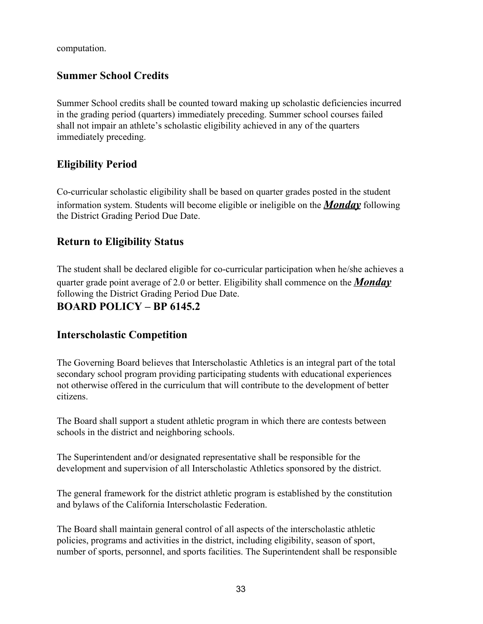computation.

## **Summer School Credits**

Summer School credits shall be counted toward making up scholastic deficiencies incurred in the grading period (quarters) immediately preceding. Summer school courses failed shall not impair an athlete's scholastic eligibility achieved in any of the quarters immediately preceding.

## **Eligibility Period**

Co-curricular scholastic eligibility shall be based on quarter grades posted in the student information system. Students will become eligible or ineligible on the *Monday* following the District Grading Period Due Date.

## **Return to Eligibility Status**

The student shall be declared eligible for co-curricular participation when he/she achieves a quarter grade point average of 2.0 or better. Eligibility shall commence on the *Monday* following the District Grading Period Due Date.

## **BOARD POLICY – BP 6145.2**

## **Interscholastic Competition**

The Governing Board believes that Interscholastic Athletics is an integral part of the total secondary school program providing participating students with educational experiences not otherwise offered in the curriculum that will contribute to the development of better citizens.

The Board shall support a student athletic program in which there are contests between schools in the district and neighboring schools.

The Superintendent and/or designated representative shall be responsible for the development and supervision of all Interscholastic Athletics sponsored by the district.

The general framework for the district athletic program is established by the constitution and bylaws of the California Interscholastic Federation.

The Board shall maintain general control of all aspects of the interscholastic athletic policies, programs and activities in the district, including eligibility, season of sport, number of sports, personnel, and sports facilities. The Superintendent shall be responsible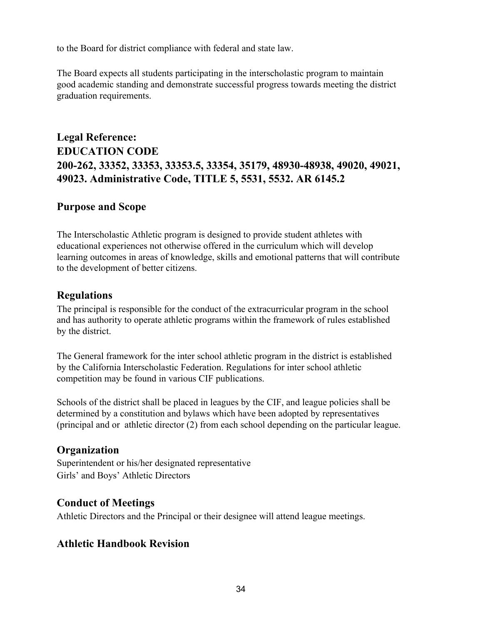to the Board for district compliance with federal and state law.

The Board expects all students participating in the interscholastic program to maintain good academic standing and demonstrate successful progress towards meeting the district graduation requirements.

## **Legal Reference: EDUCATION CODE 200-262, 33352, 33353, 33353.5, 33354, 35179, 48930-48938, 49020, 49021, 49023. Administrative Code, TITLE 5, 5531, 5532. AR 6145.2**

## **Purpose and Scope**

The Interscholastic Athletic program is designed to provide student athletes with educational experiences not otherwise offered in the curriculum which will develop learning outcomes in areas of knowledge, skills and emotional patterns that will contribute to the development of better citizens.

## **Regulations**

The principal is responsible for the conduct of the extracurricular program in the school and has authority to operate athletic programs within the framework of rules established by the district.

The General framework for the inter school athletic program in the district is established by the California Interscholastic Federation. Regulations for inter school athletic competition may be found in various CIF publications.

Schools of the district shall be placed in leagues by the CIF, and league policies shall be determined by a constitution and bylaws which have been adopted by representatives (principal and or athletic director (2) from each school depending on the particular league.

## **Organization**

Superintendent or his/her designated representative Girls' and Boys' Athletic Directors

## **Conduct of Meetings**

Athletic Directors and the Principal or their designee will attend league meetings.

## **Athletic Handbook Revision**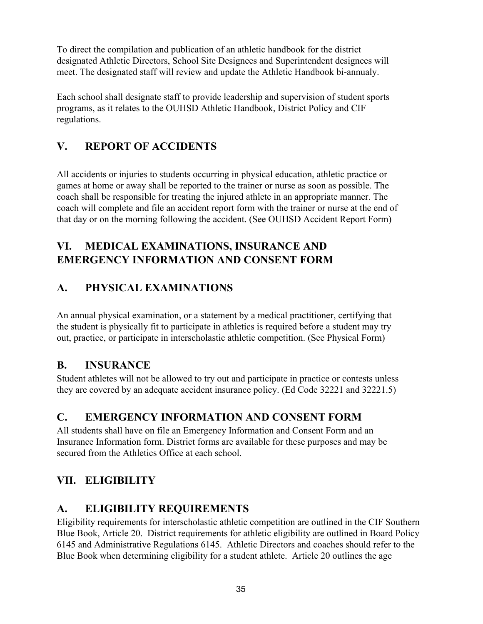To direct the compilation and publication of an athletic handbook for the district designated Athletic Directors, School Site Designees and Superintendent designees will meet. The designated staff will review and update the Athletic Handbook bi-annualy.

Each school shall designate staff to provide leadership and supervision of student sports programs, as it relates to the OUHSD Athletic Handbook, District Policy and CIF regulations.

## **V. REPORT OF ACCIDENTS**

All accidents or injuries to students occurring in physical education, athletic practice or games at home or away shall be reported to the trainer or nurse as soon as possible. The coach shall be responsible for treating the injured athlete in an appropriate manner. The coach will complete and file an accident report form with the trainer or nurse at the end of that day or on the morning following the accident. (See OUHSD Accident Report Form)

## **VI. MEDICAL EXAMINATIONS, INSURANCE AND EMERGENCY INFORMATION AND CONSENT FORM**

## **A. PHYSICAL EXAMINATIONS**

An annual physical examination, or a statement by a medical practitioner, certifying that the student is physically fit to participate in athletics is required before a student may try out, practice, or participate in interscholastic athletic competition. (See Physical Form)

## **B. INSURANCE**

Student athletes will not be allowed to try out and participate in practice or contests unless they are covered by an adequate accident insurance policy. (Ed Code 32221 and 32221.5)

## **C. EMERGENCY INFORMATION AND CONSENT FORM**

All students shall have on file an Emergency Information and Consent Form and an Insurance Information form. District forms are available for these purposes and may be secured from the Athletics Office at each school.

## **VII. ELIGIBILITY**

## **A. ELIGIBILITY REQUIREMENTS**

Eligibility requirements for interscholastic athletic competition are outlined in the CIF Southern Blue Book, Article 20. District requirements for athletic eligibility are outlined in Board Policy 6145 and Administrative Regulations 6145. Athletic Directors and coaches should refer to the Blue Book when determining eligibility for a student athlete. Article 20 outlines the age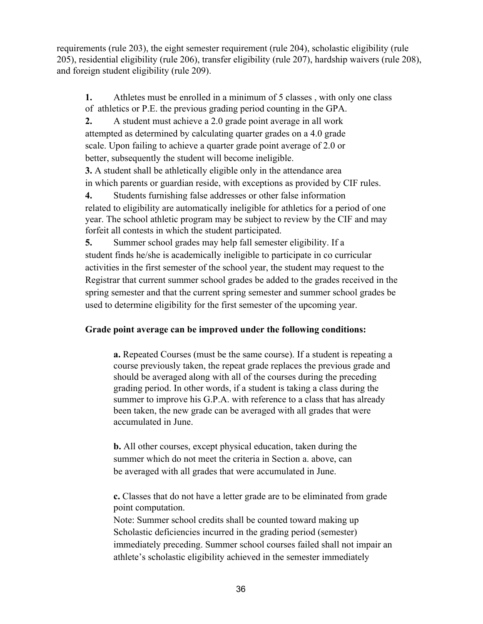requirements (rule 203), the eight semester requirement (rule 204), scholastic eligibility (rule 205), residential eligibility (rule 206), transfer eligibility (rule 207), hardship waivers (rule 208), and foreign student eligibility (rule 209).

**1.** Athletes must be enrolled in a minimum of 5 classes , with only one class of athletics or P.E. the previous grading period counting in the GPA.

**2.** A student must achieve a 2.0 grade point average in all work attempted as determined by calculating quarter grades on a 4.0 grade scale. Upon failing to achieve a quarter grade point average of 2.0 or better, subsequently the student will become ineligible.

**3.** A student shall be athletically eligible only in the attendance area in which parents or guardian reside, with exceptions as provided by CIF rules.

**4.** Students furnishing false addresses or other false information related to eligibility are automatically ineligible for athletics for a period of one year. The school athletic program may be subject to review by the CIF and may forfeit all contests in which the student participated.

**5.** Summer school grades may help fall semester eligibility. If a student finds he/she is academically ineligible to participate in co curricular activities in the first semester of the school year, the student may request to the Registrar that current summer school grades be added to the grades received in the spring semester and that the current spring semester and summer school grades be used to determine eligibility for the first semester of the upcoming year.

## **Grade point average can be improved under the following conditions:**

**a.** Repeated Courses (must be the same course). If a student is repeating a course previously taken, the repeat grade replaces the previous grade and should be averaged along with all of the courses during the preceding grading period. In other words, if a student is taking a class during the summer to improve his G.P.A. with reference to a class that has already been taken, the new grade can be averaged with all grades that were accumulated in June.

**b.** All other courses, except physical education, taken during the summer which do not meet the criteria in Section a. above, can be averaged with all grades that were accumulated in June.

**c.** Classes that do not have a letter grade are to be eliminated from grade point computation.

Note: Summer school credits shall be counted toward making up Scholastic deficiencies incurred in the grading period (semester) immediately preceding. Summer school courses failed shall not impair an athlete's scholastic eligibility achieved in the semester immediately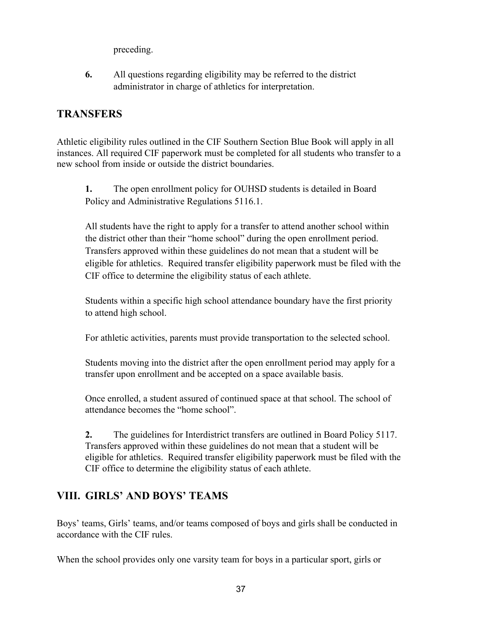preceding.

**6.** All questions regarding eligibility may be referred to the district administrator in charge of athletics for interpretation.

### **TRANSFERS**

Athletic eligibility rules outlined in the CIF Southern Section Blue Book will apply in all instances. All required CIF paperwork must be completed for all students who transfer to a new school from inside or outside the district boundaries.

**1.** The open enrollment policy for OUHSD students is detailed in Board Policy and Administrative Regulations 5116.1.

All students have the right to apply for a transfer to attend another school within the district other than their "home school" during the open enrollment period. Transfers approved within these guidelines do not mean that a student will be eligible for athletics. Required transfer eligibility paperwork must be filed with the CIF office to determine the eligibility status of each athlete.

Students within a specific high school attendance boundary have the first priority to attend high school.

For athletic activities, parents must provide transportation to the selected school.

Students moving into the district after the open enrollment period may apply for a transfer upon enrollment and be accepted on a space available basis.

Once enrolled, a student assured of continued space at that school. The school of attendance becomes the "home school".

**2.** The guidelines for Interdistrict transfers are outlined in Board Policy 5117. Transfers approved within these guidelines do not mean that a student will be eligible for athletics. Required transfer eligibility paperwork must be filed with the CIF office to determine the eligibility status of each athlete.

## **VIII. GIRLS' AND BOYS' TEAMS**

Boys' teams, Girls' teams, and/or teams composed of boys and girls shall be conducted in accordance with the CIF rules.

When the school provides only one varsity team for boys in a particular sport, girls or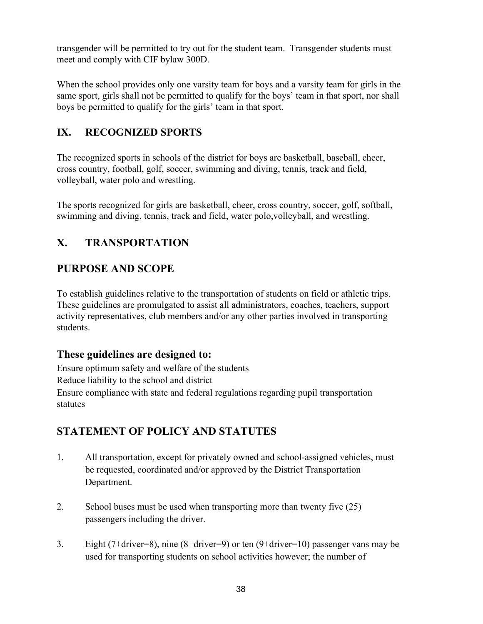transgender will be permitted to try out for the student team. Transgender students must meet and comply with CIF bylaw 300D.

When the school provides only one varsity team for boys and a varsity team for girls in the same sport, girls shall not be permitted to qualify for the boys' team in that sport, nor shall boys be permitted to qualify for the girls' team in that sport.

## **IX. RECOGNIZED SPORTS**

The recognized sports in schools of the district for boys are basketball, baseball, cheer, cross country, football, golf, soccer, swimming and diving, tennis, track and field, volleyball, water polo and wrestling.

The sports recognized for girls are basketball, cheer, cross country, soccer, golf, softball, swimming and diving, tennis, track and field, water polo,volleyball, and wrestling.

## **X. TRANSPORTATION**

## **PURPOSE AND SCOPE**

To establish guidelines relative to the transportation of students on field or athletic trips. These guidelines are promulgated to assist all administrators, coaches, teachers, support activity representatives, club members and/or any other parties involved in transporting students.

## **These guidelines are designed to:**

Ensure optimum safety and welfare of the students Reduce liability to the school and district Ensure compliance with state and federal regulations regarding pupil transportation statutes

# **STATEMENT OF POLICY AND STATUTES**

- 1. All transportation, except for privately owned and school-assigned vehicles, must be requested, coordinated and/or approved by the District Transportation Department.
- 2. School buses must be used when transporting more than twenty five (25) passengers including the driver.
- 3. Eight (7+driver=8), nine (8+driver=9) or ten (9+driver=10) passenger vans may be used for transporting students on school activities however; the number of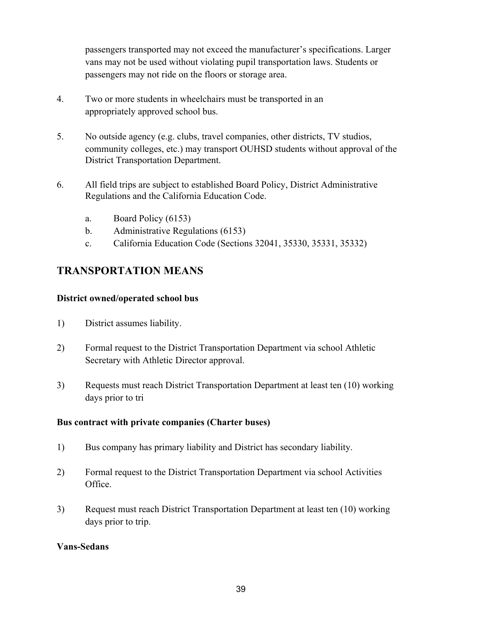passengers transported may not exceed the manufacturer's specifications. Larger vans may not be used without violating pupil transportation laws. Students or passengers may not ride on the floors or storage area.

- 4. Two or more students in wheelchairs must be transported in an appropriately approved school bus.
- 5. No outside agency (e.g. clubs, travel companies, other districts, TV studios, community colleges, etc.) may transport OUHSD students without approval of the District Transportation Department.
- 6. All field trips are subject to established Board Policy, District Administrative Regulations and the California Education Code.
	- a. Board Policy (6153)
	- b. Administrative Regulations (6153)
	- c. California Education Code (Sections 32041, 35330, 35331, 35332)

### **TRANSPORTATION MEANS**

#### **District owned/operated school bus**

- 1) District assumes liability.
- 2) Formal request to the District Transportation Department via school Athletic Secretary with Athletic Director approval.
- 3) Requests must reach District Transportation Department at least ten (10) working days prior to tri

#### **Bus contract with private companies (Charter buses)**

- 1) Bus company has primary liability and District has secondary liability.
- 2) Formal request to the District Transportation Department via school Activities Office.
- 3) Request must reach District Transportation Department at least ten (10) working days prior to trip.

#### **Vans-Sedans**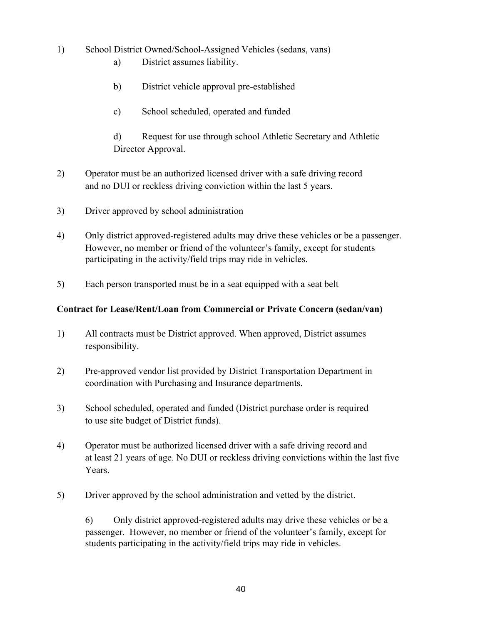### 1) School District Owned/School-Assigned Vehicles (sedans, vans)

- a) District assumes liability.
- b) District vehicle approval pre-established
- c) School scheduled, operated and funded

d) Request for use through school Athletic Secretary and Athletic Director Approval.

- 2) Operator must be an authorized licensed driver with a safe driving record and no DUI or reckless driving conviction within the last 5 years.
- 3) Driver approved by school administration
- 4) Only district approved-registered adults may drive these vehicles or be a passenger. However, no member or friend of the volunteer's family, except for students participating in the activity/field trips may ride in vehicles.
- 5) Each person transported must be in a seat equipped with a seat belt

#### **Contract for Lease/Rent/Loan from Commercial or Private Concern (sedan/van)**

- 1) All contracts must be District approved. When approved, District assumes responsibility.
- 2) Pre-approved vendor list provided by District Transportation Department in coordination with Purchasing and Insurance departments.
- 3) School scheduled, operated and funded (District purchase order is required to use site budget of District funds).
- 4) Operator must be authorized licensed driver with a safe driving record and at least 21 years of age. No DUI or reckless driving convictions within the last five **Years**.
- 5) Driver approved by the school administration and vetted by the district.

6) Only district approved-registered adults may drive these vehicles or be a passenger. However, no member or friend of the volunteer's family, except for students participating in the activity/field trips may ride in vehicles.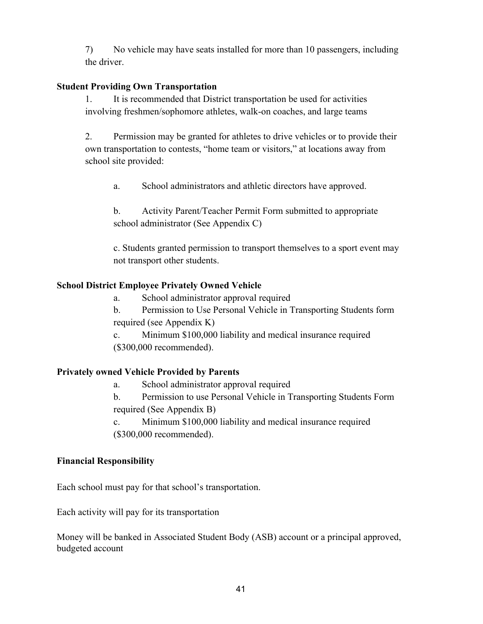7) No vehicle may have seats installed for more than 10 passengers, including the driver.

#### **Student Providing Own Transportation**

1. It is recommended that District transportation be used for activities involving freshmen/sophomore athletes, walk-on coaches, and large teams

2. Permission may be granted for athletes to drive vehicles or to provide their own transportation to contests, "home team or visitors," at locations away from school site provided:

a. School administrators and athletic directors have approved.

b. Activity Parent/Teacher Permit Form submitted to appropriate school administrator (See Appendix C)

c. Students granted permission to transport themselves to a sport event may not transport other students.

#### **School District Employee Privately Owned Vehicle**

a. School administrator approval required

b. Permission to Use Personal Vehicle in Transporting Students form required (see Appendix K)

c. Minimum \$100,000 liability and medical insurance required (\$300,000 recommended).

### **Privately owned Vehicle Provided by Parents**

a. School administrator approval required

b. Permission to use Personal Vehicle in Transporting Students Form required (See Appendix B)

c. Minimum \$100,000 liability and medical insurance required (\$300,000 recommended).

#### **Financial Responsibility**

Each school must pay for that school's transportation.

Each activity will pay for its transportation

Money will be banked in Associated Student Body (ASB) account or a principal approved, budgeted account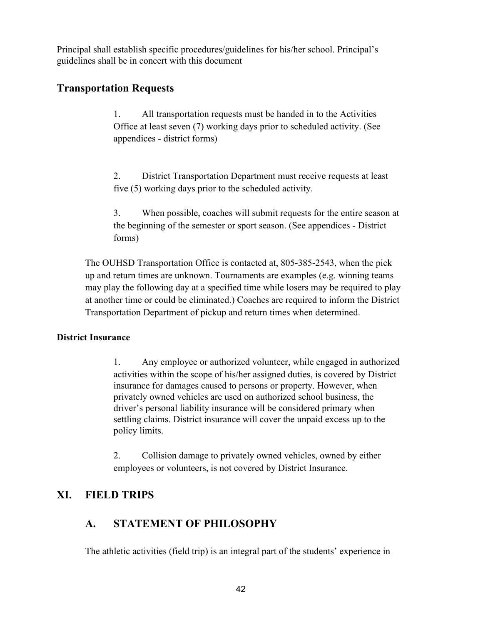Principal shall establish specific procedures/guidelines for his/her school. Principal's guidelines shall be in concert with this document

### **Transportation Requests**

1. All transportation requests must be handed in to the Activities Office at least seven (7) working days prior to scheduled activity. (See appendices - district forms)

2. District Transportation Department must receive requests at least five (5) working days prior to the scheduled activity.

3. When possible, coaches will submit requests for the entire season at the beginning of the semester or sport season. (See appendices - District forms)

The OUHSD Transportation Office is contacted at, 805-385-2543, when the pick up and return times are unknown. Tournaments are examples (e.g. winning teams may play the following day at a specified time while losers may be required to play at another time or could be eliminated.) Coaches are required to inform the District Transportation Department of pickup and return times when determined.

### **District Insurance**

1. Any employee or authorized volunteer, while engaged in authorized activities within the scope of his/her assigned duties, is covered by District insurance for damages caused to persons or property. However, when privately owned vehicles are used on authorized school business, the driver's personal liability insurance will be considered primary when settling claims. District insurance will cover the unpaid excess up to the policy limits.

2. Collision damage to privately owned vehicles, owned by either employees or volunteers, is not covered by District Insurance.

## **XI. FIELD TRIPS**

## **A. STATEMENT OF PHILOSOPHY**

The athletic activities (field trip) is an integral part of the students' experience in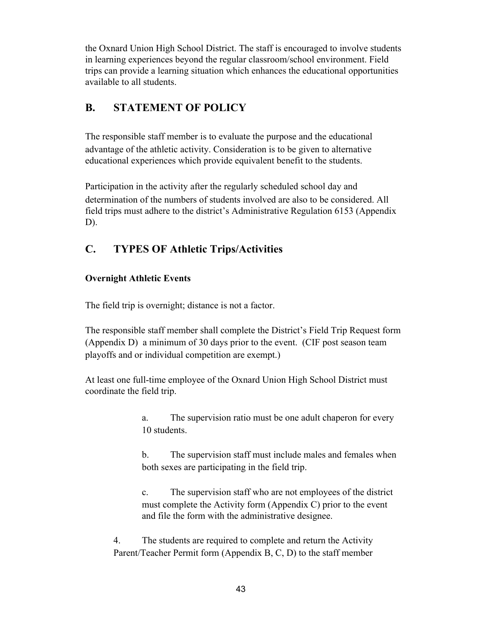the Oxnard Union High School District. The staff is encouraged to involve students in learning experiences beyond the regular classroom/school environment. Field trips can provide a learning situation which enhances the educational opportunities available to all students.

## **B. STATEMENT OF POLICY**

The responsible staff member is to evaluate the purpose and the educational advantage of the athletic activity. Consideration is to be given to alternative educational experiences which provide equivalent benefit to the students.

Participation in the activity after the regularly scheduled school day and determination of the numbers of students involved are also to be considered. All field trips must adhere to the district's Administrative Regulation 6153 (Appendix D).

## **C. TYPES OF Athletic Trips/Activities**

### **Overnight Athletic Events**

The field trip is overnight; distance is not a factor.

The responsible staff member shall complete the District's Field Trip Request form (Appendix D) a minimum of 30 days prior to the event. (CIF post season team playoffs and or individual competition are exempt.)

At least one full-time employee of the Oxnard Union High School District must coordinate the field trip.

> a. The supervision ratio must be one adult chaperon for every 10 students.

> b. The supervision staff must include males and females when both sexes are participating in the field trip.

c. The supervision staff who are not employees of the district must complete the Activity form (Appendix C) prior to the event and file the form with the administrative designee.

4. The students are required to complete and return the Activity Parent/Teacher Permit form (Appendix B, C, D) to the staff member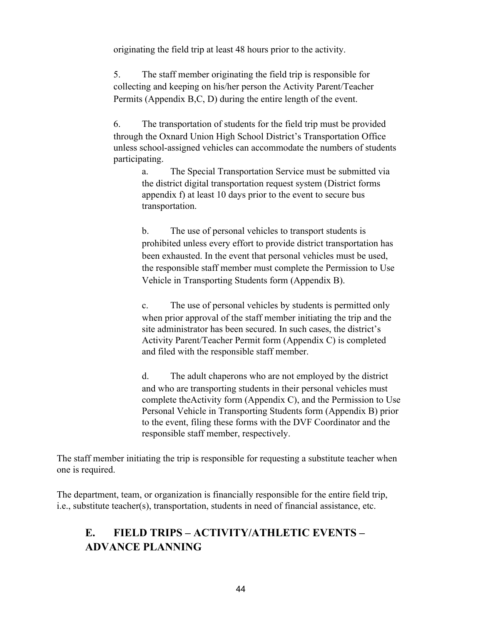originating the field trip at least 48 hours prior to the activity.

5. The staff member originating the field trip is responsible for collecting and keeping on his/her person the Activity Parent/Teacher Permits (Appendix B,C, D) during the entire length of the event.

6. The transportation of students for the field trip must be provided through the Oxnard Union High School District's Transportation Office unless school-assigned vehicles can accommodate the numbers of students participating.

a. The Special Transportation Service must be submitted via the district digital transportation request system (District forms appendix f) at least 10 days prior to the event to secure bus transportation.

b. The use of personal vehicles to transport students is prohibited unless every effort to provide district transportation has been exhausted. In the event that personal vehicles must be used, the responsible staff member must complete the Permission to Use Vehicle in Transporting Students form (Appendix B).

c. The use of personal vehicles by students is permitted only when prior approval of the staff member initiating the trip and the site administrator has been secured. In such cases, the district's Activity Parent/Teacher Permit form (Appendix C) is completed and filed with the responsible staff member.

d. The adult chaperons who are not employed by the district and who are transporting students in their personal vehicles must complete theActivity form (Appendix C), and the Permission to Use Personal Vehicle in Transporting Students form (Appendix B) prior to the event, filing these forms with the DVF Coordinator and the responsible staff member, respectively.

The staff member initiating the trip is responsible for requesting a substitute teacher when one is required.

The department, team, or organization is financially responsible for the entire field trip, i.e., substitute teacher(s), transportation, students in need of financial assistance, etc.

## **E. FIELD TRIPS – ACTIVITY/ATHLETIC EVENTS – ADVANCE PLANNING**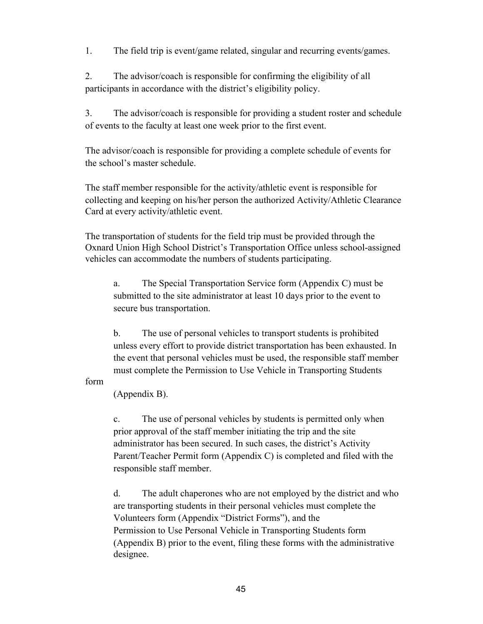1. The field trip is event/game related, singular and recurring events/games.

2. The advisor/coach is responsible for confirming the eligibility of all participants in accordance with the district's eligibility policy.

3. The advisor/coach is responsible for providing a student roster and schedule of events to the faculty at least one week prior to the first event.

The advisor/coach is responsible for providing a complete schedule of events for the school's master schedule.

The staff member responsible for the activity/athletic event is responsible for collecting and keeping on his/her person the authorized Activity/Athletic Clearance Card at every activity/athletic event.

The transportation of students for the field trip must be provided through the Oxnard Union High School District's Transportation Office unless school-assigned vehicles can accommodate the numbers of students participating.

a. The Special Transportation Service form (Appendix C) must be submitted to the site administrator at least 10 days prior to the event to secure bus transportation.

b. The use of personal vehicles to transport students is prohibited unless every effort to provide district transportation has been exhausted. In the event that personal vehicles must be used, the responsible staff member must complete the Permission to Use Vehicle in Transporting Students

form

(Appendix B).

c. The use of personal vehicles by students is permitted only when prior approval of the staff member initiating the trip and the site administrator has been secured. In such cases, the district's Activity Parent/Teacher Permit form (Appendix C) is completed and filed with the responsible staff member.

d. The adult chaperones who are not employed by the district and who are transporting students in their personal vehicles must complete the Volunteers form (Appendix "District Forms"), and the Permission to Use Personal Vehicle in Transporting Students form (Appendix B) prior to the event, filing these forms with the administrative designee.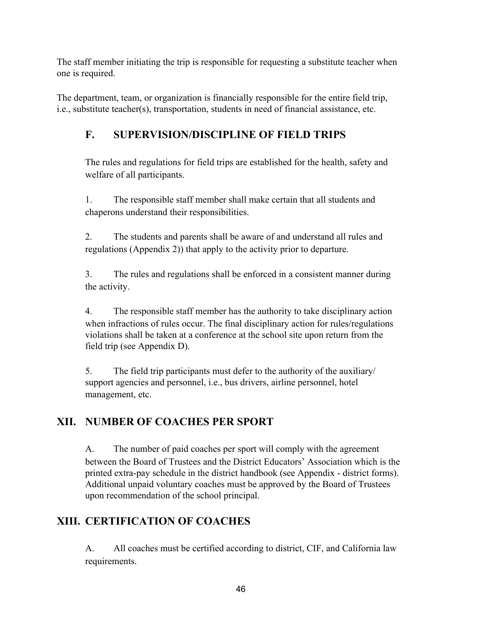The staff member initiating the trip is responsible for requesting a substitute teacher when one is required.

The department, team, or organization is financially responsible for the entire field trip, i.e., substitute teacher(s), transportation, students in need of financial assistance, etc.

## **F. SUPERVISION/DISCIPLINE OF FIELD TRIPS**

The rules and regulations for field trips are established for the health, safety and welfare of all participants.

1. The responsible staff member shall make certain that all students and chaperons understand their responsibilities.

2. The students and parents shall be aware of and understand all rules and regulations (Appendix 2)) that apply to the activity prior to departure.

3. The rules and regulations shall be enforced in a consistent manner during the activity.

4. The responsible staff member has the authority to take disciplinary action when infractions of rules occur. The final disciplinary action for rules/regulations violations shall be taken at a conference at the school site upon return from the field trip (see Appendix D).

5. The field trip participants must defer to the authority of the auxiliary/ support agencies and personnel, i.e., bus drivers, airline personnel, hotel management, etc.

# **XII. NUMBER OF COACHES PER SPORT**

A. The number of paid coaches per sport will comply with the agreement between the Board of Trustees and the District Educators' Association which is the printed extra-pay schedule in the district handbook (see Appendix - district forms). Additional unpaid voluntary coaches must be approved by the Board of Trustees upon recommendation of the school principal.

# **XIII. CERTIFICATION OF COACHES**

A. All coaches must be certified according to district, CIF, and California law requirements.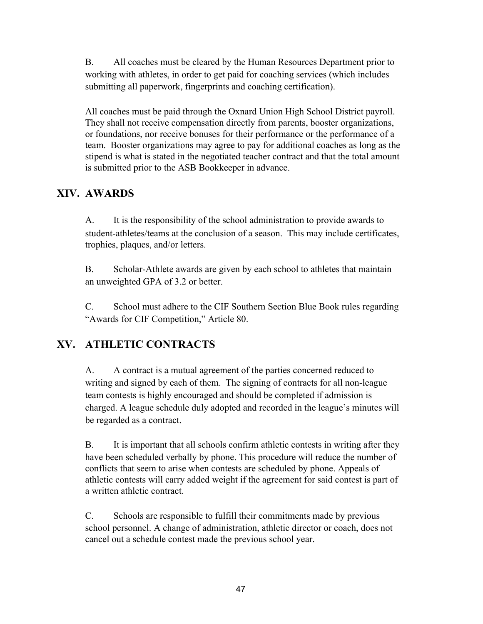B. All coaches must be cleared by the Human Resources Department prior to working with athletes, in order to get paid for coaching services (which includes submitting all paperwork, fingerprints and coaching certification).

All coaches must be paid through the Oxnard Union High School District payroll. They shall not receive compensation directly from parents, booster organizations, or foundations, nor receive bonuses for their performance or the performance of a team. Booster organizations may agree to pay for additional coaches as long as the stipend is what is stated in the negotiated teacher contract and that the total amount is submitted prior to the ASB Bookkeeper in advance.

## **XIV. AWARDS**

A. It is the responsibility of the school administration to provide awards to student-athletes/teams at the conclusion of a season. This may include certificates, trophies, plaques, and/or letters.

B. Scholar-Athlete awards are given by each school to athletes that maintain an unweighted GPA of 3.2 or better.

C. School must adhere to the CIF Southern Section Blue Book rules regarding "Awards for CIF Competition," Article 80.

## **XV. ATHLETIC CONTRACTS**

A. A contract is a mutual agreement of the parties concerned reduced to writing and signed by each of them. The signing of contracts for all non-league team contests is highly encouraged and should be completed if admission is charged. A league schedule duly adopted and recorded in the league's minutes will be regarded as a contract.

B. It is important that all schools confirm athletic contests in writing after they have been scheduled verbally by phone. This procedure will reduce the number of conflicts that seem to arise when contests are scheduled by phone. Appeals of athletic contests will carry added weight if the agreement for said contest is part of a written athletic contract.

C. Schools are responsible to fulfill their commitments made by previous school personnel. A change of administration, athletic director or coach, does not cancel out a schedule contest made the previous school year.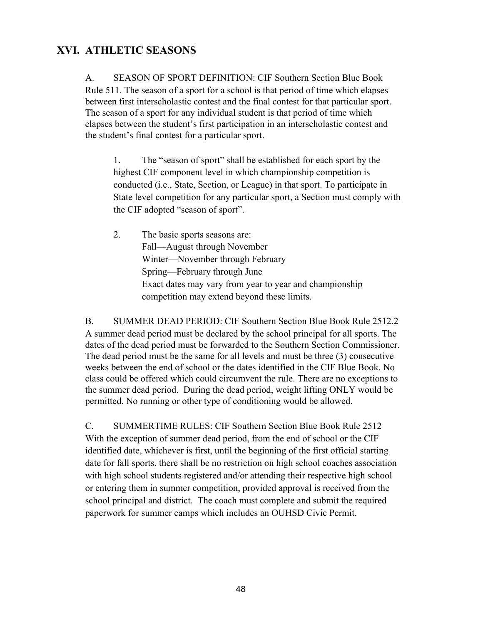### **XVI. ATHLETIC SEASONS**

A. SEASON OF SPORT DEFINITION: CIF Southern Section Blue Book Rule 511. The season of a sport for a school is that period of time which elapses between first interscholastic contest and the final contest for that particular sport. The season of a sport for any individual student is that period of time which elapses between the student's first participation in an interscholastic contest and the student's final contest for a particular sport.

1. The "season of sport" shall be established for each sport by the highest CIF component level in which championship competition is conducted (i.e., State, Section, or League) in that sport. To participate in State level competition for any particular sport, a Section must comply with the CIF adopted "season of sport".

2. The basic sports seasons are: Fall—August through November Winter—November through February Spring—February through June Exact dates may vary from year to year and championship competition may extend beyond these limits.

B. SUMMER DEAD PERIOD: CIF Southern Section Blue Book Rule 2512.2 A summer dead period must be declared by the school principal for all sports. The dates of the dead period must be forwarded to the Southern Section Commissioner. The dead period must be the same for all levels and must be three (3) consecutive weeks between the end of school or the dates identified in the CIF Blue Book. No class could be offered which could circumvent the rule. There are no exceptions to the summer dead period. During the dead period, weight lifting ONLY would be permitted. No running or other type of conditioning would be allowed.

C. SUMMERTIME RULES: CIF Southern Section Blue Book Rule 2512 With the exception of summer dead period, from the end of school or the CIF identified date, whichever is first, until the beginning of the first official starting date for fall sports, there shall be no restriction on high school coaches association with high school students registered and/or attending their respective high school or entering them in summer competition, provided approval is received from the school principal and district. The coach must complete and submit the required paperwork for summer camps which includes an OUHSD Civic Permit.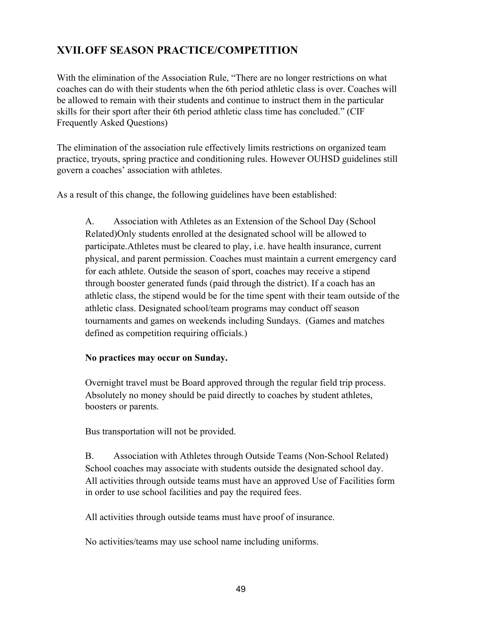## **XVII.OFF SEASON PRACTICE/COMPETITION**

With the elimination of the Association Rule, "There are no longer restrictions on what coaches can do with their students when the 6th period athletic class is over. Coaches will be allowed to remain with their students and continue to instruct them in the particular skills for their sport after their 6th period athletic class time has concluded." (CIF Frequently Asked Questions)

The elimination of the association rule effectively limits restrictions on organized team practice, tryouts, spring practice and conditioning rules. However OUHSD guidelines still govern a coaches' association with athletes.

As a result of this change, the following guidelines have been established:

A. Association with Athletes as an Extension of the School Day (School Related)Only students enrolled at the designated school will be allowed to participate.Athletes must be cleared to play, i.e. have health insurance, current physical, and parent permission. Coaches must maintain a current emergency card for each athlete. Outside the season of sport, coaches may receive a stipend through booster generated funds (paid through the district). If a coach has an athletic class, the stipend would be for the time spent with their team outside of the athletic class. Designated school/team programs may conduct off season tournaments and games on weekends including Sundays. (Games and matches defined as competition requiring officials.)

#### **No practices may occur on Sunday.**

Overnight travel must be Board approved through the regular field trip process. Absolutely no money should be paid directly to coaches by student athletes, boosters or parents.

Bus transportation will not be provided.

B. Association with Athletes through Outside Teams (Non-School Related) School coaches may associate with students outside the designated school day. All activities through outside teams must have an approved Use of Facilities form in order to use school facilities and pay the required fees.

All activities through outside teams must have proof of insurance.

No activities/teams may use school name including uniforms.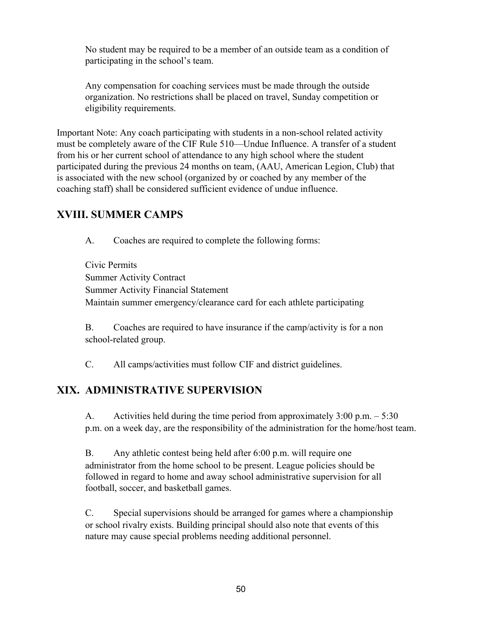No student may be required to be a member of an outside team as a condition of participating in the school's team.

Any compensation for coaching services must be made through the outside organization. No restrictions shall be placed on travel, Sunday competition or eligibility requirements.

Important Note: Any coach participating with students in a non-school related activity must be completely aware of the CIF Rule 510—Undue Influence. A transfer of a student from his or her current school of attendance to any high school where the student participated during the previous 24 months on team, (AAU, American Legion, Club) that is associated with the new school (organized by or coached by any member of the coaching staff) shall be considered sufficient evidence of undue influence.

### **XVIII. SUMMER CAMPS**

A. Coaches are required to complete the following forms:

Civic Permits Summer Activity Contract Summer Activity Financial Statement Maintain summer emergency/clearance card for each athlete participating

B. Coaches are required to have insurance if the camp/activity is for a non school-related group.

C. All camps/activities must follow CIF and district guidelines.

## **XIX. ADMINISTRATIVE SUPERVISION**

A. Activities held during the time period from approximately 3:00 p.m. – 5:30 p.m. on a week day, are the responsibility of the administration for the home/host team.

B. Any athletic contest being held after 6:00 p.m. will require one administrator from the home school to be present. League policies should be followed in regard to home and away school administrative supervision for all football, soccer, and basketball games.

C. Special supervisions should be arranged for games where a championship or school rivalry exists. Building principal should also note that events of this nature may cause special problems needing additional personnel.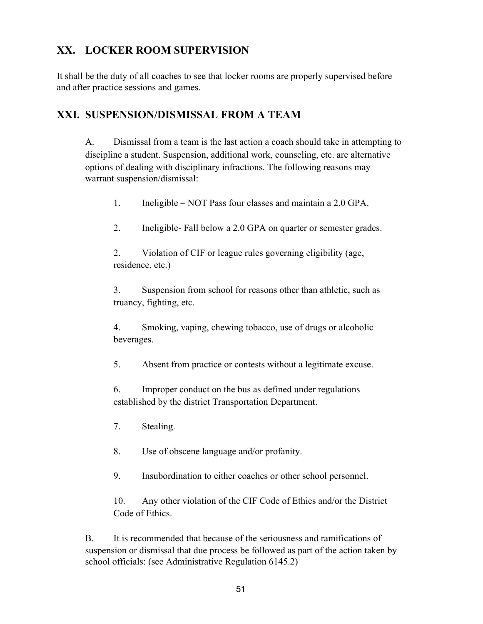## **XX. LOCKER ROOM SUPERVISION**

It shall be the duty of all coaches to see that locker rooms are properly supervised before and after practice sessions and games.

## **XXI. SUSPENSION/DISMISSAL FROM A TEAM**

A. Dismissal from a team is the last action a coach should take in attempting to discipline a student. Suspension, additional work, counseling, etc. are alternative options of dealing with disciplinary infractions. The following reasons may warrant suspension/dismissal:

- 1. Ineligible NOT Pass four classes and maintain a 2.0 GPA.
- 2. Ineligible- Fall below a 2.0 GPA on quarter or semester grades.

2. Violation of CIF or league rules governing eligibility (age, residence, etc.)

3. Suspension from school for reasons other than athletic, such as truancy, fighting, etc.

4. Smoking, vaping, chewing tobacco, use of drugs or alcoholic beverages.

5. Absent from practice or contests without a legitimate excuse.

6. Improper conduct on the bus as defined under regulations established by the district Transportation Department.

- 7. Stealing.
- 8. Use of obscene language and/or profanity.

9. Insubordination to either coaches or other school personnel.

10. Any other violation of the CIF Code of Ethics and/or the District Code of Ethics.

B. It is recommended that because of the seriousness and ramifications of suspension or dismissal that due process be followed as part of the action taken by school officials: (see Administrative Regulation 6145.2)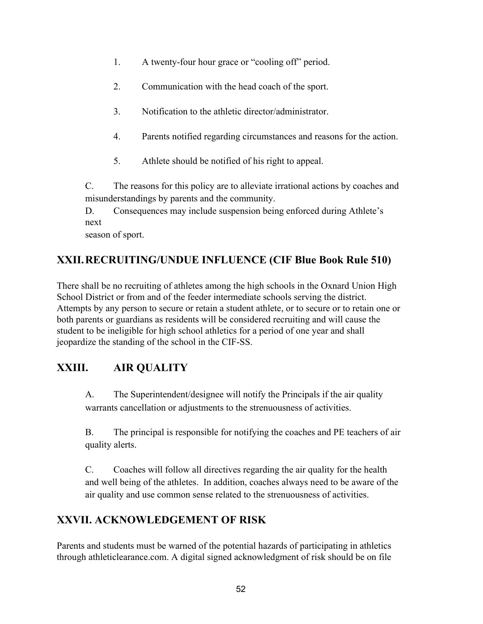- 1. A twenty-four hour grace or "cooling off" period.
- 2. Communication with the head coach of the sport.
- 3. Notification to the athletic director/administrator.
- 4. Parents notified regarding circumstances and reasons for the action.
- 5. Athlete should be notified of his right to appeal.

C. The reasons for this policy are to alleviate irrational actions by coaches and misunderstandings by parents and the community.

D. Consequences may include suspension being enforced during Athlete's next

season of sport.

## **XXII.RECRUITING/UNDUE INFLUENCE (CIF Blue Book Rule 510)**

There shall be no recruiting of athletes among the high schools in the Oxnard Union High School District or from and of the feeder intermediate schools serving the district. Attempts by any person to secure or retain a student athlete, or to secure or to retain one or both parents or guardians as residents will be considered recruiting and will cause the student to be ineligible for high school athletics for a period of one year and shall jeopardize the standing of the school in the CIF-SS.

## **XXIII. AIR QUALITY**

A. The Superintendent/designee will notify the Principals if the air quality warrants cancellation or adjustments to the strenuousness of activities.

B. The principal is responsible for notifying the coaches and PE teachers of air quality alerts.

C. Coaches will follow all directives regarding the air quality for the health and well being of the athletes. In addition, coaches always need to be aware of the air quality and use common sense related to the strenuousness of activities.

## **XXVII. ACKNOWLEDGEMENT OF RISK**

Parents and students must be warned of the potential hazards of participating in athletics through athleticlearance.com. A digital signed acknowledgment of risk should be on file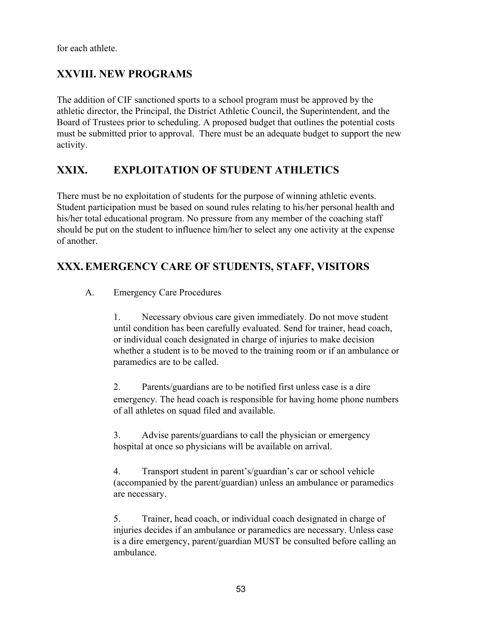for each athlete.

## **XXVIII. NEW PROGRAMS**

The addition of CIF sanctioned sports to a school program must be approved by the athletic director, the Principal, the District Athletic Council, the Superintendent, and the Board of Trustees prior to scheduling. A proposed budget that outlines the potential costs must be submitted prior to approval. There must be an adequate budget to support the new activity.

## **XXIX. EXPLOITATION OF STUDENT ATHLETICS**

There must be no exploitation of students for the purpose of winning athletic events. Student participation must be based on sound rules relating to his/her personal health and his/her total educational program. No pressure from any member of the coaching staff should be put on the student to influence him/her to select any one activity at the expense of another.

### **XXX.EMERGENCY CARE OF STUDENTS, STAFF, VISITORS**

A. Emergency Care Procedures

1. Necessary obvious care given immediately. Do not move student until condition has been carefully evaluated. Send for trainer, head coach, or individual coach designated in charge of injuries to make decision whether a student is to be moved to the training room or if an ambulance or paramedics are to be called.

2. Parents/guardians are to be notified first unless case is a dire emergency. The head coach is responsible for having home phone numbers of all athletes on squad filed and available.

3. Advise parents/guardians to call the physician or emergency hospital at once so physicians will be available on arrival.

4. Transport student in parent's/guardian's car or school vehicle (accompanied by the parent/guardian) unless an ambulance or paramedics are necessary.

5. Trainer, head coach, or individual coach designated in charge of injuries decides if an ambulance or paramedics are necessary. Unless case is a dire emergency, parent/guardian MUST be consulted before calling an ambulance.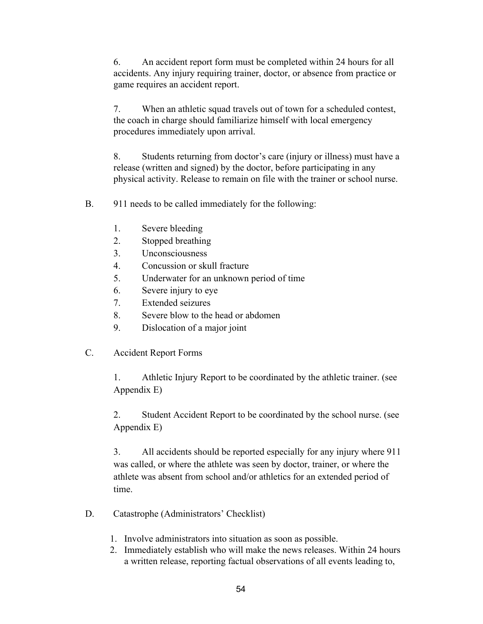6. An accident report form must be completed within 24 hours for all accidents. Any injury requiring trainer, doctor, or absence from practice or game requires an accident report.

7. When an athletic squad travels out of town for a scheduled contest, the coach in charge should familiarize himself with local emergency procedures immediately upon arrival.

8. Students returning from doctor's care (injury or illness) must have a release (written and signed) by the doctor, before participating in any physical activity. Release to remain on file with the trainer or school nurse.

- B. 911 needs to be called immediately for the following:
	- 1. Severe bleeding
	- 2. Stopped breathing
	- 3. Unconsciousness
	- 4. Concussion or skull fracture
	- 5. Underwater for an unknown period of time
	- 6. Severe injury to eye
	- 7. Extended seizures
	- 8. Severe blow to the head or abdomen
	- 9. Dislocation of a major joint
- C. Accident Report Forms

1. Athletic Injury Report to be coordinated by the athletic trainer. (see Appendix E)

2. Student Accident Report to be coordinated by the school nurse. (see Appendix E)

3. All accidents should be reported especially for any injury where 911 was called, or where the athlete was seen by doctor, trainer, or where the athlete was absent from school and/or athletics for an extended period of time.

- D. Catastrophe (Administrators' Checklist)
	- 1. Involve administrators into situation as soon as possible.
	- 2. Immediately establish who will make the news releases. Within 24 hours a written release, reporting factual observations of all events leading to,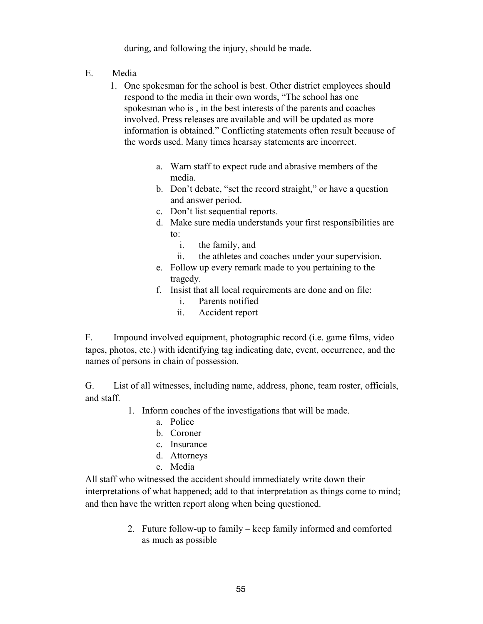during, and following the injury, should be made.

- E. Media
	- 1. One spokesman for the school is best. Other district employees should respond to the media in their own words, "The school has one spokesman who is , in the best interests of the parents and coaches involved. Press releases are available and will be updated as more information is obtained." Conflicting statements often result because of the words used. Many times hearsay statements are incorrect.
		- a. Warn staff to expect rude and abrasive members of the media.
		- b. Don't debate, "set the record straight," or have a question and answer period.
		- c. Don't list sequential reports.
		- d. Make sure media understands your first responsibilities are to:
			- i. the family, and
			- ii. the athletes and coaches under your supervision.
		- e. Follow up every remark made to you pertaining to the tragedy.
		- f. Insist that all local requirements are done and on file:
			- i. Parents notified
			- ii. Accident report

F. Impound involved equipment, photographic record (i.e. game films, video tapes, photos, etc.) with identifying tag indicating date, event, occurrence, and the names of persons in chain of possession.

G. List of all witnesses, including name, address, phone, team roster, officials, and staff.

- 1. Inform coaches of the investigations that will be made.
	- a. Police
	- b. Coroner
	- c. Insurance
	- d. Attorneys
	- e. Media

All staff who witnessed the accident should immediately write down their interpretations of what happened; add to that interpretation as things come to mind; and then have the written report along when being questioned.

> 2. Future follow-up to family – keep family informed and comforted as much as possible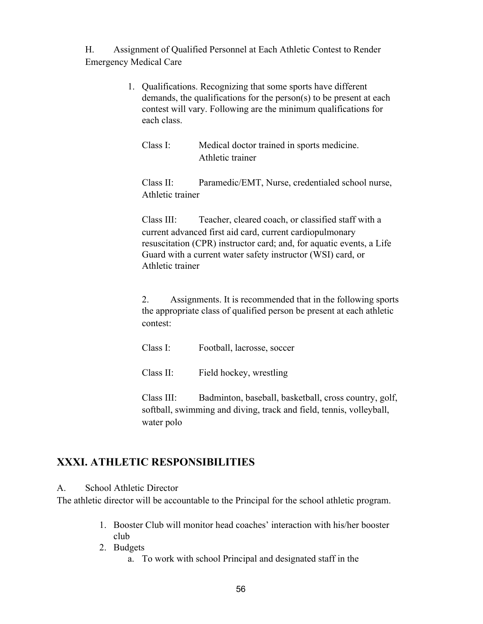H. Assignment of Qualified Personnel at Each Athletic Contest to Render Emergency Medical Care

> 1. Qualifications. Recognizing that some sports have different demands, the qualifications for the person(s) to be present at each contest will vary. Following are the minimum qualifications for each class.

Class I: Medical doctor trained in sports medicine. Athletic trainer

Class II: Paramedic/EMT, Nurse, credentialed school nurse, Athletic trainer

Class III: Teacher, cleared coach, or classified staff with a current advanced first aid card, current cardiopulmonary resuscitation (CPR) instructor card; and, for aquatic events, a Life Guard with a current water safety instructor (WSI) card, or Athletic trainer

2. Assignments. It is recommended that in the following sports the appropriate class of qualified person be present at each athletic contest:

Class I: Football, lacrosse, soccer

Class II: Field hockey, wrestling

Class III: Badminton, baseball, basketball, cross country, golf, softball, swimming and diving, track and field, tennis, volleyball, water polo

### **XXXI. ATHLETIC RESPONSIBILITIES**

A. School Athletic Director

The athletic director will be accountable to the Principal for the school athletic program.

- 1. Booster Club will monitor head coaches' interaction with his/her booster club
- 2. Budgets
	- a. To work with school Principal and designated staff in the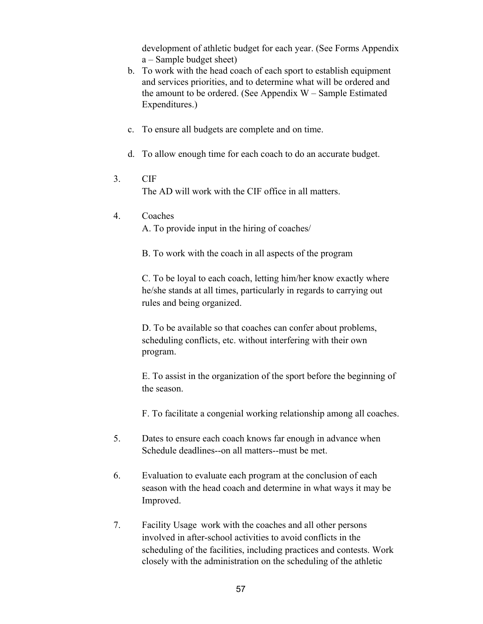development of athletic budget for each year. (See Forms Appendix a – Sample budget sheet)

- b. To work with the head coach of each sport to establish equipment and services priorities, and to determine what will be ordered and the amount to be ordered. (See Appendix W – Sample Estimated Expenditures.)
- c. To ensure all budgets are complete and on time.
- d. To allow enough time for each coach to do an accurate budget.
- 3. CIF The AD will work with the CIF office in all matters.
- 4. Coaches

A. To provide input in the hiring of coaches/

B. To work with the coach in all aspects of the program

C. To be loyal to each coach, letting him/her know exactly where he/she stands at all times, particularly in regards to carrying out rules and being organized.

D. To be available so that coaches can confer about problems, scheduling conflicts, etc. without interfering with their own program.

E. To assist in the organization of the sport before the beginning of the season.

F. To facilitate a congenial working relationship among all coaches.

- 5. Dates to ensure each coach knows far enough in advance when Schedule deadlines--on all matters--must be met.
- 6. Evaluation to evaluate each program at the conclusion of each season with the head coach and determine in what ways it may be Improved.
- 7. Facility Usage work with the coaches and all other persons involved in after-school activities to avoid conflicts in the scheduling of the facilities, including practices and contests. Work closely with the administration on the scheduling of the athletic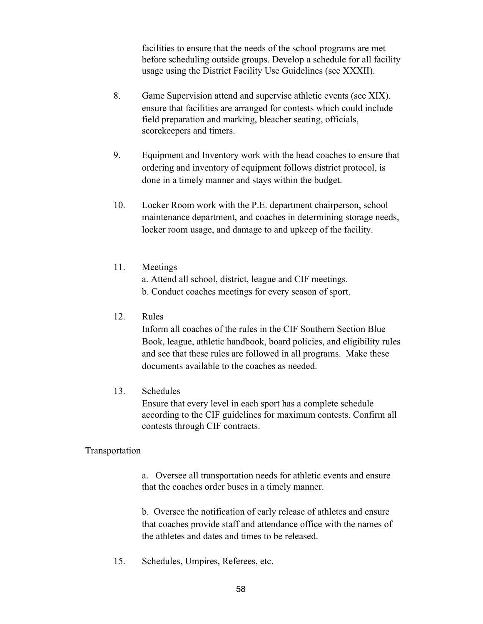facilities to ensure that the needs of the school programs are met before scheduling outside groups. Develop a schedule for all facility usage using the District Facility Use Guidelines (see XXXII).

- 8. Game Supervision attend and supervise athletic events (see XIX). ensure that facilities are arranged for contests which could include field preparation and marking, bleacher seating, officials, scorekeepers and timers.
- 9. Equipment and Inventory work with the head coaches to ensure that ordering and inventory of equipment follows district protocol, is done in a timely manner and stays within the budget.
- 10. Locker Room work with the P.E. department chairperson, school maintenance department, and coaches in determining storage needs, locker room usage, and damage to and upkeep of the facility.
- 11. Meetings

a. Attend all school, district, league and CIF meetings.

- b. Conduct coaches meetings for every season of sport.
- 12. Rules

Inform all coaches of the rules in the CIF Southern Section Blue Book, league, athletic handbook, board policies, and eligibility rules and see that these rules are followed in all programs. Make these documents available to the coaches as needed.

13. Schedules

Ensure that every level in each sport has a complete schedule according to the CIF guidelines for maximum contests. Confirm all contests through CIF contracts.

#### Transportation

a. Oversee all transportation needs for athletic events and ensure that the coaches order buses in a timely manner.

b. Oversee the notification of early release of athletes and ensure that coaches provide staff and attendance office with the names of the athletes and dates and times to be released.

15. Schedules, Umpires, Referees, etc.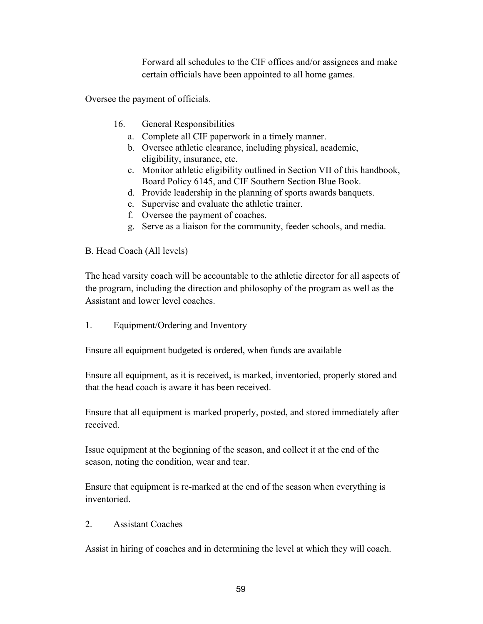Forward all schedules to the CIF offices and/or assignees and make certain officials have been appointed to all home games.

Oversee the payment of officials.

- 16. General Responsibilities
	- a. Complete all CIF paperwork in a timely manner.
	- b. Oversee athletic clearance, including physical, academic, eligibility, insurance, etc.
	- c. Monitor athletic eligibility outlined in Section VII of this handbook, Board Policy 6145, and CIF Southern Section Blue Book.
	- d. Provide leadership in the planning of sports awards banquets.
	- e. Supervise and evaluate the athletic trainer.
	- f. Oversee the payment of coaches.
	- g. Serve as a liaison for the community, feeder schools, and media.

B. Head Coach (All levels)

The head varsity coach will be accountable to the athletic director for all aspects of the program, including the direction and philosophy of the program as well as the Assistant and lower level coaches.

1. Equipment/Ordering and Inventory

Ensure all equipment budgeted is ordered, when funds are available

Ensure all equipment, as it is received, is marked, inventoried, properly stored and that the head coach is aware it has been received.

Ensure that all equipment is marked properly, posted, and stored immediately after received.

Issue equipment at the beginning of the season, and collect it at the end of the season, noting the condition, wear and tear.

Ensure that equipment is re-marked at the end of the season when everything is inventoried.

#### 2. Assistant Coaches

Assist in hiring of coaches and in determining the level at which they will coach.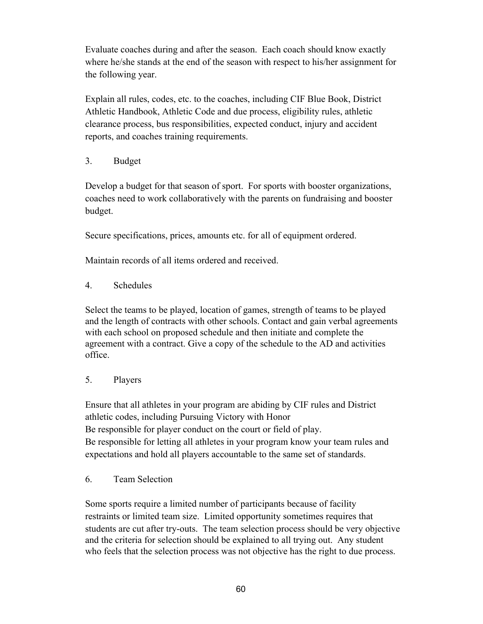Evaluate coaches during and after the season. Each coach should know exactly where he/she stands at the end of the season with respect to his/her assignment for the following year.

Explain all rules, codes, etc. to the coaches, including CIF Blue Book, District Athletic Handbook, Athletic Code and due process, eligibility rules, athletic clearance process, bus responsibilities, expected conduct, injury and accident reports, and coaches training requirements.

3. Budget

Develop a budget for that season of sport. For sports with booster organizations, coaches need to work collaboratively with the parents on fundraising and booster budget.

Secure specifications, prices, amounts etc. for all of equipment ordered.

Maintain records of all items ordered and received.

4. Schedules

Select the teams to be played, location of games, strength of teams to be played and the length of contracts with other schools. Contact and gain verbal agreements with each school on proposed schedule and then initiate and complete the agreement with a contract. Give a copy of the schedule to the AD and activities office.

5. Players

Ensure that all athletes in your program are abiding by CIF rules and District athletic codes, including Pursuing Victory with Honor Be responsible for player conduct on the court or field of play. Be responsible for letting all athletes in your program know your team rules and expectations and hold all players accountable to the same set of standards.

6. Team Selection

Some sports require a limited number of participants because of facility restraints or limited team size. Limited opportunity sometimes requires that students are cut after try-outs. The team selection process should be very objective and the criteria for selection should be explained to all trying out. Any student who feels that the selection process was not objective has the right to due process.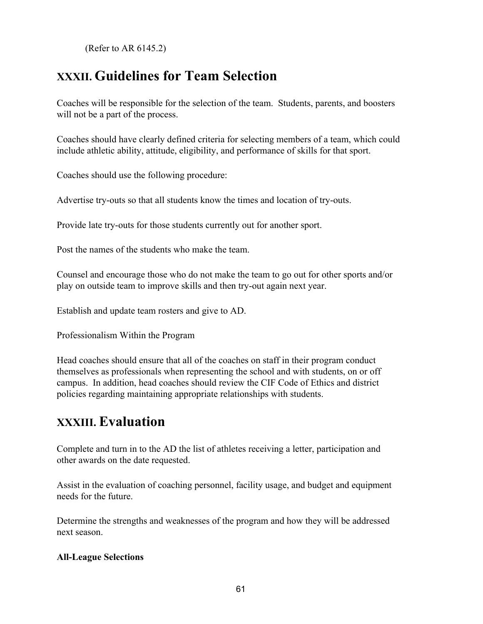(Refer to AR 6145.2)

# **XXXII. Guidelines for Team Selection**

Coaches will be responsible for the selection of the team. Students, parents, and boosters will not be a part of the process.

Coaches should have clearly defined criteria for selecting members of a team, which could include athletic ability, attitude, eligibility, and performance of skills for that sport.

Coaches should use the following procedure:

Advertise try-outs so that all students know the times and location of try-outs.

Provide late try-outs for those students currently out for another sport.

Post the names of the students who make the team.

Counsel and encourage those who do not make the team to go out for other sports and/or play on outside team to improve skills and then try-out again next year.

Establish and update team rosters and give to AD.

Professionalism Within the Program

Head coaches should ensure that all of the coaches on staff in their program conduct themselves as professionals when representing the school and with students, on or off campus. In addition, head coaches should review the CIF Code of Ethics and district policies regarding maintaining appropriate relationships with students.

# **XXXIII. Evaluation**

Complete and turn in to the AD the list of athletes receiving a letter, participation and other awards on the date requested.

Assist in the evaluation of coaching personnel, facility usage, and budget and equipment needs for the future.

Determine the strengths and weaknesses of the program and how they will be addressed next season.

### **All-League Selections**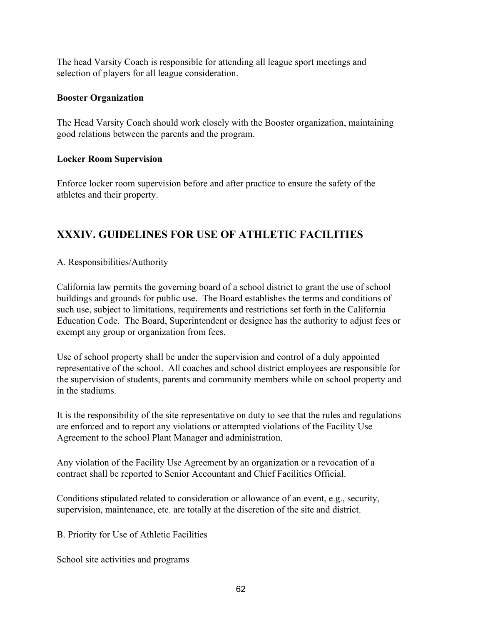The head Varsity Coach is responsible for attending all league sport meetings and selection of players for all league consideration.

#### **Booster Organization**

The Head Varsity Coach should work closely with the Booster organization, maintaining good relations between the parents and the program.

#### **Locker Room Supervision**

Enforce locker room supervision before and after practice to ensure the safety of the athletes and their property.

## **XXXIV. GUIDELINES FOR USE OF ATHLETIC FACILITIES**

A. Responsibilities/Authority

California law permits the governing board of a school district to grant the use of school buildings and grounds for public use. The Board establishes the terms and conditions of such use, subject to limitations, requirements and restrictions set forth in the California Education Code. The Board, Superintendent or designee has the authority to adjust fees or exempt any group or organization from fees.

Use of school property shall be under the supervision and control of a duly appointed representative of the school. All coaches and school district employees are responsible for the supervision of students, parents and community members while on school property and in the stadiums.

It is the responsibility of the site representative on duty to see that the rules and regulations are enforced and to report any violations or attempted violations of the Facility Use Agreement to the school Plant Manager and administration.

Any violation of the Facility Use Agreement by an organization or a revocation of a contract shall be reported to Senior Accountant and Chief Facilities Official.

Conditions stipulated related to consideration or allowance of an event, e.g., security, supervision, maintenance, etc. are totally at the discretion of the site and district.

B. Priority for Use of Athletic Facilities

School site activities and programs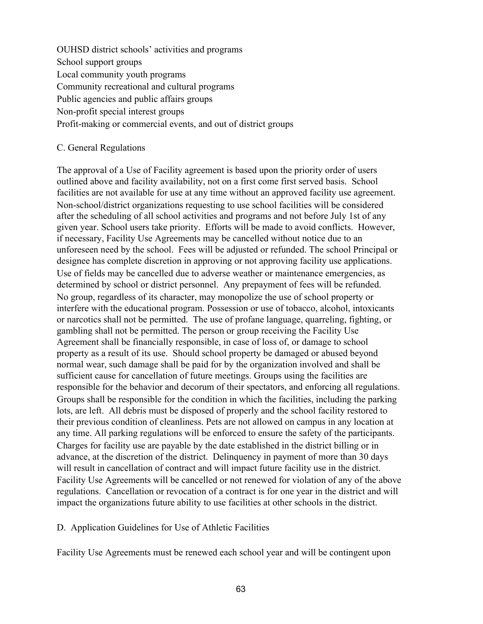OUHSD district schools' activities and programs School support groups Local community youth programs Community recreational and cultural programs Public agencies and public affairs groups Non-profit special interest groups Profit-making or commercial events, and out of district groups

#### C. General Regulations

The approval of a Use of Facility agreement is based upon the priority order of users outlined above and facility availability, not on a first come first served basis. School facilities are not available for use at any time without an approved facility use agreement. Non-school/district organizations requesting to use school facilities will be considered after the scheduling of all school activities and programs and not before July 1st of any given year. School users take priority. Efforts will be made to avoid conflicts. However, if necessary, Facility Use Agreements may be cancelled without notice due to an unforeseen need by the school. Fees will be adjusted or refunded. The school Principal or designee has complete discretion in approving or not approving facility use applications. Use of fields may be cancelled due to adverse weather or maintenance emergencies, as determined by school or district personnel. Any prepayment of fees will be refunded. No group, regardless of its character, may monopolize the use of school property or interfere with the educational program. Possession or use of tobacco, alcohol, intoxicants or narcotics shall not be permitted. The use of profane language, quarreling, fighting, or gambling shall not be permitted. The person or group receiving the Facility Use Agreement shall be financially responsible, in case of loss of, or damage to school property as a result of its use. Should school property be damaged or abused beyond normal wear, such damage shall be paid for by the organization involved and shall be sufficient cause for cancellation of future meetings. Groups using the facilities are responsible for the behavior and decorum of their spectators, and enforcing all regulations. Groups shall be responsible for the condition in which the facilities, including the parking lots, are left. All debris must be disposed of properly and the school facility restored to their previous condition of cleanliness. Pets are not allowed on campus in any location at any time. All parking regulations will be enforced to ensure the safety of the participants. Charges for facility use are payable by the date established in the district billing or in advance, at the discretion of the district. Delinquency in payment of more than 30 days will result in cancellation of contract and will impact future facility use in the district. Facility Use Agreements will be cancelled or not renewed for violation of any of the above regulations. Cancellation or revocation of a contract is for one year in the district and will impact the organizations future ability to use facilities at other schools in the district.

#### D. Application Guidelines for Use of Athletic Facilities

Facility Use Agreements must be renewed each school year and will be contingent upon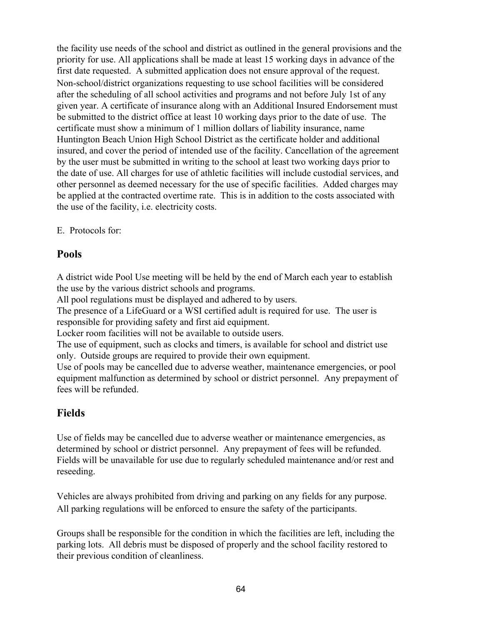the facility use needs of the school and district as outlined in the general provisions and the priority for use. All applications shall be made at least 15 working days in advance of the first date requested. A submitted application does not ensure approval of the request. Non-school/district organizations requesting to use school facilities will be considered after the scheduling of all school activities and programs and not before July 1st of any given year. A certificate of insurance along with an Additional Insured Endorsement must be submitted to the district office at least 10 working days prior to the date of use. The certificate must show a minimum of 1 million dollars of liability insurance, name Huntington Beach Union High School District as the certificate holder and additional insured, and cover the period of intended use of the facility. Cancellation of the agreement by the user must be submitted in writing to the school at least two working days prior to the date of use. All charges for use of athletic facilities will include custodial services, and other personnel as deemed necessary for the use of specific facilities. Added charges may be applied at the contracted overtime rate. This is in addition to the costs associated with the use of the facility, i.e. electricity costs.

E. Protocols for:

### **Pools**

A district wide Pool Use meeting will be held by the end of March each year to establish the use by the various district schools and programs.

All pool regulations must be displayed and adhered to by users.

The presence of a LifeGuard or a WSI certified adult is required for use. The user is responsible for providing safety and first aid equipment.

Locker room facilities will not be available to outside users.

The use of equipment, such as clocks and timers, is available for school and district use only. Outside groups are required to provide their own equipment.

Use of pools may be cancelled due to adverse weather, maintenance emergencies, or pool equipment malfunction as determined by school or district personnel. Any prepayment of fees will be refunded.

## **Fields**

Use of fields may be cancelled due to adverse weather or maintenance emergencies, as determined by school or district personnel. Any prepayment of fees will be refunded. Fields will be unavailable for use due to regularly scheduled maintenance and/or rest and reseeding.

Vehicles are always prohibited from driving and parking on any fields for any purpose. All parking regulations will be enforced to ensure the safety of the participants.

Groups shall be responsible for the condition in which the facilities are left, including the parking lots. All debris must be disposed of properly and the school facility restored to their previous condition of cleanliness.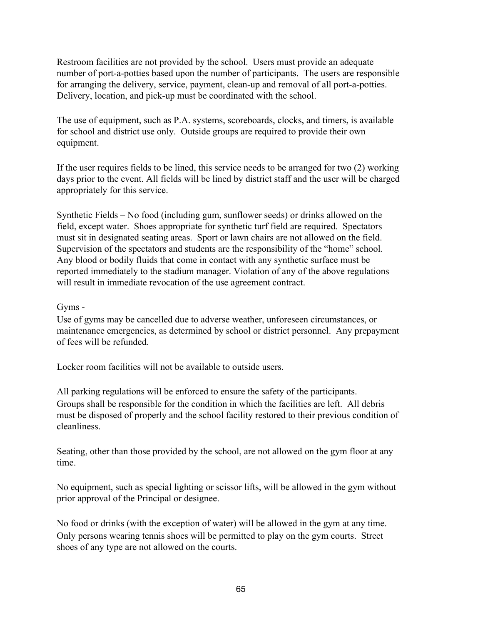Restroom facilities are not provided by the school. Users must provide an adequate number of port-a-potties based upon the number of participants. The users are responsible for arranging the delivery, service, payment, clean-up and removal of all port-a-potties. Delivery, location, and pick-up must be coordinated with the school.

The use of equipment, such as P.A. systems, scoreboards, clocks, and timers, is available for school and district use only. Outside groups are required to provide their own equipment.

If the user requires fields to be lined, this service needs to be arranged for two (2) working days prior to the event. All fields will be lined by district staff and the user will be charged appropriately for this service.

Synthetic Fields – No food (including gum, sunflower seeds) or drinks allowed on the field, except water. Shoes appropriate for synthetic turf field are required. Spectators must sit in designated seating areas. Sport or lawn chairs are not allowed on the field. Supervision of the spectators and students are the responsibility of the "home" school. Any blood or bodily fluids that come in contact with any synthetic surface must be reported immediately to the stadium manager. Violation of any of the above regulations will result in immediate revocation of the use agreement contract.

#### Gyms -

Use of gyms may be cancelled due to adverse weather, unforeseen circumstances, or maintenance emergencies, as determined by school or district personnel. Any prepayment of fees will be refunded.

Locker room facilities will not be available to outside users.

All parking regulations will be enforced to ensure the safety of the participants. Groups shall be responsible for the condition in which the facilities are left. All debris must be disposed of properly and the school facility restored to their previous condition of cleanliness.

Seating, other than those provided by the school, are not allowed on the gym floor at any time.

No equipment, such as special lighting or scissor lifts, will be allowed in the gym without prior approval of the Principal or designee.

No food or drinks (with the exception of water) will be allowed in the gym at any time. Only persons wearing tennis shoes will be permitted to play on the gym courts. Street shoes of any type are not allowed on the courts.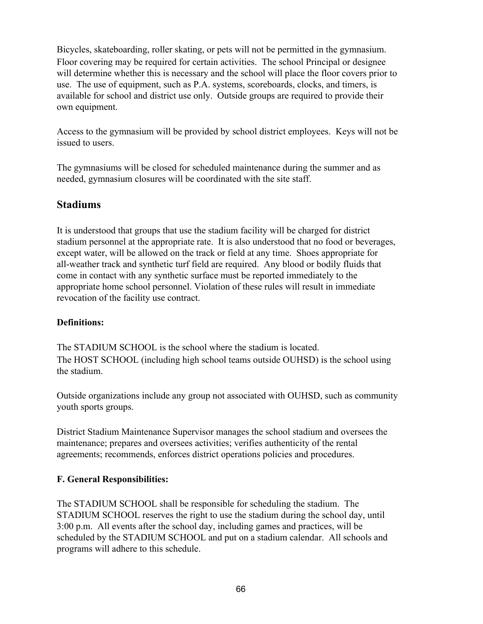Bicycles, skateboarding, roller skating, or pets will not be permitted in the gymnasium. Floor covering may be required for certain activities. The school Principal or designee will determine whether this is necessary and the school will place the floor covers prior to use. The use of equipment, such as P.A. systems, scoreboards, clocks, and timers, is available for school and district use only. Outside groups are required to provide their own equipment.

Access to the gymnasium will be provided by school district employees. Keys will not be issued to users.

The gymnasiums will be closed for scheduled maintenance during the summer and as needed, gymnasium closures will be coordinated with the site staff.

### **Stadiums**

It is understood that groups that use the stadium facility will be charged for district stadium personnel at the appropriate rate. It is also understood that no food or beverages, except water, will be allowed on the track or field at any time. Shoes appropriate for all-weather track and synthetic turf field are required. Any blood or bodily fluids that come in contact with any synthetic surface must be reported immediately to the appropriate home school personnel. Violation of these rules will result in immediate revocation of the facility use contract.

### **Definitions:**

The STADIUM SCHOOL is the school where the stadium is located. The HOST SCHOOL (including high school teams outside OUHSD) is the school using the stadium.

Outside organizations include any group not associated with OUHSD, such as community youth sports groups.

District Stadium Maintenance Supervisor manages the school stadium and oversees the maintenance; prepares and oversees activities; verifies authenticity of the rental agreements; recommends, enforces district operations policies and procedures.

### **F. General Responsibilities:**

The STADIUM SCHOOL shall be responsible for scheduling the stadium. The STADIUM SCHOOL reserves the right to use the stadium during the school day, until 3:00 p.m. All events after the school day, including games and practices, will be scheduled by the STADIUM SCHOOL and put on a stadium calendar. All schools and programs will adhere to this schedule.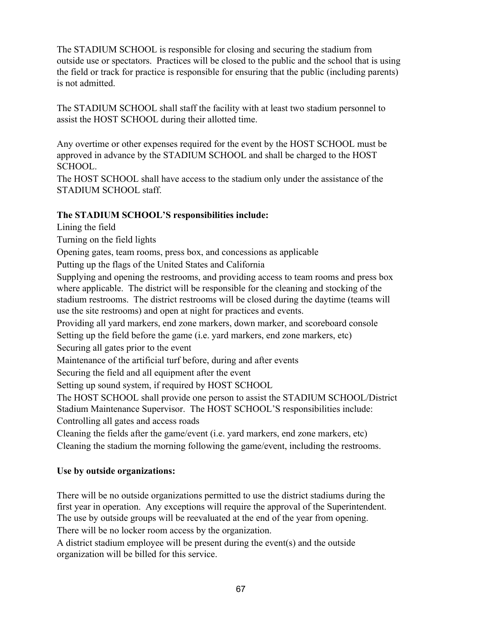The STADIUM SCHOOL is responsible for closing and securing the stadium from outside use or spectators. Practices will be closed to the public and the school that is using the field or track for practice is responsible for ensuring that the public (including parents) is not admitted.

The STADIUM SCHOOL shall staff the facility with at least two stadium personnel to assist the HOST SCHOOL during their allotted time.

Any overtime or other expenses required for the event by the HOST SCHOOL must be approved in advance by the STADIUM SCHOOL and shall be charged to the HOST SCHOOL.

The HOST SCHOOL shall have access to the stadium only under the assistance of the STADIUM SCHOOL staff.

### **The STADIUM SCHOOL'S responsibilities include:**

Lining the field

Turning on the field lights

Opening gates, team rooms, press box, and concessions as applicable

Putting up the flags of the United States and California

Supplying and opening the restrooms, and providing access to team rooms and press box where applicable. The district will be responsible for the cleaning and stocking of the stadium restrooms. The district restrooms will be closed during the daytime (teams will use the site restrooms) and open at night for practices and events.

Providing all yard markers, end zone markers, down marker, and scoreboard console

Setting up the field before the game (i.e. yard markers, end zone markers, etc)

Securing all gates prior to the event

Maintenance of the artificial turf before, during and after events

Securing the field and all equipment after the event

Setting up sound system, if required by HOST SCHOOL

The HOST SCHOOL shall provide one person to assist the STADIUM SCHOOL/District Stadium Maintenance Supervisor. The HOST SCHOOL'S responsibilities include:

Controlling all gates and access roads

Cleaning the fields after the game/event (i.e. yard markers, end zone markers, etc) Cleaning the stadium the morning following the game/event, including the restrooms.

### **Use by outside organizations:**

There will be no outside organizations permitted to use the district stadiums during the first year in operation. Any exceptions will require the approval of the Superintendent. The use by outside groups will be reevaluated at the end of the year from opening. There will be no locker room access by the organization.

A district stadium employee will be present during the event(s) and the outside organization will be billed for this service.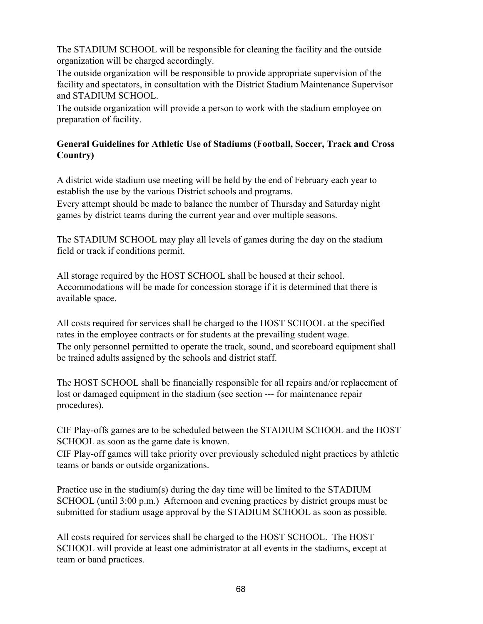The STADIUM SCHOOL will be responsible for cleaning the facility and the outside organization will be charged accordingly.

The outside organization will be responsible to provide appropriate supervision of the facility and spectators, in consultation with the District Stadium Maintenance Supervisor and STADIUM SCHOOL.

The outside organization will provide a person to work with the stadium employee on preparation of facility.

#### **General Guidelines for Athletic Use of Stadiums (Football, Soccer, Track and Cross Country)**

A district wide stadium use meeting will be held by the end of February each year to establish the use by the various District schools and programs.

Every attempt should be made to balance the number of Thursday and Saturday night games by district teams during the current year and over multiple seasons.

The STADIUM SCHOOL may play all levels of games during the day on the stadium field or track if conditions permit.

All storage required by the HOST SCHOOL shall be housed at their school. Accommodations will be made for concession storage if it is determined that there is available space.

All costs required for services shall be charged to the HOST SCHOOL at the specified rates in the employee contracts or for students at the prevailing student wage. The only personnel permitted to operate the track, sound, and scoreboard equipment shall be trained adults assigned by the schools and district staff.

The HOST SCHOOL shall be financially responsible for all repairs and/or replacement of lost or damaged equipment in the stadium (see section --- for maintenance repair procedures).

CIF Play-offs games are to be scheduled between the STADIUM SCHOOL and the HOST SCHOOL as soon as the game date is known.

CIF Play-off games will take priority over previously scheduled night practices by athletic teams or bands or outside organizations.

Practice use in the stadium(s) during the day time will be limited to the STADIUM SCHOOL (until 3:00 p.m.) Afternoon and evening practices by district groups must be submitted for stadium usage approval by the STADIUM SCHOOL as soon as possible.

All costs required for services shall be charged to the HOST SCHOOL. The HOST SCHOOL will provide at least one administrator at all events in the stadiums, except at team or band practices.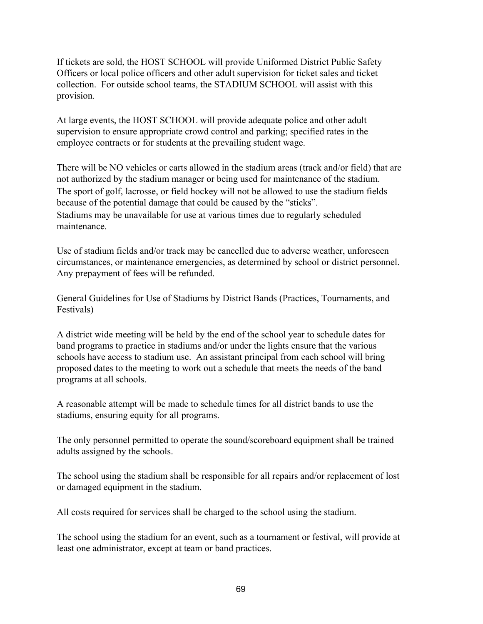If tickets are sold, the HOST SCHOOL will provide Uniformed District Public Safety Officers or local police officers and other adult supervision for ticket sales and ticket collection. For outside school teams, the STADIUM SCHOOL will assist with this provision.

At large events, the HOST SCHOOL will provide adequate police and other adult supervision to ensure appropriate crowd control and parking; specified rates in the employee contracts or for students at the prevailing student wage.

There will be NO vehicles or carts allowed in the stadium areas (track and/or field) that are not authorized by the stadium manager or being used for maintenance of the stadium. The sport of golf, lacrosse, or field hockey will not be allowed to use the stadium fields because of the potential damage that could be caused by the "sticks". Stadiums may be unavailable for use at various times due to regularly scheduled maintenance.

Use of stadium fields and/or track may be cancelled due to adverse weather, unforeseen circumstances, or maintenance emergencies, as determined by school or district personnel. Any prepayment of fees will be refunded.

General Guidelines for Use of Stadiums by District Bands (Practices, Tournaments, and Festivals)

A district wide meeting will be held by the end of the school year to schedule dates for band programs to practice in stadiums and/or under the lights ensure that the various schools have access to stadium use. An assistant principal from each school will bring proposed dates to the meeting to work out a schedule that meets the needs of the band programs at all schools.

A reasonable attempt will be made to schedule times for all district bands to use the stadiums, ensuring equity for all programs.

The only personnel permitted to operate the sound/scoreboard equipment shall be trained adults assigned by the schools.

The school using the stadium shall be responsible for all repairs and/or replacement of lost or damaged equipment in the stadium.

All costs required for services shall be charged to the school using the stadium.

The school using the stadium for an event, such as a tournament or festival, will provide at least one administrator, except at team or band practices.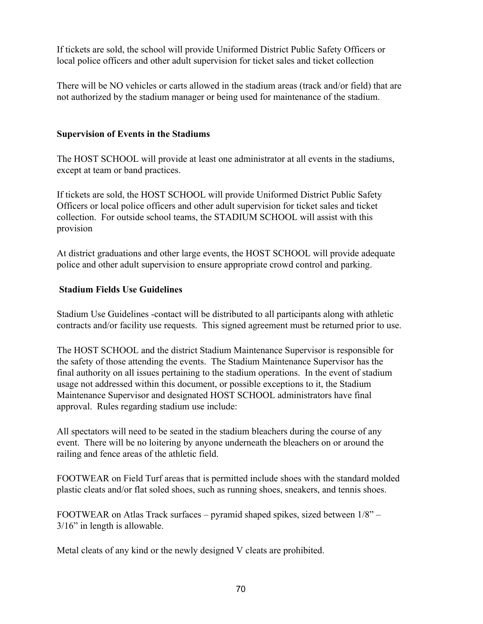If tickets are sold, the school will provide Uniformed District Public Safety Officers or local police officers and other adult supervision for ticket sales and ticket collection

There will be NO vehicles or carts allowed in the stadium areas (track and/or field) that are not authorized by the stadium manager or being used for maintenance of the stadium.

#### **Supervision of Events in the Stadiums**

The HOST SCHOOL will provide at least one administrator at all events in the stadiums, except at team or band practices.

If tickets are sold, the HOST SCHOOL will provide Uniformed District Public Safety Officers or local police officers and other adult supervision for ticket sales and ticket collection. For outside school teams, the STADIUM SCHOOL will assist with this provision

At district graduations and other large events, the HOST SCHOOL will provide adequate police and other adult supervision to ensure appropriate crowd control and parking.

#### **Stadium Fields Use Guidelines**

Stadium Use Guidelines -contact will be distributed to all participants along with athletic contracts and/or facility use requests. This signed agreement must be returned prior to use.

The HOST SCHOOL and the district Stadium Maintenance Supervisor is responsible for the safety of those attending the events. The Stadium Maintenance Supervisor has the final authority on all issues pertaining to the stadium operations. In the event of stadium usage not addressed within this document, or possible exceptions to it, the Stadium Maintenance Supervisor and designated HOST SCHOOL administrators have final approval. Rules regarding stadium use include:

All spectators will need to be seated in the stadium bleachers during the course of any event. There will be no loitering by anyone underneath the bleachers on or around the railing and fence areas of the athletic field.

FOOTWEAR on Field Turf areas that is permitted include shoes with the standard molded plastic cleats and/or flat soled shoes, such as running shoes, sneakers, and tennis shoes.

FOOTWEAR on Atlas Track surfaces – pyramid shaped spikes, sized between 1/8" – 3/16" in length is allowable.

Metal cleats of any kind or the newly designed V cleats are prohibited.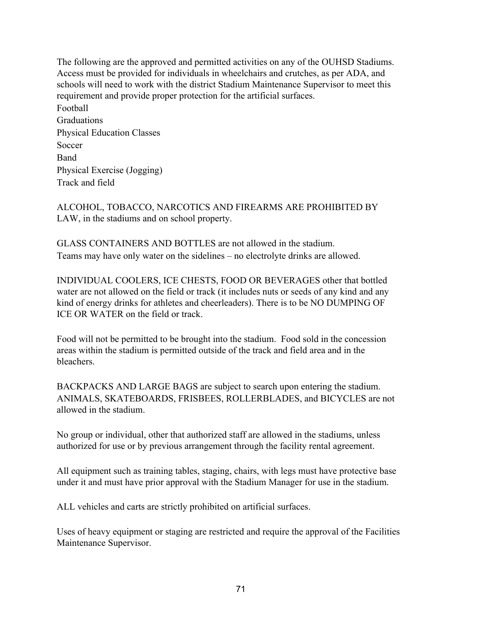The following are the approved and permitted activities on any of the OUHSD Stadiums. Access must be provided for individuals in wheelchairs and crutches, as per ADA, and schools will need to work with the district Stadium Maintenance Supervisor to meet this requirement and provide proper protection for the artificial surfaces. Football

Graduations Physical Education Classes Soccer Band Physical Exercise (Jogging) Track and field

ALCOHOL, TOBACCO, NARCOTICS AND FIREARMS ARE PROHIBITED BY LAW, in the stadiums and on school property.

GLASS CONTAINERS AND BOTTLES are not allowed in the stadium. Teams may have only water on the sidelines – no electrolyte drinks are allowed.

INDIVIDUAL COOLERS, ICE CHESTS, FOOD OR BEVERAGES other that bottled water are not allowed on the field or track (it includes nuts or seeds of any kind and any kind of energy drinks for athletes and cheerleaders). There is to be NO DUMPING OF ICE OR WATER on the field or track.

Food will not be permitted to be brought into the stadium. Food sold in the concession areas within the stadium is permitted outside of the track and field area and in the bleachers.

BACKPACKS AND LARGE BAGS are subject to search upon entering the stadium. ANIMALS, SKATEBOARDS, FRISBEES, ROLLERBLADES, and BICYCLES are not allowed in the stadium.

No group or individual, other that authorized staff are allowed in the stadiums, unless authorized for use or by previous arrangement through the facility rental agreement.

All equipment such as training tables, staging, chairs, with legs must have protective base under it and must have prior approval with the Stadium Manager for use in the stadium.

ALL vehicles and carts are strictly prohibited on artificial surfaces.

Uses of heavy equipment or staging are restricted and require the approval of the Facilities Maintenance Supervisor.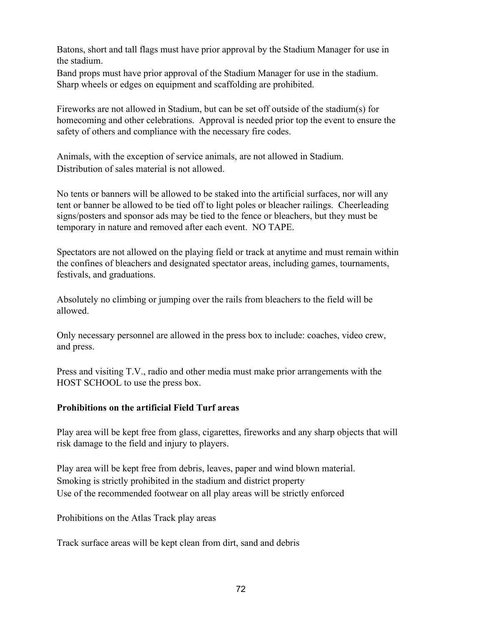Batons, short and tall flags must have prior approval by the Stadium Manager for use in the stadium.

Band props must have prior approval of the Stadium Manager for use in the stadium. Sharp wheels or edges on equipment and scaffolding are prohibited.

Fireworks are not allowed in Stadium, but can be set off outside of the stadium(s) for homecoming and other celebrations. Approval is needed prior top the event to ensure the safety of others and compliance with the necessary fire codes.

Animals, with the exception of service animals, are not allowed in Stadium. Distribution of sales material is not allowed.

No tents or banners will be allowed to be staked into the artificial surfaces, nor will any tent or banner be allowed to be tied off to light poles or bleacher railings. Cheerleading signs/posters and sponsor ads may be tied to the fence or bleachers, but they must be temporary in nature and removed after each event. NO TAPE.

Spectators are not allowed on the playing field or track at anytime and must remain within the confines of bleachers and designated spectator areas, including games, tournaments, festivals, and graduations.

Absolutely no climbing or jumping over the rails from bleachers to the field will be allowed.

Only necessary personnel are allowed in the press box to include: coaches, video crew, and press.

Press and visiting T.V., radio and other media must make prior arrangements with the HOST SCHOOL to use the press box.

#### **Prohibitions on the artificial Field Turf areas**

Play area will be kept free from glass, cigarettes, fireworks and any sharp objects that will risk damage to the field and injury to players.

Play area will be kept free from debris, leaves, paper and wind blown material. Smoking is strictly prohibited in the stadium and district property Use of the recommended footwear on all play areas will be strictly enforced

Prohibitions on the Atlas Track play areas

Track surface areas will be kept clean from dirt, sand and debris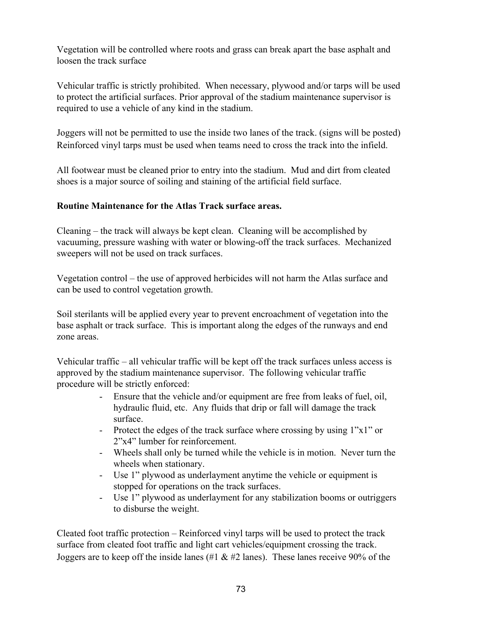Vegetation will be controlled where roots and grass can break apart the base asphalt and loosen the track surface

Vehicular traffic is strictly prohibited. When necessary, plywood and/or tarps will be used to protect the artificial surfaces. Prior approval of the stadium maintenance supervisor is required to use a vehicle of any kind in the stadium.

Joggers will not be permitted to use the inside two lanes of the track. (signs will be posted) Reinforced vinyl tarps must be used when teams need to cross the track into the infield.

All footwear must be cleaned prior to entry into the stadium. Mud and dirt from cleated shoes is a major source of soiling and staining of the artificial field surface.

#### **Routine Maintenance for the Atlas Track surface areas.**

Cleaning – the track will always be kept clean. Cleaning will be accomplished by vacuuming, pressure washing with water or blowing-off the track surfaces. Mechanized sweepers will not be used on track surfaces.

Vegetation control – the use of approved herbicides will not harm the Atlas surface and can be used to control vegetation growth.

Soil sterilants will be applied every year to prevent encroachment of vegetation into the base asphalt or track surface. This is important along the edges of the runways and end zone areas.

Vehicular traffic – all vehicular traffic will be kept off the track surfaces unless access is approved by the stadium maintenance supervisor. The following vehicular traffic procedure will be strictly enforced:

- Ensure that the vehicle and/or equipment are free from leaks of fuel, oil, hydraulic fluid, etc. Any fluids that drip or fall will damage the track surface.
- Protect the edges of the track surface where crossing by using 1"x1" or 2"x4" lumber for reinforcement.
- Wheels shall only be turned while the vehicle is in motion. Never turn the wheels when stationary.
- Use 1" plywood as underlayment anytime the vehicle or equipment is stopped for operations on the track surfaces.
- Use 1" plywood as underlayment for any stabilization booms or outriggers to disburse the weight.

Cleated foot traffic protection – Reinforced vinyl tarps will be used to protect the track surface from cleated foot traffic and light cart vehicles/equipment crossing the track. Joggers are to keep off the inside lanes (#1  $\&$  #2 lanes). These lanes receive 90% of the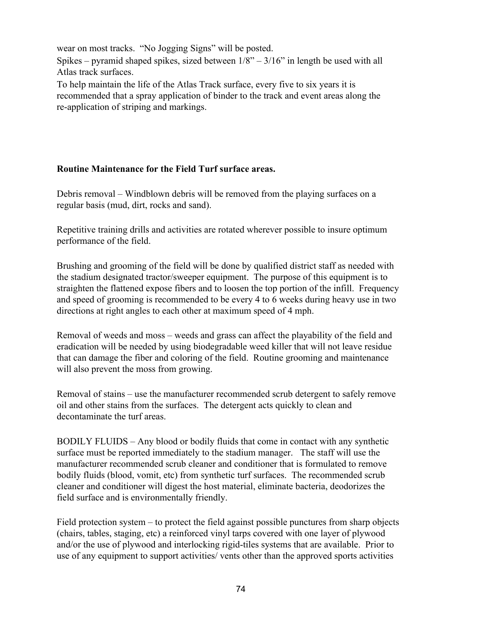wear on most tracks. "No Jogging Signs" will be posted.

Spikes – pyramid shaped spikes, sized between  $1/8$ " –  $3/16$ " in length be used with all Atlas track surfaces.

To help maintain the life of the Atlas Track surface, every five to six years it is recommended that a spray application of binder to the track and event areas along the re-application of striping and markings.

#### **Routine Maintenance for the Field Turf surface areas.**

Debris removal – Windblown debris will be removed from the playing surfaces on a regular basis (mud, dirt, rocks and sand).

Repetitive training drills and activities are rotated wherever possible to insure optimum performance of the field.

Brushing and grooming of the field will be done by qualified district staff as needed with the stadium designated tractor/sweeper equipment. The purpose of this equipment is to straighten the flattened expose fibers and to loosen the top portion of the infill. Frequency and speed of grooming is recommended to be every 4 to 6 weeks during heavy use in two directions at right angles to each other at maximum speed of 4 mph.

Removal of weeds and moss – weeds and grass can affect the playability of the field and eradication will be needed by using biodegradable weed killer that will not leave residue that can damage the fiber and coloring of the field. Routine grooming and maintenance will also prevent the moss from growing.

Removal of stains – use the manufacturer recommended scrub detergent to safely remove oil and other stains from the surfaces. The detergent acts quickly to clean and decontaminate the turf areas.

BODILY FLUIDS – Any blood or bodily fluids that come in contact with any synthetic surface must be reported immediately to the stadium manager. The staff will use the manufacturer recommended scrub cleaner and conditioner that is formulated to remove bodily fluids (blood, vomit, etc) from synthetic turf surfaces. The recommended scrub cleaner and conditioner will digest the host material, eliminate bacteria, deodorizes the field surface and is environmentally friendly.

Field protection system – to protect the field against possible punctures from sharp objects (chairs, tables, staging, etc) a reinforced vinyl tarps covered with one layer of plywood and/or the use of plywood and interlocking rigid-tiles systems that are available. Prior to use of any equipment to support activities/ vents other than the approved sports activities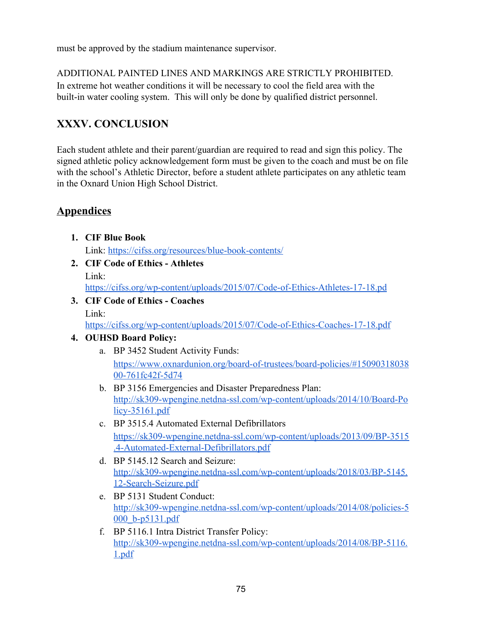must be approved by the stadium maintenance supervisor.

ADDITIONAL PAINTED LINES AND MARKINGS ARE STRICTLY PROHIBITED. In extreme hot weather conditions it will be necessary to cool the field area with the built-in water cooling system. This will only be done by qualified district personnel.

# **XXXV. CONCLUSION**

Each student athlete and their parent/guardian are required to read and sign this policy. The signed athletic policy acknowledgement form must be given to the coach and must be on file with the school's Athletic Director, before a student athlete participates on any athletic team in the Oxnard Union High School District.

## **Appendices**

- **1. CIF Blue Book** Link: <https://cifss.org/resources/blue-book-contents/>
- **2. CIF Code of Ethics Athletes** Link:

[https://cifss.org/wp-content/uploads/2015/07/Code-of-Ethics-Athletes-17-18.pd](https://cifss.org/wp-content/uploads/2015/07/Code-of-Ethics-Athletes-17-18.pdf)

**3. CIF Code of Ethics - Coaches** Link:

<https://cifss.org/wp-content/uploads/2015/07/Code-of-Ethics-Coaches-17-18.pdf>

#### **4. OUHSD Board Policy:**

- a. BP 3452 Student Activity Funds: [https://www.oxnardunion.org/board-of-trustees/board-policies/#15090318038](https://www.oxnardunion.org/board-of-trustees/board-policies/#1509031803800-761fc42f-5d74) [00-761fc42f-5d74](https://www.oxnardunion.org/board-of-trustees/board-policies/#1509031803800-761fc42f-5d74)
- b. BP 3156 Emergencies and Disaster Preparedness Plan: [http://sk309-wpengine.netdna-ssl.com/wp-content/uploads/2014/10/Board-Po](http://sk309-wpengine.netdna-ssl.com/wp-content/uploads/2014/10/Board-Policy-35161.pdf) [licy-35161.pdf](http://sk309-wpengine.netdna-ssl.com/wp-content/uploads/2014/10/Board-Policy-35161.pdf)
- c. BP 3515.4 Automated External Defibrillators [https://sk309-wpengine.netdna-ssl.com/wp-content/uploads/2013/09/BP-3515](https://sk309-wpengine.netdna-ssl.com/wp-content/uploads/2013/09/BP-3515.4-Automated-External-Defibrillators.pdf) [.4-Automated-External-Defibrillators.pdf](https://sk309-wpengine.netdna-ssl.com/wp-content/uploads/2013/09/BP-3515.4-Automated-External-Defibrillators.pdf)
- d. BP 5145.12 Search and Seizure: [http://sk309-wpengine.netdna-ssl.com/wp-content/uploads/2018/03/BP-5145.](http://sk309-wpengine.netdna-ssl.com/wp-content/uploads/2018/03/BP-5145.12-Search-Seizure.pdf) [12-Search-Seizure.pdf](http://sk309-wpengine.netdna-ssl.com/wp-content/uploads/2018/03/BP-5145.12-Search-Seizure.pdf)
- e. BP 5131 Student Conduct: [http://sk309-wpengine.netdna-ssl.com/wp-content/uploads/2014/08/policies-5](http://sk309-wpengine.netdna-ssl.com/wp-content/uploads/2014/08/policies-5000_b-p5131.pdf) [000\\_b-p5131.pdf](http://sk309-wpengine.netdna-ssl.com/wp-content/uploads/2014/08/policies-5000_b-p5131.pdf)
- f. BP 5116.1 Intra District Transfer Policy: [http://sk309-wpengine.netdna-ssl.com/wp-content/uploads/2014/08/BP-5116.](http://sk309-wpengine.netdna-ssl.com/wp-content/uploads/2014/08/BP-5116.1.pdf) [1.pdf](http://sk309-wpengine.netdna-ssl.com/wp-content/uploads/2014/08/BP-5116.1.pdf)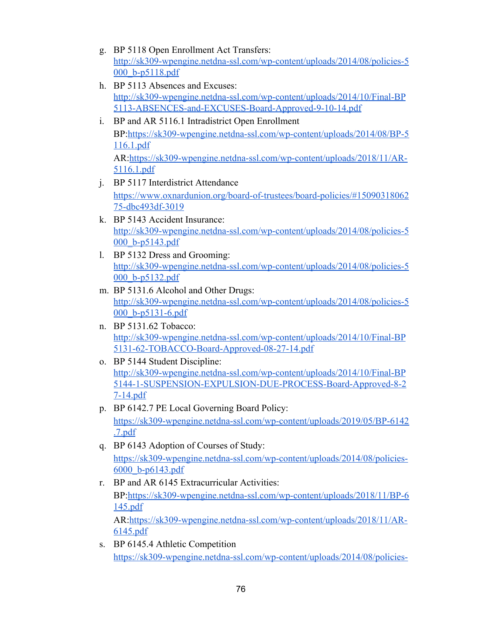- g. BP 5118 Open Enrollment Act Transfers: [http://sk309-wpengine.netdna-ssl.com/wp-content/uploads/2014/08/policies-5](http://sk309-wpengine.netdna-ssl.com/wp-content/uploads/2014/08/policies-5000_b-p5118.pdf) [000\\_b-p5118.pdf](http://sk309-wpengine.netdna-ssl.com/wp-content/uploads/2014/08/policies-5000_b-p5118.pdf)
- h. BP 5113 Absences and Excuses: [http://sk309-wpengine.netdna-ssl.com/wp-content/uploads/2014/10/Final-BP](http://sk309-wpengine.netdna-ssl.com/wp-content/uploads/2014/10/Final-BP5113-ABSENCES-and-EXCUSES-Board-Approved-9-10-14.pdf) [5113-ABSENCES-and-EXCUSES-Board-Approved-9-10-14.pdf](http://sk309-wpengine.netdna-ssl.com/wp-content/uploads/2014/10/Final-BP5113-ABSENCES-and-EXCUSES-Board-Approved-9-10-14.pdf)
- i. BP and AR 5116.1 Intradistrict Open Enrollment BP:[https://sk309-wpengine.netdna-ssl.com/wp-content/uploads/2014/08/BP-5](https://sk309-wpengine.netdna-ssl.com/wp-content/uploads/2014/08/BP-5116.1.pdf) [116.1.pdf](https://sk309-wpengine.netdna-ssl.com/wp-content/uploads/2014/08/BP-5116.1.pdf) AR:[https://sk309-wpengine.netdna-ssl.com/wp-content/uploads/2018/11/AR-](https://sk309-wpengine.netdna-ssl.com/wp-content/uploads/2018/11/AR-5116.1.pdf)[5116.1.pdf](https://sk309-wpengine.netdna-ssl.com/wp-content/uploads/2018/11/AR-5116.1.pdf)
- j. BP 5117 Interdistrict Attendance [https://www.oxnardunion.org/board-of-trustees/board-policies/#15090318062](https://www.oxnardunion.org/board-of-trustees/board-policies/#1509031806275-dbc493df-3019) [75-dbc493df-3019](https://www.oxnardunion.org/board-of-trustees/board-policies/#1509031806275-dbc493df-3019)
- k. BP 5143 Accident Insurance: [http://sk309-wpengine.netdna-ssl.com/wp-content/uploads/2014/08/policies-5](http://sk309-wpengine.netdna-ssl.com/wp-content/uploads/2014/08/policies-5000_b-p5143.pdf) [000\\_b-p5143.pdf](http://sk309-wpengine.netdna-ssl.com/wp-content/uploads/2014/08/policies-5000_b-p5143.pdf)
- l. BP 5132 Dress and Grooming: [http://sk309-wpengine.netdna-ssl.com/wp-content/uploads/2014/08/policies-5](http://sk309-wpengine.netdna-ssl.com/wp-content/uploads/2014/08/policies-5000_b-p5132.pdf) [000\\_b-p5132.pdf](http://sk309-wpengine.netdna-ssl.com/wp-content/uploads/2014/08/policies-5000_b-p5132.pdf)
- m. BP 5131.6 Alcohol and Other Drugs: [http://sk309-wpengine.netdna-ssl.com/wp-content/uploads/2014/08/policies-5](http://sk309-wpengine.netdna-ssl.com/wp-content/uploads/2014/08/policies-5000_b-p5131-6.pdf) [000\\_b-p5131-6.pdf](http://sk309-wpengine.netdna-ssl.com/wp-content/uploads/2014/08/policies-5000_b-p5131-6.pdf)
- n. BP 5131.62 Tobacco: [http://sk309-wpengine.netdna-ssl.com/wp-content/uploads/2014/10/Final-BP](http://sk309-wpengine.netdna-ssl.com/wp-content/uploads/2014/10/Final-BP5131-62-TOBACCO-Board-Approved-08-27-14.pdf) [5131-62-TOBACCO-Board-Approved-08-27-14.pdf](http://sk309-wpengine.netdna-ssl.com/wp-content/uploads/2014/10/Final-BP5131-62-TOBACCO-Board-Approved-08-27-14.pdf)
- o. BP 5144 Student Discipline: [http://sk309-wpengine.netdna-ssl.com/wp-content/uploads/2014/10/Final-BP](http://sk309-wpengine.netdna-ssl.com/wp-content/uploads/2014/10/Final-BP5144-1-SUSPENSION-EXPULSION-DUE-PROCESS-Board-Approved-8-27-14.pdf) [5144-1-SUSPENSION-EXPULSION-DUE-PROCESS-Board-Approved-8-2](http://sk309-wpengine.netdna-ssl.com/wp-content/uploads/2014/10/Final-BP5144-1-SUSPENSION-EXPULSION-DUE-PROCESS-Board-Approved-8-27-14.pdf) [7-14.pdf](http://sk309-wpengine.netdna-ssl.com/wp-content/uploads/2014/10/Final-BP5144-1-SUSPENSION-EXPULSION-DUE-PROCESS-Board-Approved-8-27-14.pdf)
- p. BP 6142.7 PE Local Governing Board Policy: [https://sk309-wpengine.netdna-ssl.com/wp-content/uploads/2019/05/BP-6142](https://sk309-wpengine.netdna-ssl.com/wp-content/uploads/2019/05/BP-6142.7.pdf) [.7.pdf](https://sk309-wpengine.netdna-ssl.com/wp-content/uploads/2019/05/BP-6142.7.pdf)
- q. BP 6143 Adoption of Courses of Study: [https://sk309-wpengine.netdna-ssl.com/wp-content/uploads/2014/08/policies-](https://sk309-wpengine.netdna-ssl.com/wp-content/uploads/2014/08/policies-6000_b-p6143.pdf)[6000\\_b-p6143.pdf](https://sk309-wpengine.netdna-ssl.com/wp-content/uploads/2014/08/policies-6000_b-p6143.pdf)
- r. BP and AR 6145 Extracurricular Activities: BP:[https://sk309-wpengine.netdna-ssl.com/wp-content/uploads/2018/11/BP-6](https://sk309-wpengine.netdna-ssl.com/wp-content/uploads/2018/11/BP-6145.pdf) [145.pdf](https://sk309-wpengine.netdna-ssl.com/wp-content/uploads/2018/11/BP-6145.pdf) AR:[https://sk309-wpengine.netdna-ssl.com/wp-content/uploads/2018/11/AR-](https://sk309-wpengine.netdna-ssl.com/wp-content/uploads/2018/11/AR-6145.pdf)[6145.pdf](https://sk309-wpengine.netdna-ssl.com/wp-content/uploads/2018/11/AR-6145.pdf)
- s. BP 6145.4 Athletic Competition [https://sk309-wpengine.netdna-ssl.com/wp-content/uploads/2014/08/policies-](https://sk309-wpengine.netdna-ssl.com/wp-content/uploads/2014/08/policies-6000_b-a6145-4.pdf)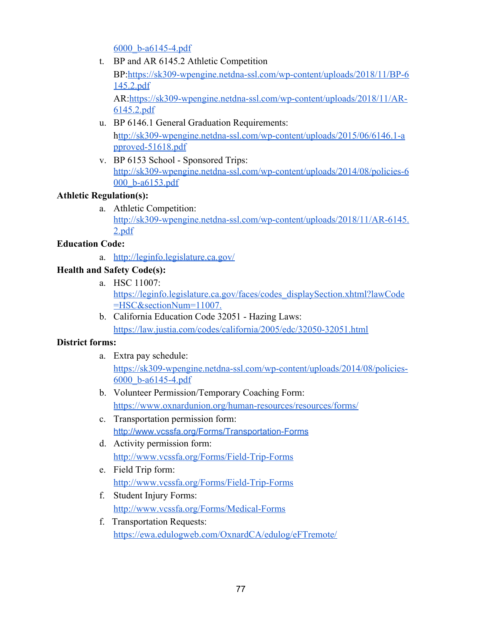[6000\\_b-a6145-4.pdf](https://sk309-wpengine.netdna-ssl.com/wp-content/uploads/2014/08/policies-6000_b-a6145-4.pdf)

- t. BP and AR 6145.2 Athletic Competition BP:[https://sk309-wpengine.netdna-ssl.com/wp-content/uploads/2018/11/BP-6](https://sk309-wpengine.netdna-ssl.com/wp-content/uploads/2018/11/BP-6145.2.pdf) [145.2.pdf](https://sk309-wpengine.netdna-ssl.com/wp-content/uploads/2018/11/BP-6145.2.pdf) AR:[https://sk309-wpengine.netdna-ssl.com/wp-content/uploads/2018/11/AR-](https://sk309-wpengine.netdna-ssl.com/wp-content/uploads/2018/11/AR-6145.2.pdf)[6145.2.pdf](https://sk309-wpengine.netdna-ssl.com/wp-content/uploads/2018/11/AR-6145.2.pdf)
- u. BP 6146.1 General Graduation Requirements: h[ttp://sk309-wpengine.netdna-ssl.com/wp-content/uploads/2015/06/6146.1-a](http://sk309-wpengine.netdna-ssl.com/wp-content/uploads/2015/06/6146.1-approved-51618.pdf) [pproved-51618.pdf](http://sk309-wpengine.netdna-ssl.com/wp-content/uploads/2015/06/6146.1-approved-51618.pdf)
- v. BP 6153 School Sponsored Trips: [http://sk309-wpengine.netdna-ssl.com/wp-content/uploads/2014/08/policies-6](http://sk309-wpengine.netdna-ssl.com/wp-content/uploads/2014/08/policies-6000_b-a6153.pdf) [000\\_b-a6153.pdf](http://sk309-wpengine.netdna-ssl.com/wp-content/uploads/2014/08/policies-6000_b-a6153.pdf)

### **Athletic Regulation(s):**

a. Athletic Competition: [http://sk309-wpengine.netdna-ssl.com/wp-content/uploads/2018/11/AR-6145.](http://sk309-wpengine.netdna-ssl.com/wp-content/uploads/2018/11/AR-6145.2.pdf) [2.pdf](http://sk309-wpengine.netdna-ssl.com/wp-content/uploads/2018/11/AR-6145.2.pdf)

#### **Education Code:**

a. <http://leginfo.legislature.ca.gov/>

## **Health and Safety Code(s):**

- a. HSC 11007: [https://leginfo.legislature.ca.gov/faces/codes\\_displaySection.xhtml?lawCode](https://leginfo.legislature.ca.gov/faces/codes_displaySection.xhtml?lawCode=HSC§ionNum=11007.) [=HSC&sectionNum=11007.](https://leginfo.legislature.ca.gov/faces/codes_displaySection.xhtml?lawCode=HSC§ionNum=11007.)
- b. California Education Code 32051 Hazing Laws: <https://law.justia.com/codes/california/2005/edc/32050-32051.html>

## **District forms:**

- a. Extra pay schedule: [https://sk309-wpengine.netdna-ssl.com/wp-content/uploads/2014/08/policies-](https://sk309-wpengine.netdna-ssl.com/wp-content/uploads/2014/08/policies-6000_b-a6145-4.pdf)[6000\\_b-a6145-4.pdf](https://sk309-wpengine.netdna-ssl.com/wp-content/uploads/2014/08/policies-6000_b-a6145-4.pdf)
- b. Volunteer Permission/Temporary Coaching Form: <https://www.oxnardunion.org/human-resources/resources/forms/>
- c. Transportation permission form: <http://www.vcssfa.org/Forms/Transportation-Forms>
- d. Activity permission form: <http://www.vcssfa.org/Forms/Field-Trip-Forms>
- e. Field Trip form: <http://www.vcssfa.org/Forms/Field-Trip-Forms>
- f. Student Injury Forms: <http://www.vcssfa.org/Forms/Medical-Forms>
- f. Transportation Requests: <https://ewa.edulogweb.com/OxnardCA/edulog/eFTremote/>